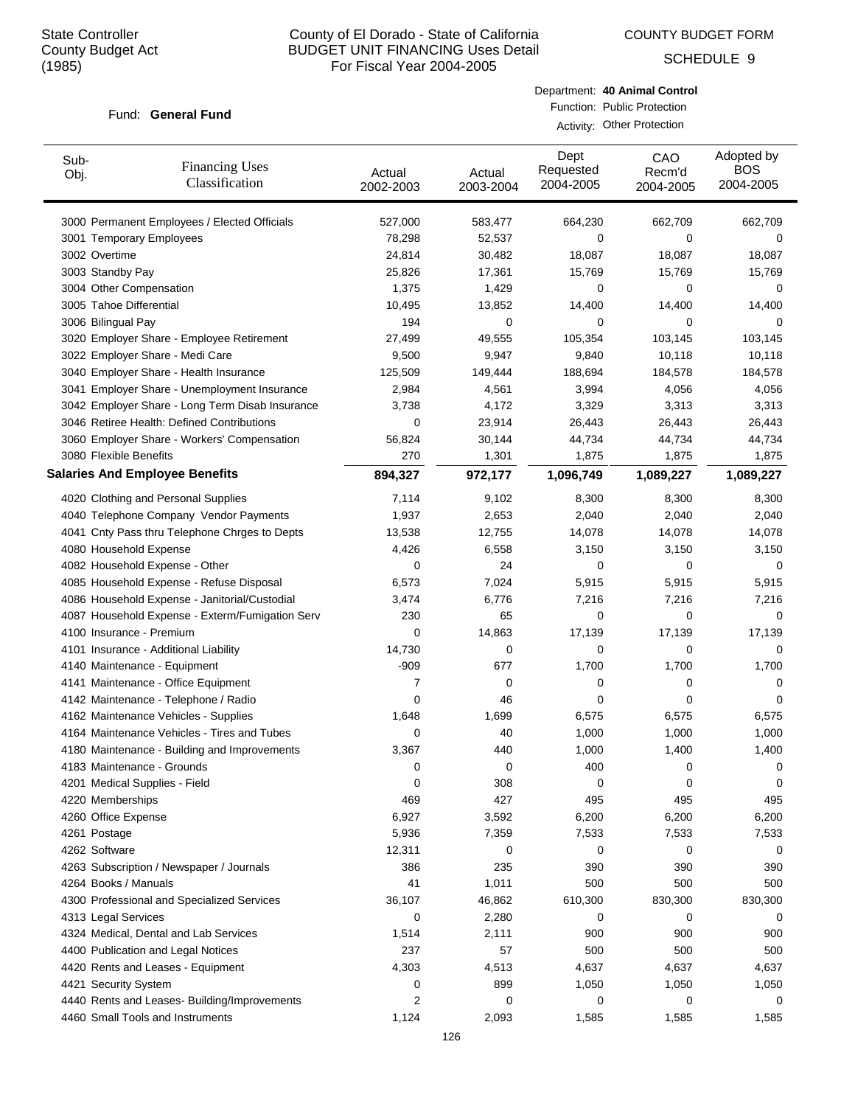COUNTY BUDGET FORM

SCHEDULE 9

#### Fund: General Fund

Department: **40 Animal Control** Function: Public Protection

Activity: Other Protection

| Sub-<br>Obj. | <b>Financing Uses</b><br>Classification         | Actual<br>2002-2003 | Actual<br>2003-2004 | Dept<br>Requested<br>2004-2005 | CAO<br>Recm'd<br>2004-2005 | Adopted by<br><b>BOS</b><br>2004-2005 |
|--------------|-------------------------------------------------|---------------------|---------------------|--------------------------------|----------------------------|---------------------------------------|
|              | 3000 Permanent Employees / Elected Officials    | 527,000             | 583,477             | 664,230                        | 662,709                    | 662,709                               |
|              | 3001 Temporary Employees                        | 78,298              | 52,537              | 0                              | 0                          | 0                                     |
|              | 3002 Overtime                                   | 24,814              | 30,482              | 18,087                         | 18,087                     | 18,087                                |
|              | 3003 Standby Pay                                | 25,826              | 17,361              | 15,769                         | 15,769                     | 15,769                                |
|              | 3004 Other Compensation                         | 1,375               | 1,429               | 0                              | 0                          | 0                                     |
|              | 3005 Tahoe Differential                         | 10,495              | 13,852              | 14,400                         | 14,400                     | 14,400                                |
|              | 3006 Bilingual Pay                              | 194                 | 0                   | 0                              | 0                          | 0                                     |
|              | 3020 Employer Share - Employee Retirement       | 27,499              | 49,555              | 105,354                        | 103,145                    | 103,145                               |
|              | 3022 Employer Share - Medi Care                 | 9,500               | 9,947               | 9,840                          | 10,118                     | 10,118                                |
|              | 3040 Employer Share - Health Insurance          | 125,509             | 149,444             | 188,694                        | 184,578                    | 184,578                               |
|              | 3041 Employer Share - Unemployment Insurance    | 2,984               | 4,561               | 3,994                          | 4,056                      | 4,056                                 |
|              | 3042 Employer Share - Long Term Disab Insurance | 3,738               | 4,172               | 3,329                          | 3,313                      | 3,313                                 |
|              | 3046 Retiree Health: Defined Contributions      | 0                   | 23,914              | 26,443                         | 26,443                     | 26,443                                |
|              | 3060 Employer Share - Workers' Compensation     | 56,824              | 30,144              | 44,734                         | 44,734                     | 44,734                                |
|              | 3080 Flexible Benefits                          | 270                 | 1,301               | 1,875                          | 1,875                      | 1,875                                 |
|              | <b>Salaries And Employee Benefits</b>           | 894,327             | 972,177             | 1,096,749                      | 1,089,227                  | 1,089,227                             |
|              | 4020 Clothing and Personal Supplies             | 7,114               | 9,102               | 8,300                          | 8,300                      | 8,300                                 |
|              | 4040 Telephone Company Vendor Payments          | 1,937               | 2,653               | 2,040                          | 2,040                      | 2,040                                 |
|              | 4041 Cnty Pass thru Telephone Chrges to Depts   | 13,538              | 12,755              | 14,078                         | 14,078                     | 14,078                                |
|              | 4080 Household Expense                          | 4,426               | 6,558               | 3,150                          | 3,150                      | 3,150                                 |
|              | 4082 Household Expense - Other                  | 0                   | 24                  | 0                              | 0                          | 0                                     |
|              | 4085 Household Expense - Refuse Disposal        | 6,573               | 7,024               | 5,915                          | 5,915                      | 5,915                                 |
|              | 4086 Household Expense - Janitorial/Custodial   | 3,474               | 6,776               | 7,216                          | 7,216                      | 7,216                                 |
|              | 4087 Household Expense - Exterm/Fumigation Serv | 230                 | 65                  | 0                              | 0                          | 0                                     |
|              | 4100 Insurance - Premium                        | 0                   | 14,863              | 17,139                         | 17,139                     | 17,139                                |
|              | 4101 Insurance - Additional Liability           | 14,730              | 0                   | 0                              | 0                          | 0                                     |
|              | 4140 Maintenance - Equipment                    | $-909$              | 677                 | 1,700                          | 1,700                      | 1,700                                 |
|              | 4141 Maintenance - Office Equipment             | 7                   | 0                   | 0                              | 0                          | 0                                     |
|              | 4142 Maintenance - Telephone / Radio            | 0                   | 46                  | 0                              | 0                          | 0                                     |
|              | 4162 Maintenance Vehicles - Supplies            | 1,648               | 1,699               | 6,575                          | 6,575                      | 6,575                                 |
|              | 4164 Maintenance Vehicles - Tires and Tubes     | 0                   | 40                  | 1,000                          | 1,000                      | 1,000                                 |
|              | 4180 Maintenance - Building and Improvements    | 3,367               | 440                 | 1,000                          | 1,400                      | 1,400                                 |
|              | 4183 Maintenance - Grounds                      | 0                   | 0                   | 400                            | 0                          | 0                                     |
|              | 4201 Medical Supplies - Field                   | 0                   | 308                 | 0                              | 0                          | 0                                     |
|              | 4220 Memberships                                | 469                 | 427                 | 495                            | 495                        | 495                                   |
|              | 4260 Office Expense                             | 6,927               | 3,592               | 6,200                          | 6,200                      | 6,200                                 |
|              | 4261 Postage                                    | 5,936               | 7,359               | 7,533                          | 7,533                      | 7,533                                 |
|              | 4262 Software                                   | 12,311              | 0                   | 0                              | 0                          | 0                                     |
|              | 4263 Subscription / Newspaper / Journals        | 386                 | 235                 | 390                            | 390                        | 390                                   |
|              | 4264 Books / Manuals                            | 41                  | 1,011               | 500                            | 500                        | 500                                   |
|              | 4300 Professional and Specialized Services      | 36,107              | 46,862              | 610,300                        | 830,300                    | 830,300                               |
|              | 4313 Legal Services                             | 0                   | 2,280               | 0                              | 0                          | 0                                     |
|              | 4324 Medical, Dental and Lab Services           | 1,514               | 2,111               | 900                            | 900                        | 900                                   |
|              | 4400 Publication and Legal Notices              | 237                 | 57                  | 500                            | 500                        | 500                                   |
|              | 4420 Rents and Leases - Equipment               | 4,303               | 4,513               | 4,637                          | 4,637                      | 4,637                                 |
|              | 4421 Security System                            | 0                   | 899                 | 1,050                          | 1,050                      | 1,050                                 |
|              | 4440 Rents and Leases- Building/Improvements    | 2                   | 0                   | 0                              | 0                          | 0                                     |
|              | 4460 Small Tools and Instruments                | 1,124               | 2,093               | 1,585                          | 1,585                      | 1,585                                 |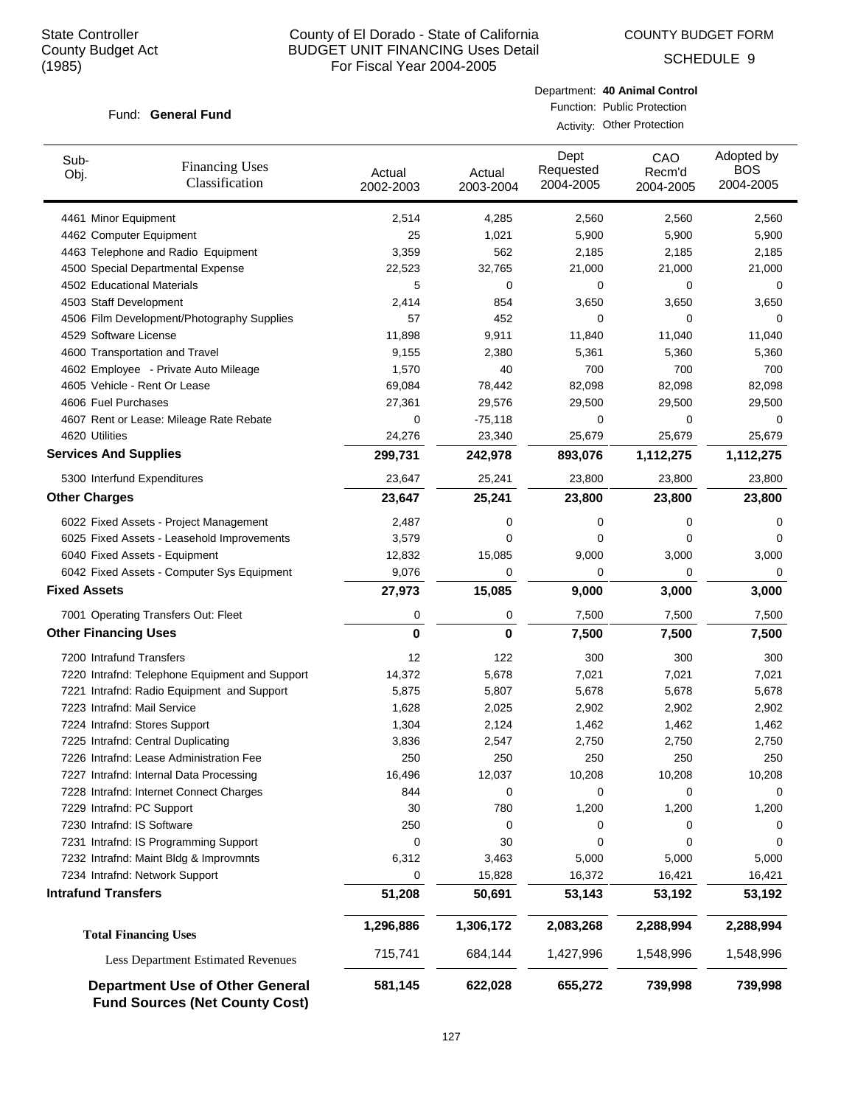COUNTY BUDGET FORM

SCHEDULE 9

#### Fund: General Fund

Department: **40 Animal Control** Function: Public Protection

Activity: Other Protection

| Sub-<br><b>Financing Uses</b><br>Obj.<br>Classification                         | Actual<br>2002-2003 | Actual<br>2003-2004 | Dept<br>Requested<br>2004-2005 | CAO<br>Recm'd<br>2004-2005 | Adopted by<br><b>BOS</b><br>2004-2005 |
|---------------------------------------------------------------------------------|---------------------|---------------------|--------------------------------|----------------------------|---------------------------------------|
| 4461 Minor Equipment                                                            | 2,514               | 4,285               | 2,560                          | 2,560                      | 2,560                                 |
| 4462 Computer Equipment                                                         | 25                  | 1,021               | 5,900                          | 5,900                      | 5,900                                 |
| 4463 Telephone and Radio Equipment                                              | 3,359               | 562                 | 2,185                          | 2,185                      | 2,185                                 |
| 4500 Special Departmental Expense                                               | 22,523              | 32,765              | 21,000                         | 21,000                     | 21,000                                |
| 4502 Educational Materials                                                      | 5                   | 0                   | 0                              | 0                          | 0                                     |
| 4503 Staff Development                                                          | 2,414               | 854                 | 3,650                          | 3,650                      | 3,650                                 |
| 4506 Film Development/Photography Supplies                                      | 57                  | 452                 | 0                              | $\Omega$                   | 0                                     |
| 4529 Software License                                                           | 11,898              | 9,911               | 11,840                         | 11,040                     | 11,040                                |
| 4600 Transportation and Travel                                                  | 9,155               | 2,380               | 5,361                          | 5,360                      | 5,360                                 |
| 4602 Employee - Private Auto Mileage                                            | 1,570               | 40                  | 700                            | 700                        | 700                                   |
| 4605 Vehicle - Rent Or Lease                                                    | 69,084              | 78,442              | 82,098                         | 82,098                     | 82,098                                |
| 4606 Fuel Purchases                                                             | 27,361              | 29,576              | 29,500                         | 29,500                     | 29,500                                |
| 4607 Rent or Lease: Mileage Rate Rebate                                         | 0                   | $-75,118$           | 0                              | 0                          | 0                                     |
| 4620 Utilities                                                                  | 24,276              | 23,340              | 25,679                         | 25,679                     | 25,679                                |
| <b>Services And Supplies</b>                                                    | 299,731             | 242,978             | 893,076                        | 1,112,275                  | 1,112,275                             |
| 5300 Interfund Expenditures                                                     | 23,647              | 25,241              | 23,800                         | 23,800                     | 23,800                                |
| <b>Other Charges</b>                                                            | 23,647              | 25,241              | 23,800                         | 23,800                     | 23,800                                |
| 6022 Fixed Assets - Project Management                                          | 2,487               | 0                   | 0                              | 0                          | 0                                     |
| 6025 Fixed Assets - Leasehold Improvements                                      | 3,579               | 0                   | 0                              | 0                          | 0                                     |
| 6040 Fixed Assets - Equipment                                                   | 12,832              | 15,085              | 9,000                          | 3,000                      | 3,000                                 |
| 6042 Fixed Assets - Computer Sys Equipment                                      | 9,076               | 0                   | 0                              | $\mathbf 0$                | 0                                     |
| <b>Fixed Assets</b>                                                             | 27,973              | 15,085              | 9,000                          | 3,000                      | 3,000                                 |
| 7001 Operating Transfers Out: Fleet                                             | 0                   | 0                   | 7,500                          | 7,500                      | 7,500                                 |
| <b>Other Financing Uses</b>                                                     | 0                   | 0                   | 7,500                          | 7,500                      | 7,500                                 |
| 7200 Intrafund Transfers                                                        | 12                  | 122                 | 300                            | 300                        | 300                                   |
| 7220 Intrafnd: Telephone Equipment and Support                                  | 14,372              | 5,678               | 7,021                          | 7,021                      | 7,021                                 |
| 7221 Intrafnd: Radio Equipment and Support                                      | 5,875               | 5,807               | 5,678                          | 5,678                      | 5,678                                 |
| 7223 Intrafnd: Mail Service                                                     | 1,628               | 2,025               | 2,902                          | 2,902                      | 2,902                                 |
| 7224 Intrafnd: Stores Support                                                   | 1,304               | 2,124               | 1,462                          | 1,462                      | 1,462                                 |
| 7225 Intrafnd: Central Duplicating                                              | 3,836               | 2,547               | 2,750                          | 2,750                      | 2,750                                 |
| 7226 Intrafnd: Lease Administration Fee                                         | 250                 | 250                 | 250                            | 250                        | 250                                   |
| 7227 Intrafnd: Internal Data Processing                                         | 16,496              | 12,037              | 10,208                         | 10,208                     | 10,208                                |
| 7228 Intrafnd: Internet Connect Charges                                         | 844                 | 0                   | 0                              | 0                          | 0                                     |
| 7229 Intrafnd: PC Support                                                       | 30                  | 780                 | 1,200                          | 1,200                      | 1,200                                 |
| 7230 Intrafnd: IS Software                                                      | 250                 | 0                   | 0                              | 0                          | 0                                     |
| 7231 Intrafnd: IS Programming Support                                           | 0                   | 30                  | 0                              | 0                          | 0                                     |
| 7232 Intrafnd: Maint Bldg & Improvmnts                                          | 6,312               | 3,463               | 5,000                          | 5,000                      | 5,000                                 |
| 7234 Intrafnd: Network Support                                                  | 0                   | 15,828              | 16,372                         | 16,421                     | 16,421                                |
| <b>Intrafund Transfers</b>                                                      | 51,208              | 50,691              | 53,143                         | 53,192                     | 53,192                                |
| <b>Total Financing Uses</b>                                                     | 1,296,886           | 1,306,172           | 2,083,268                      | 2,288,994                  | 2,288,994                             |
| <b>Less Department Estimated Revenues</b>                                       | 715,741             | 684,144             | 1,427,996                      | 1,548,996                  | 1,548,996                             |
| <b>Department Use of Other General</b><br><b>Fund Sources (Net County Cost)</b> | 581,145             | 622,028             | 655,272                        | 739,998                    | 739,998                               |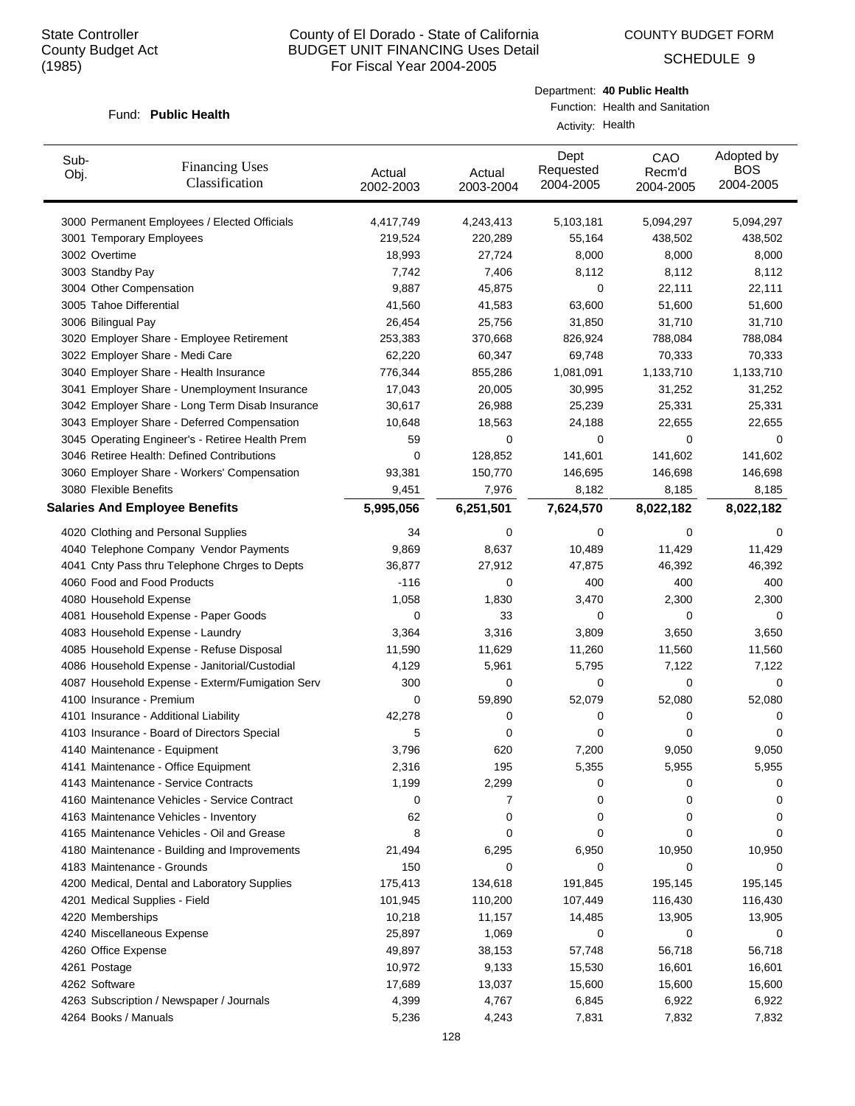COUNTY BUDGET FORM

SCHEDULE 9

#### Fund: Public Health

Department: **40 Public Health** Function: Health and Sanitation

Activity: Health

| Sub-<br>Obj.             | <b>Financing Uses</b><br>Classification         | Actual<br>2002-2003 | Actual<br>2003-2004 | Dept<br>Requested<br>2004-2005 | CAO<br>Recm'd<br>2004-2005 | Adopted by<br><b>BOS</b><br>2004-2005 |
|--------------------------|-------------------------------------------------|---------------------|---------------------|--------------------------------|----------------------------|---------------------------------------|
|                          | 3000 Permanent Employees / Elected Officials    | 4,417,749           | 4,243,413           | 5,103,181                      | 5,094,297                  | 5,094,297                             |
|                          | 3001 Temporary Employees                        | 219,524             | 220,289             | 55,164                         | 438,502                    | 438,502                               |
| 3002 Overtime            |                                                 | 18,993              | 27,724              | 8,000                          | 8,000                      | 8,000                                 |
| 3003 Standby Pay         |                                                 | 7,742               | 7,406               | 8,112                          | 8,112                      | 8,112                                 |
| 3004 Other Compensation  |                                                 | 9,887               | 45,875              | 0                              | 22,111                     | 22,111                                |
| 3005 Tahoe Differential  |                                                 | 41,560              | 41,583              | 63,600                         | 51,600                     | 51,600                                |
| 3006 Bilingual Pay       |                                                 | 26,454              | 25,756              | 31,850                         | 31,710                     | 31,710                                |
|                          | 3020 Employer Share - Employee Retirement       | 253,383             | 370,668             | 826,924                        | 788,084                    | 788,084                               |
|                          | 3022 Employer Share - Medi Care                 | 62,220              | 60,347              | 69,748                         | 70,333                     | 70,333                                |
|                          | 3040 Employer Share - Health Insurance          | 776,344             | 855,286             | 1,081,091                      | 1,133,710                  | 1,133,710                             |
|                          | 3041 Employer Share - Unemployment Insurance    | 17,043              | 20,005              | 30,995                         | 31,252                     | 31,252                                |
|                          | 3042 Employer Share - Long Term Disab Insurance | 30,617              | 26,988              | 25,239                         | 25,331                     | 25,331                                |
|                          | 3043 Employer Share - Deferred Compensation     | 10,648              | 18,563              | 24,188                         | 22,655                     | 22,655                                |
|                          | 3045 Operating Engineer's - Retiree Health Prem | 59                  | 0                   | 0                              | 0                          | 0                                     |
|                          | 3046 Retiree Health: Defined Contributions      | 0                   | 128,852             | 141,601                        | 141,602                    | 141,602                               |
|                          | 3060 Employer Share - Workers' Compensation     | 93,381              | 150,770             | 146,695                        | 146,698                    | 146,698                               |
| 3080 Flexible Benefits   |                                                 | 9,451               | 7,976               | 8,182                          | 8,185                      | 8,185                                 |
|                          | <b>Salaries And Employee Benefits</b>           | 5,995,056           | 6,251,501           | 7,624,570                      | 8,022,182                  | 8,022,182                             |
|                          | 4020 Clothing and Personal Supplies             | 34                  | 0                   | 0                              | 0                          | 0                                     |
|                          | 4040 Telephone Company Vendor Payments          | 9,869               | 8,637               | 10,489                         | 11,429                     | 11,429                                |
|                          | 4041 Cnty Pass thru Telephone Chrges to Depts   | 36,877              | 27,912              | 47,875                         | 46,392                     | 46,392                                |
|                          | 4060 Food and Food Products                     | $-116$              | 0                   | 400                            | 400                        | 400                                   |
| 4080 Household Expense   |                                                 | 1,058               | 1,830               | 3,470                          | 2,300                      | 2,300                                 |
|                          | 4081 Household Expense - Paper Goods            | 0                   | 33                  | 0                              | 0                          | 0                                     |
|                          | 4083 Household Expense - Laundry                | 3,364               | 3,316               | 3,809                          | 3,650                      | 3,650                                 |
|                          | 4085 Household Expense - Refuse Disposal        | 11,590              | 11,629              | 11,260                         | 11,560                     | 11,560                                |
|                          | 4086 Household Expense - Janitorial/Custodial   | 4,129               | 5,961               | 5,795                          | 7,122                      | 7,122                                 |
|                          | 4087 Household Expense - Exterm/Fumigation Serv | 300                 | 0                   | 0                              | 0                          | 0                                     |
| 4100 Insurance - Premium |                                                 | 0                   | 59,890              | 52,079                         | 52,080                     | 52,080                                |
|                          | 4101 Insurance - Additional Liability           | 42,278              | 0                   | 0                              | 0                          | 0                                     |
|                          | 4103 Insurance - Board of Directors Special     | 5                   | 0                   | 0                              | 0                          | 0                                     |
|                          | 4140 Maintenance - Equipment                    | 3,796               | 620                 | 7,200                          | 9,050                      | 9,050                                 |
|                          | 4141 Maintenance - Office Equipment             | 2,316               | 195                 | 5,355                          | 5,955                      | 5,955                                 |
|                          | 4143 Maintenance - Service Contracts            | 1,199               | 2,299               | 0                              | 0                          | 0                                     |
|                          | 4160 Maintenance Vehicles - Service Contract    | 0                   | 7                   | 0                              | 0                          | 0                                     |
|                          | 4163 Maintenance Vehicles - Inventory           | 62                  | 0                   | 0                              | 0                          | 0                                     |
|                          | 4165 Maintenance Vehicles - Oil and Grease      | 8                   | 0                   | 0                              | 0                          | 0                                     |
|                          | 4180 Maintenance - Building and Improvements    | 21,494              | 6,295               | 6,950                          | 10,950                     | 10,950                                |
|                          | 4183 Maintenance - Grounds                      | 150                 | 0                   | 0                              | 0                          | 0                                     |
|                          | 4200 Medical, Dental and Laboratory Supplies    | 175,413             | 134,618             | 191,845                        | 195,145                    | 195,145                               |
|                          | 4201 Medical Supplies - Field                   | 101,945             | 110,200             | 107,449                        | 116,430                    | 116,430                               |
| 4220 Memberships         |                                                 | 10,218              | 11,157              | 14,485                         | 13,905                     | 13,905                                |
|                          | 4240 Miscellaneous Expense                      | 25,897              | 1,069               | 0                              | 0                          | 0                                     |
| 4260 Office Expense      |                                                 | 49,897              | 38,153              | 57,748                         | 56,718                     | 56,718                                |
| 4261 Postage             |                                                 | 10,972              | 9,133               | 15,530                         | 16,601                     | 16,601                                |
| 4262 Software            |                                                 | 17,689              | 13,037              | 15,600                         | 15,600                     | 15,600                                |
|                          | 4263 Subscription / Newspaper / Journals        | 4,399               | 4,767               | 6,845                          | 6,922                      | 6,922                                 |
| 4264 Books / Manuals     |                                                 | 5,236               | 4,243               | 7,831                          | 7,832                      | 7,832                                 |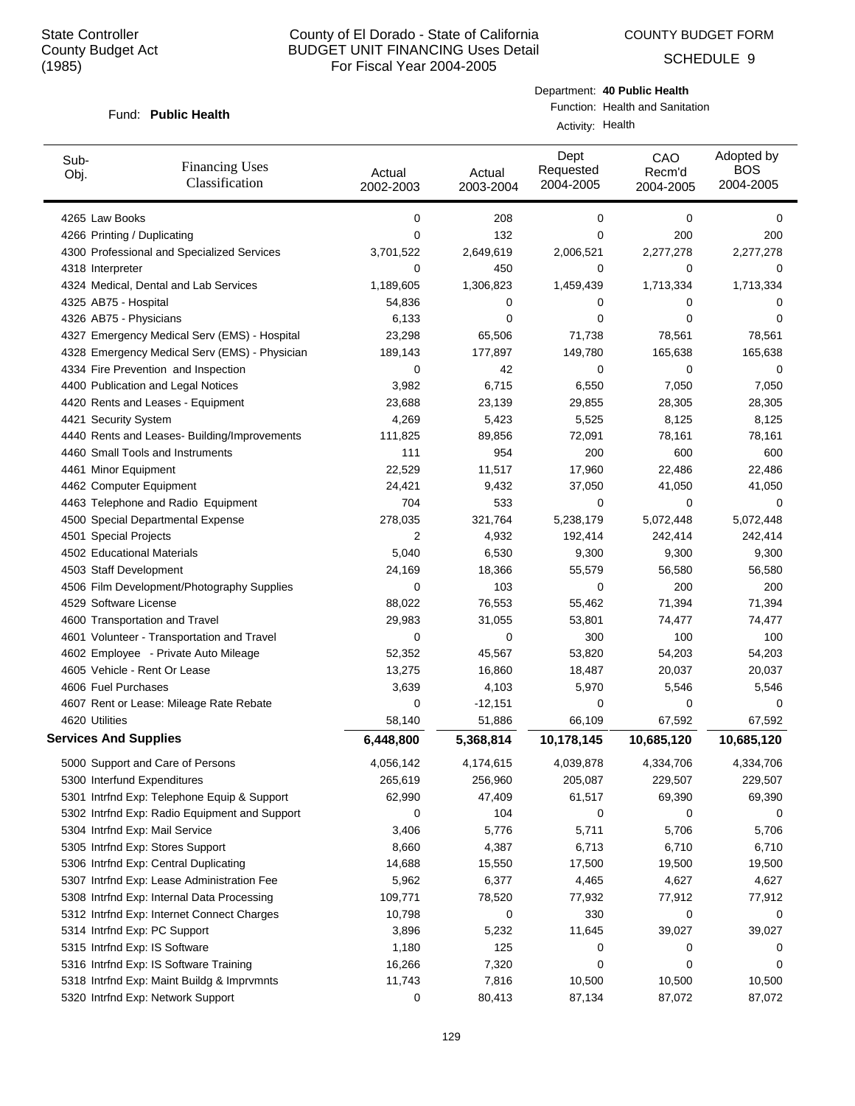SCHEDULE 9

#### Fund: Public Health

Department: **40 Public Health** Function: Health and Sanitation

Activity: Health

| Sub-<br>Obj.                 | <b>Financing Uses</b><br>Classification       | Actual<br>2002-2003 | Actual<br>2003-2004 | Dept<br>Requested<br>2004-2005 | CAO<br>Recm'd<br>2004-2005 | Adopted by<br><b>BOS</b><br>2004-2005 |
|------------------------------|-----------------------------------------------|---------------------|---------------------|--------------------------------|----------------------------|---------------------------------------|
| 4265 Law Books               |                                               | 0                   | 208                 | 0                              | 0                          | 0                                     |
| 4266 Printing / Duplicating  |                                               | 0                   | 132                 | 0                              | 200                        | 200                                   |
|                              | 4300 Professional and Specialized Services    | 3,701,522           | 2,649,619           | 2,006,521                      | 2,277,278                  | 2,277,278                             |
| 4318 Interpreter             |                                               | 0                   | 450                 | 0                              | $\mathbf 0$                | 0                                     |
|                              | 4324 Medical, Dental and Lab Services         | 1,189,605           | 1,306,823           | 1,459,439                      | 1,713,334                  | 1,713,334                             |
| 4325 AB75 - Hospital         |                                               | 54,836              | 0                   | 0                              | 0                          | 0                                     |
| 4326 AB75 - Physicians       |                                               | 6,133               | 0                   | 0                              | 0                          | $\Omega$                              |
|                              | 4327 Emergency Medical Serv (EMS) - Hospital  | 23,298              | 65,506              | 71,738                         | 78,561                     | 78,561                                |
|                              | 4328 Emergency Medical Serv (EMS) - Physician | 189,143             | 177,897             | 149,780                        | 165,638                    | 165,638                               |
|                              | 4334 Fire Prevention and Inspection           | 0                   | 42                  | 0                              | 0                          | 0                                     |
|                              | 4400 Publication and Legal Notices            | 3,982               | 6,715               | 6,550                          | 7,050                      | 7,050                                 |
|                              | 4420 Rents and Leases - Equipment             | 23,688              | 23,139              | 29,855                         | 28,305                     | 28,305                                |
| 4421 Security System         |                                               | 4,269               | 5,423               | 5,525                          | 8,125                      | 8,125                                 |
|                              | 4440 Rents and Leases- Building/Improvements  | 111,825             | 89,856              | 72,091                         | 78,161                     | 78,161                                |
|                              | 4460 Small Tools and Instruments              | 111                 | 954                 | 200                            | 600                        | 600                                   |
| 4461 Minor Equipment         |                                               | 22,529              | 11,517              | 17,960                         | 22,486                     | 22,486                                |
| 4462 Computer Equipment      |                                               | 24,421              | 9,432               | 37,050                         | 41,050                     | 41,050                                |
|                              | 4463 Telephone and Radio Equipment            | 704                 | 533                 | 0                              | $\mathbf 0$                | 0                                     |
|                              | 4500 Special Departmental Expense             | 278,035             | 321,764             | 5,238,179                      | 5,072,448                  | 5,072,448                             |
| 4501 Special Projects        |                                               | 2                   | 4,932               | 192,414                        | 242,414                    | 242,414                               |
| 4502 Educational Materials   |                                               | 5,040               | 6,530               | 9,300                          | 9,300                      | 9,300                                 |
| 4503 Staff Development       |                                               | 24,169              | 18,366              | 55,579                         | 56,580                     | 56,580                                |
|                              | 4506 Film Development/Photography Supplies    | 0                   | 103                 | 0                              | 200                        | 200                                   |
| 4529 Software License        |                                               | 88,022              | 76,553              | 55,462                         | 71,394                     | 71,394                                |
|                              | 4600 Transportation and Travel                | 29,983              | 31,055              | 53,801                         | 74,477                     | 74,477                                |
|                              | 4601 Volunteer - Transportation and Travel    | 0                   | 0                   | 300                            | 100                        | 100                                   |
|                              | 4602 Employee - Private Auto Mileage          | 52,352              | 45,567              | 53,820                         | 54,203                     | 54,203                                |
|                              | 4605 Vehicle - Rent Or Lease                  | 13,275              | 16,860              | 18,487                         | 20,037                     | 20,037                                |
| 4606 Fuel Purchases          |                                               | 3,639               | 4,103               | 5,970                          | 5,546                      | 5,546                                 |
|                              | 4607 Rent or Lease: Mileage Rate Rebate       | 0                   | $-12,151$           | 0                              | 0                          | 0                                     |
| 4620 Utilities               |                                               | 58,140              | 51,886              | 66,109                         | 67,592                     | 67,592                                |
| <b>Services And Supplies</b> |                                               | 6,448,800           | 5,368,814           | 10,178,145                     | 10,685,120                 | 10,685,120                            |
|                              | 5000 Support and Care of Persons              | 4,056,142           | 4,174,615           | 4,039,878                      | 4,334,706                  | 4,334,706                             |
| 5300 Interfund Expenditures  |                                               | 265,619             | 256,960             | 205,087                        | 229,507                    | 229,507                               |
|                              | 5301 Intrfnd Exp: Telephone Equip & Support   | 62,990              | 47,409              | 61,517                         | 69,390                     | 69,390                                |
|                              | 5302 Intrfnd Exp: Radio Equipment and Support | 0                   | 104                 | 0                              | 0                          | 0                                     |
|                              | 5304 Intrfnd Exp: Mail Service                | 3,406               | 5,776               | 5,711                          | 5,706                      | 5,706                                 |
|                              | 5305 Intrfnd Exp: Stores Support              | 8,660               | 4,387               | 6,713                          | 6,710                      | 6,710                                 |
|                              | 5306 Intrfnd Exp: Central Duplicating         | 14,688              | 15,550              | 17,500                         | 19,500                     | 19,500                                |
|                              | 5307 Intrfnd Exp: Lease Administration Fee    | 5,962               | 6,377               | 4,465                          | 4,627                      | 4,627                                 |
|                              | 5308 Intrfnd Exp: Internal Data Processing    | 109,771             | 78,520              | 77,932                         | 77,912                     | 77,912                                |
|                              | 5312 Intrfnd Exp: Internet Connect Charges    | 10,798              | 0                   | 330                            | 0                          | 0                                     |
|                              | 5314 Intrfnd Exp: PC Support                  | 3,896               | 5,232               | 11,645                         | 39,027                     | 39,027                                |
|                              | 5315 Intrfnd Exp: IS Software                 | 1,180               | 125                 | 0                              | 0                          | 0                                     |
|                              | 5316 Intrfnd Exp: IS Software Training        | 16,266              | 7,320               | 0                              | 0                          | 0                                     |
|                              | 5318 Intrfnd Exp: Maint Buildg & Imprvmnts    | 11,743              | 7,816               | 10,500                         | 10,500                     | 10,500                                |
|                              | 5320 Intrfnd Exp: Network Support             | 0                   | 80,413              | 87,134                         | 87,072                     | 87,072                                |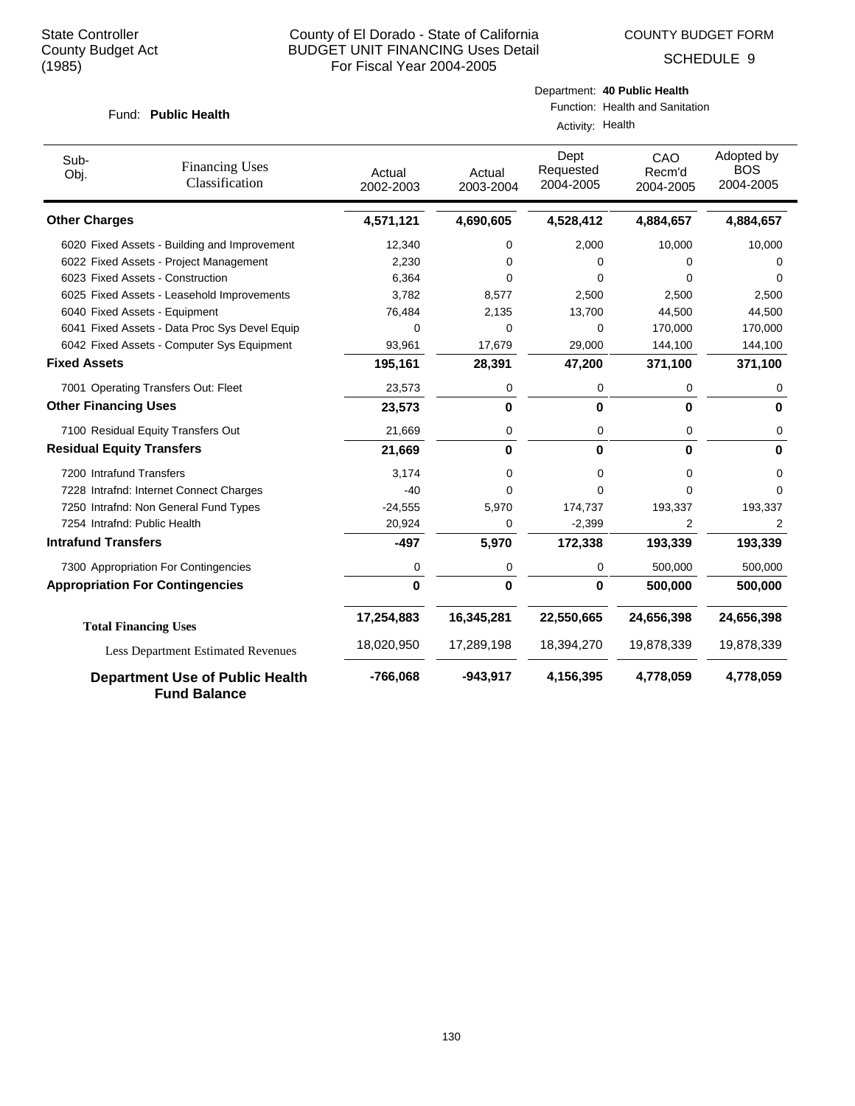SCHEDULE 9

#### Fund: Public Health

Function: Health and Sanitation Activity: Health

| Sub-<br>Obj.                     | <b>Financing Uses</b><br>Classification                       | Actual<br>2002-2003 | Actual<br>2003-2004 | Dept<br>Requested<br>2004-2005 | CAO<br>Recm'd<br>2004-2005 | Adopted by<br><b>BOS</b><br>2004-2005 |
|----------------------------------|---------------------------------------------------------------|---------------------|---------------------|--------------------------------|----------------------------|---------------------------------------|
| <b>Other Charges</b>             |                                                               | 4,571,121           | 4,690,605           | 4,528,412                      | 4,884,657                  | 4,884,657                             |
|                                  | 6020 Fixed Assets - Building and Improvement                  | 12,340              | 0                   | 2,000                          | 10,000                     | 10,000                                |
|                                  | 6022 Fixed Assets - Project Management                        | 2,230               | 0                   | 0                              | 0                          | 0                                     |
|                                  | 6023 Fixed Assets - Construction                              | 6,364               | $\Omega$            | 0                              | 0                          | 0                                     |
|                                  | 6025 Fixed Assets - Leasehold Improvements                    | 3,782               | 8,577               | 2,500                          | 2,500                      | 2,500                                 |
|                                  | 6040 Fixed Assets - Equipment                                 | 76,484              | 2,135               | 13,700                         | 44,500                     | 44,500                                |
|                                  | 6041 Fixed Assets - Data Proc Sys Devel Equip                 | 0                   | 0                   | 0                              | 170,000                    | 170,000                               |
|                                  | 6042 Fixed Assets - Computer Sys Equipment                    | 93,961              | 17,679              | 29,000                         | 144,100                    | 144,100                               |
| <b>Fixed Assets</b>              |                                                               | 195,161             | 28,391              | 47,200                         | 371,100                    | 371,100                               |
|                                  | 7001 Operating Transfers Out: Fleet                           | 23,573              | 0                   | 0                              | 0                          | 0                                     |
| <b>Other Financing Uses</b>      |                                                               | 23,573              | 0                   | 0                              | 0                          | 0                                     |
|                                  | 7100 Residual Equity Transfers Out                            | 21,669              | 0                   | 0                              | 0                          | 0                                     |
| <b>Residual Equity Transfers</b> |                                                               | 21,669              | 0                   | $\bf{0}$                       | $\bf{0}$                   | 0                                     |
| 7200 Intrafund Transfers         |                                                               | 3,174               | 0                   | 0                              | 0                          | 0                                     |
|                                  | 7228 Intrafnd: Internet Connect Charges                       | $-40$               | 0                   | 0                              | $\Omega$                   | 0                                     |
|                                  | 7250 Intrafnd: Non General Fund Types                         | $-24,555$           | 5,970               | 174,737                        | 193,337                    | 193,337                               |
| 7254 Intrafnd: Public Health     |                                                               | 20,924              | 0                   | $-2,399$                       | 2                          | 2                                     |
| <b>Intrafund Transfers</b>       |                                                               | $-497$              | 5,970               | 172,338                        | 193,339                    | 193,339                               |
|                                  | 7300 Appropriation For Contingencies                          | 0                   | 0                   | 0                              | 500,000                    | 500,000                               |
|                                  | <b>Appropriation For Contingencies</b>                        | 0                   | 0                   | 0                              | 500,000                    | 500,000                               |
|                                  | <b>Total Financing Uses</b>                                   | 17,254,883          | 16,345,281          | 22,550,665                     | 24,656,398                 | 24,656,398                            |
|                                  | <b>Less Department Estimated Revenues</b>                     | 18,020,950          | 17,289,198          | 18,394,270                     | 19,878,339                 | 19,878,339                            |
|                                  | <b>Department Use of Public Health</b><br><b>Fund Balance</b> | $-766,068$          | $-943,917$          | 4,156,395                      | 4,778,059                  | 4,778,059                             |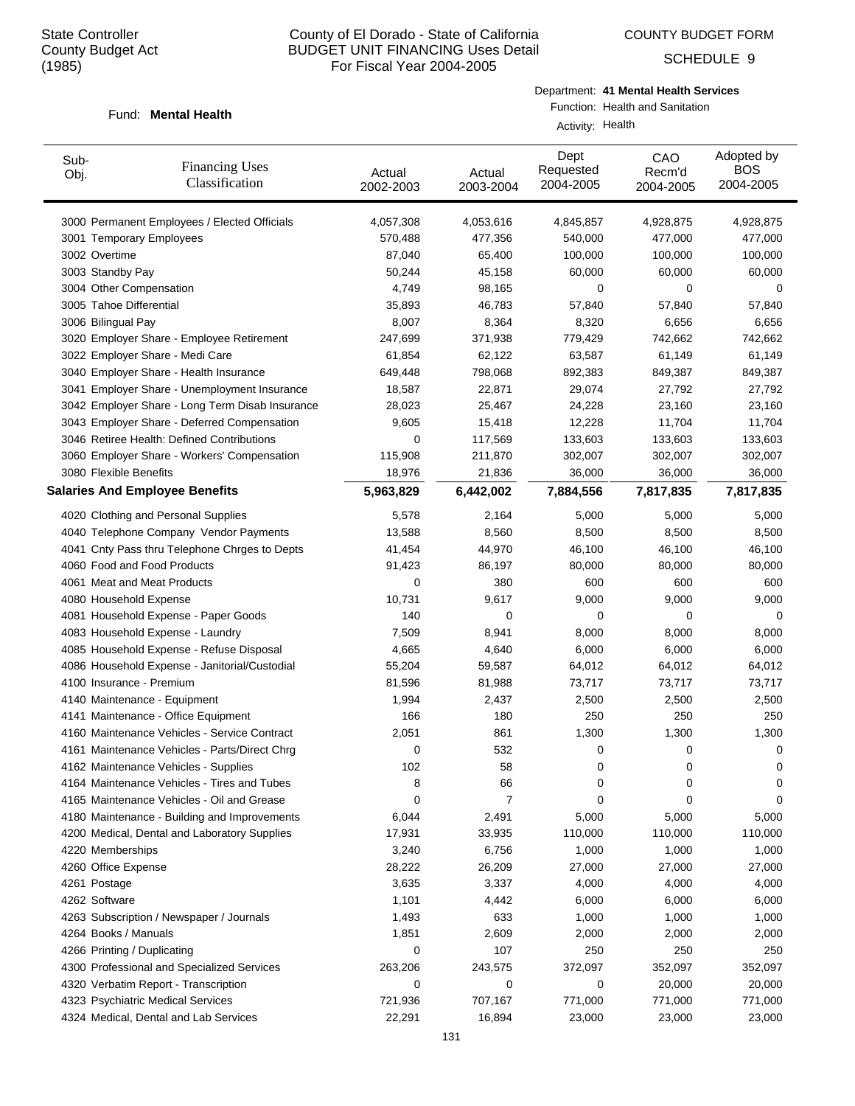COUNTY BUDGET FORM

SCHEDULE 9

#### Fund: Mental Health

Department: **41 Mental Health Services**

Function: Health and Sanitation Activity: Health

| Sub-<br>Obj.                | <b>Financing Uses</b><br>Classification         | Actual<br>2002-2003 | Actual<br>2003-2004 | Dept<br>Requested<br>2004-2005 | CAO<br>Recm'd<br>2004-2005 | Adopted by<br><b>BOS</b><br>2004-2005 |
|-----------------------------|-------------------------------------------------|---------------------|---------------------|--------------------------------|----------------------------|---------------------------------------|
|                             | 3000 Permanent Employees / Elected Officials    | 4,057,308           | 4,053,616           | 4,845,857                      | 4,928,875                  | 4,928,875                             |
|                             | 3001 Temporary Employees                        | 570,488             | 477,356             | 540,000                        | 477,000                    | 477,000                               |
| 3002 Overtime               |                                                 | 87,040              | 65,400              | 100,000                        | 100,000                    | 100,000                               |
| 3003 Standby Pay            |                                                 | 50,244              | 45,158              | 60,000                         | 60,000                     | 60,000                                |
| 3004 Other Compensation     |                                                 | 4,749               | 98,165              | 0                              | 0                          | 0                                     |
| 3005 Tahoe Differential     |                                                 | 35,893              | 46,783              | 57,840                         | 57,840                     | 57,840                                |
| 3006 Bilingual Pay          |                                                 | 8,007               | 8,364               | 8,320                          | 6,656                      | 6,656                                 |
|                             | 3020 Employer Share - Employee Retirement       | 247,699             | 371,938             | 779,429                        | 742,662                    | 742,662                               |
|                             | 3022 Employer Share - Medi Care                 | 61,854              | 62,122              | 63,587                         | 61,149                     | 61,149                                |
|                             | 3040 Employer Share - Health Insurance          | 649,448             | 798,068             | 892,383                        | 849,387                    | 849,387                               |
|                             | 3041 Employer Share - Unemployment Insurance    | 18,587              | 22,871              | 29,074                         | 27,792                     | 27,792                                |
|                             | 3042 Employer Share - Long Term Disab Insurance | 28,023              | 25,467              | 24,228                         | 23,160                     | 23,160                                |
|                             | 3043 Employer Share - Deferred Compensation     | 9,605               | 15,418              | 12,228                         | 11,704                     | 11,704                                |
|                             | 3046 Retiree Health: Defined Contributions      | 0                   | 117,569             | 133,603                        | 133,603                    | 133,603                               |
|                             | 3060 Employer Share - Workers' Compensation     | 115,908             | 211,870             | 302,007                        | 302,007                    | 302,007                               |
| 3080 Flexible Benefits      |                                                 | 18,976              | 21,836              | 36,000                         | 36,000                     | 36,000                                |
|                             | <b>Salaries And Employee Benefits</b>           | 5,963,829           | 6,442,002           | 7,884,556                      | 7,817,835                  | 7,817,835                             |
|                             | 4020 Clothing and Personal Supplies             | 5,578               | 2,164               | 5,000                          | 5,000                      | 5,000                                 |
|                             | 4040 Telephone Company Vendor Payments          | 13,588              | 8,560               | 8,500                          | 8,500                      | 8,500                                 |
|                             | 4041 Cnty Pass thru Telephone Chrges to Depts   | 41,454              | 44,970              | 46,100                         | 46,100                     | 46,100                                |
|                             | 4060 Food and Food Products                     | 91,423              | 86,197              | 80,000                         | 80,000                     | 80,000                                |
|                             | 4061 Meat and Meat Products                     | 0                   | 380                 | 600                            | 600                        | 600                                   |
| 4080 Household Expense      |                                                 | 10,731              | 9,617               | 9,000                          | 9,000                      | 9,000                                 |
|                             | 4081 Household Expense - Paper Goods            | 140                 | 0                   | 0                              | 0                          | 0                                     |
|                             | 4083 Household Expense - Laundry                | 7,509               | 8,941               | 8,000                          | 8,000                      | 8,000                                 |
|                             | 4085 Household Expense - Refuse Disposal        | 4,665               | 4,640               | 6,000                          | 6,000                      | 6,000                                 |
|                             | 4086 Household Expense - Janitorial/Custodial   | 55,204              | 59,587              | 64,012                         | 64,012                     | 64,012                                |
|                             | 4100 Insurance - Premium                        | 81,596              | 81,988              | 73,717                         | 73,717                     | 73,717                                |
|                             | 4140 Maintenance - Equipment                    | 1,994               | 2,437               | 2,500                          | 2,500                      | 2,500                                 |
|                             | 4141 Maintenance - Office Equipment             | 166                 | 180                 | 250                            | 250                        | 250                                   |
|                             | 4160 Maintenance Vehicles - Service Contract    | 2,051               | 861                 | 1,300                          | 1,300                      | 1,300                                 |
|                             | 4161 Maintenance Vehicles - Parts/Direct Chrg   | 0                   | 532                 | 0                              | 0                          | 0                                     |
|                             | 4162 Maintenance Vehicles - Supplies            | 102                 | 58                  | 0                              | 0                          | 0                                     |
|                             | 4164 Maintenance Vehicles - Tires and Tubes     | 8                   | 66                  | 0                              | 0                          | 0                                     |
|                             | 4165 Maintenance Vehicles - Oil and Grease      | 0                   | 7                   | 0                              | 0                          | 0                                     |
|                             | 4180 Maintenance - Building and Improvements    | 6,044               | 2,491               | 5,000                          | 5,000                      | 5,000                                 |
|                             | 4200 Medical, Dental and Laboratory Supplies    | 17,931              | 33,935              | 110,000                        | 110,000                    | 110,000                               |
| 4220 Memberships            |                                                 | 3,240               | 6,756               | 1,000                          | 1,000                      | 1,000                                 |
| 4260 Office Expense         |                                                 |                     |                     |                                |                            | 27,000                                |
|                             |                                                 | 28,222              | 26,209              | 27,000                         | 27,000                     |                                       |
| 4261 Postage                |                                                 | 3,635               | 3,337               | 4,000                          | 4,000                      | 4,000                                 |
| 4262 Software               |                                                 | 1,101               | 4,442               | 6,000                          | 6,000                      | 6,000                                 |
|                             | 4263 Subscription / Newspaper / Journals        | 1,493               | 633                 | 1,000                          | 1,000                      | 1,000                                 |
| 4264 Books / Manuals        |                                                 | 1,851               | 2,609               | 2,000                          | 2,000                      | 2,000                                 |
| 4266 Printing / Duplicating |                                                 | 0                   | 107                 | 250                            | 250                        | 250                                   |
|                             | 4300 Professional and Specialized Services      | 263,206             | 243,575             | 372,097                        | 352,097                    | 352,097                               |
|                             | 4320 Verbatim Report - Transcription            | 0                   | 0                   | 0                              | 20,000                     | 20,000                                |
|                             | 4323 Psychiatric Medical Services               | 721,936             | 707,167             | 771,000                        | 771,000                    | 771,000                               |
|                             | 4324 Medical, Dental and Lab Services           | 22,291              | 16,894              | 23,000                         | 23,000                     | 23,000                                |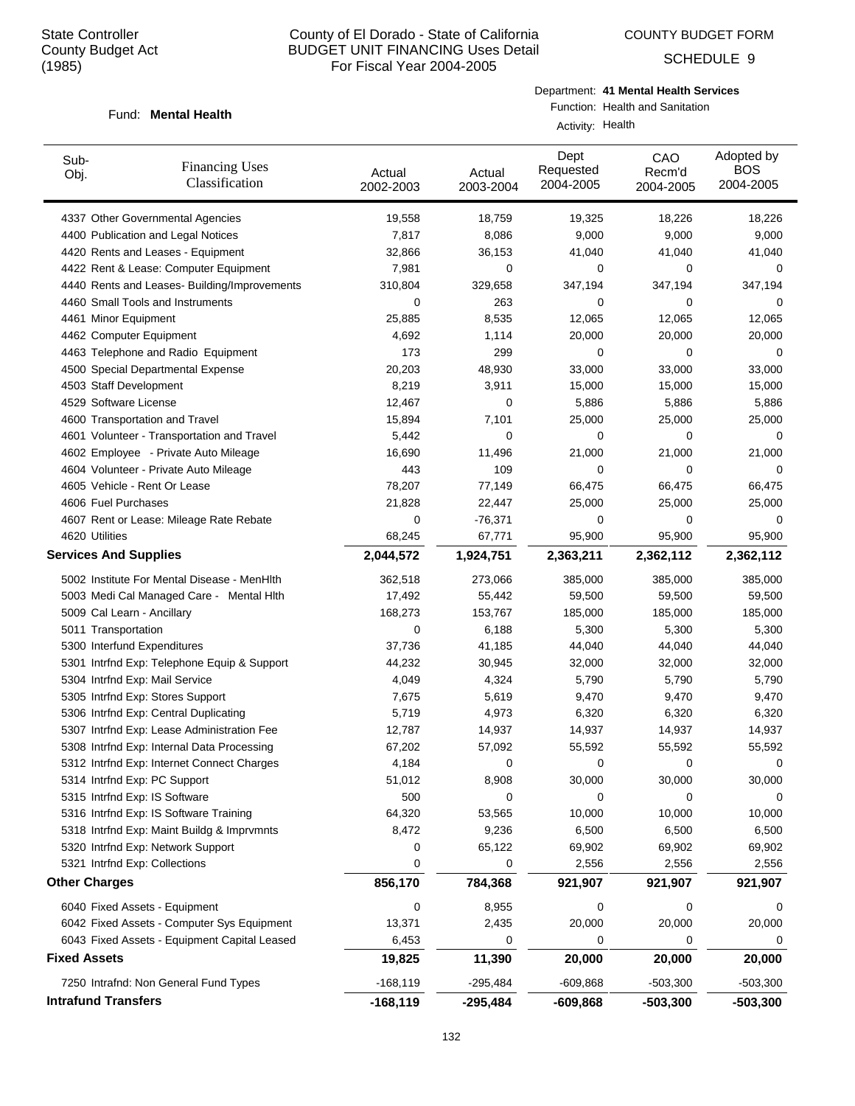SCHEDULE 9

#### Fund: Mental Health

Department: **41 Mental Health Services**

Function: Health and Sanitation Activity: Health

| Sub-<br><b>Financing Uses</b><br>Obj.<br>Classification | Actual<br>2002-2003 | Actual<br>2003-2004 | Dept<br>Requested<br>2004-2005 | CAO<br>Recm'd<br>2004-2005 | Adopted by<br><b>BOS</b><br>2004-2005 |
|---------------------------------------------------------|---------------------|---------------------|--------------------------------|----------------------------|---------------------------------------|
| 4337 Other Governmental Agencies                        | 19,558              | 18,759              | 19,325                         | 18,226                     | 18,226                                |
| 4400 Publication and Legal Notices                      | 7,817               | 8,086               | 9,000                          | 9,000                      | 9,000                                 |
| 4420 Rents and Leases - Equipment                       | 32,866              | 36,153              | 41,040                         | 41,040                     | 41,040                                |
| 4422 Rent & Lease: Computer Equipment                   | 7,981               | 0                   | 0                              | 0                          | 0                                     |
| 4440 Rents and Leases- Building/Improvements            | 310,804             | 329,658             | 347,194                        | 347,194                    | 347,194                               |
| 4460 Small Tools and Instruments                        | 0                   | 263                 | 0                              | 0                          | 0                                     |
| 4461 Minor Equipment                                    | 25,885              | 8,535               | 12,065                         | 12,065                     | 12,065                                |
| 4462 Computer Equipment                                 | 4,692               | 1,114               | 20,000                         | 20,000                     | 20,000                                |
| 4463 Telephone and Radio Equipment                      | 173                 | 299                 | 0                              | 0                          | 0                                     |
| 4500 Special Departmental Expense                       | 20,203              | 48,930              | 33,000                         | 33,000                     | 33,000                                |
| 4503 Staff Development                                  | 8,219               | 3,911               | 15,000                         | 15,000                     | 15,000                                |
| 4529 Software License                                   | 12,467              | 0                   | 5,886                          | 5,886                      | 5,886                                 |
| 4600 Transportation and Travel                          | 15,894              | 7,101               | 25,000                         | 25,000                     | 25,000                                |
| 4601 Volunteer - Transportation and Travel              | 5,442               | 0                   | 0                              | 0                          | 0                                     |
| 4602 Employee - Private Auto Mileage                    | 16,690              | 11,496              | 21,000                         | 21,000                     | 21,000                                |
| 4604 Volunteer - Private Auto Mileage                   | 443                 | 109                 | 0                              | 0                          | 0                                     |
| 4605 Vehicle - Rent Or Lease                            | 78,207              | 77,149              | 66,475                         | 66,475                     | 66,475                                |
| 4606 Fuel Purchases                                     | 21,828              | 22,447              | 25,000                         | 25,000                     | 25,000                                |
| 4607 Rent or Lease: Mileage Rate Rebate                 | 0                   | $-76,371$           | 0                              | 0                          | 0                                     |
| 4620 Utilities                                          | 68,245              | 67,771              | 95,900                         | 95,900                     | 95,900                                |
| <b>Services And Supplies</b>                            | 2,044,572           | 1,924,751           | 2,363,211                      | 2,362,112                  | 2,362,112                             |
| 5002 Institute For Mental Disease - MenHlth             | 362,518             | 273,066             | 385,000                        | 385,000                    | 385,000                               |
| 5003 Medi Cal Managed Care - Mental Hith                | 17,492              | 55,442              | 59,500                         | 59,500                     | 59,500                                |
| 5009 Cal Learn - Ancillary                              | 168,273             | 153,767             | 185,000                        | 185,000                    | 185,000                               |
| 5011 Transportation                                     | 0                   | 6,188               | 5,300                          | 5,300                      | 5,300                                 |
| 5300 Interfund Expenditures                             | 37,736              | 41,185              | 44,040                         | 44,040                     | 44,040                                |
| 5301 Intrfnd Exp: Telephone Equip & Support             | 44,232              | 30,945              | 32,000                         | 32,000                     | 32,000                                |
| 5304 Intrfnd Exp: Mail Service                          | 4,049               | 4,324               | 5,790                          | 5,790                      | 5,790                                 |
| 5305 Intrfnd Exp: Stores Support                        | 7,675               | 5,619               | 9,470                          | 9,470                      | 9,470                                 |
| 5306 Intrfnd Exp: Central Duplicating                   | 5,719               | 4,973               | 6,320                          | 6,320                      | 6,320                                 |
| 5307 Intrfnd Exp: Lease Administration Fee              | 12,787              | 14,937              | 14,937                         | 14,937                     | 14,937                                |
| 5308 Intrfnd Exp: Internal Data Processing              | 67,202              | 57,092              | 55,592                         | 55,592                     | 55,592                                |
| 5312 Intrfnd Exp: Internet Connect Charges              | 4,184               | $\Omega$            | $\Omega$                       | $\Omega$                   | 0                                     |
| 5314 Intrfnd Exp: PC Support                            | 51,012              | 8,908               | 30,000                         | 30,000                     | 30,000                                |
| 5315 Intrfnd Exp: IS Software                           | 500                 | 0                   | 0                              | 0                          | 0                                     |
| 5316 Intrfnd Exp: IS Software Training                  | 64,320              | 53,565              | 10,000                         | 10,000                     | 10,000                                |
| 5318 Intrfnd Exp: Maint Buildg & Imprvmnts              | 8,472               | 9,236               | 6,500                          | 6,500                      | 6,500                                 |
| 5320 Intrfnd Exp: Network Support                       | 0                   | 65,122              | 69,902                         | 69,902                     | 69,902                                |
| 5321 Intrfnd Exp: Collections                           | 0                   | 0                   | 2,556                          | 2,556                      | 2,556                                 |
| <b>Other Charges</b>                                    | 856,170             | 784,368             | 921,907                        | 921,907                    | 921,907                               |
| 6040 Fixed Assets - Equipment                           | 0                   | 8,955               | 0                              | 0                          | 0                                     |
| 6042 Fixed Assets - Computer Sys Equipment              | 13,371              | 2,435               | 20,000                         | 20,000                     | 20,000                                |
| 6043 Fixed Assets - Equipment Capital Leased            | 6,453               | 0                   | 0                              | 0                          | 0                                     |
| <b>Fixed Assets</b>                                     | 19,825              | 11,390              | 20,000                         | 20,000                     | 20,000                                |
| 7250 Intrafnd: Non General Fund Types                   | $-168, 119$         | $-295,484$          | $-609,868$                     | $-503,300$                 | $-503,300$                            |
| <b>Intrafund Transfers</b>                              | $-168, 119$         | -295,484            | $-609,868$                     | $-503,300$                 | $-503,300$                            |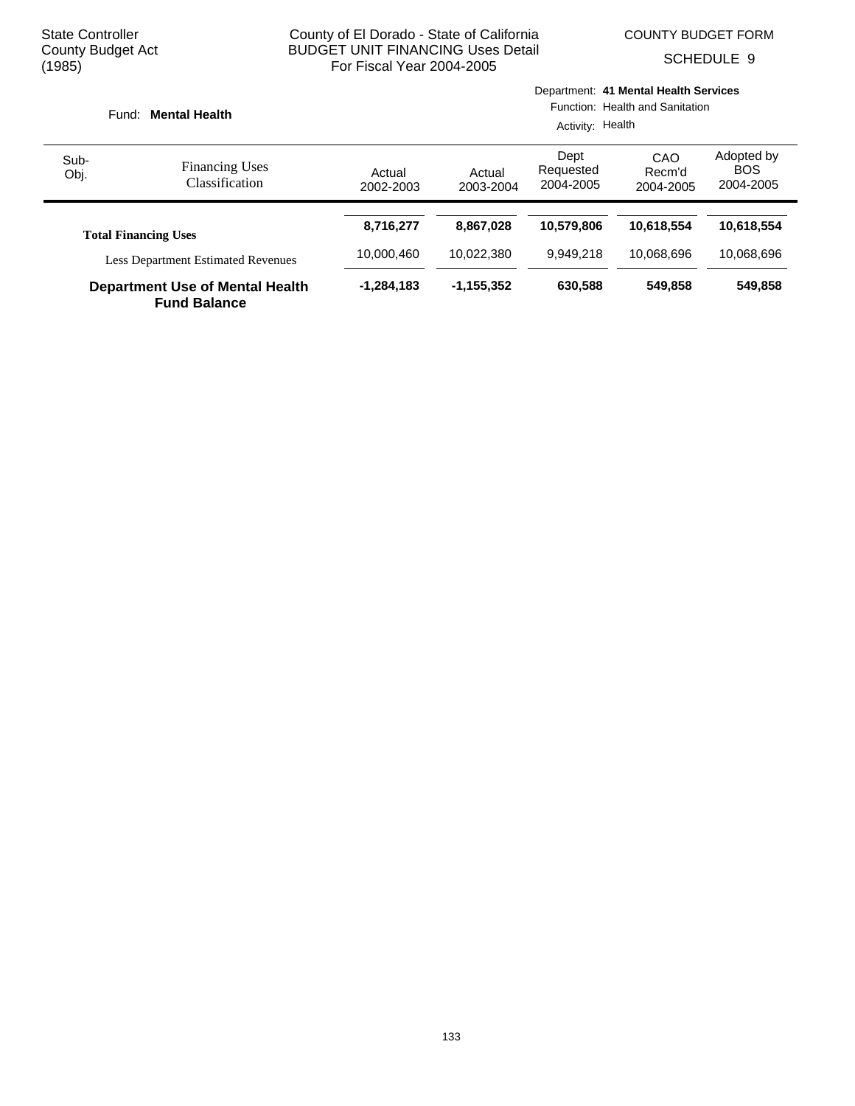SCHEDULE 9

| Fund:        | <b>Mental Health</b>                                          |                     |                     | Activity: Health               | Department: 41 Mental Health Services<br>Function: Health and Sanitation |                                       |
|--------------|---------------------------------------------------------------|---------------------|---------------------|--------------------------------|--------------------------------------------------------------------------|---------------------------------------|
| Sub-<br>Obj. | <b>Financing Uses</b><br>Classification                       | Actual<br>2002-2003 | Actual<br>2003-2004 | Dept<br>Requested<br>2004-2005 | CAO<br>Recm'd<br>2004-2005                                               | Adopted by<br><b>BOS</b><br>2004-2005 |
|              | <b>Total Financing Uses</b>                                   | 8,716,277           | 8.867.028           | 10,579,806                     | 10.618.554                                                               | 10,618,554                            |
|              | <b>Less Department Estimated Revenues</b>                     | 10,000,460          | 10.022.380          | 9,949,218                      | 10.068.696                                                               | 10,068,696                            |
|              | <b>Department Use of Mental Health</b><br><b>Fund Balance</b> | $-1,284,183$        | $-1, 155, 352$      | 630,588                        | 549.858                                                                  | 549,858                               |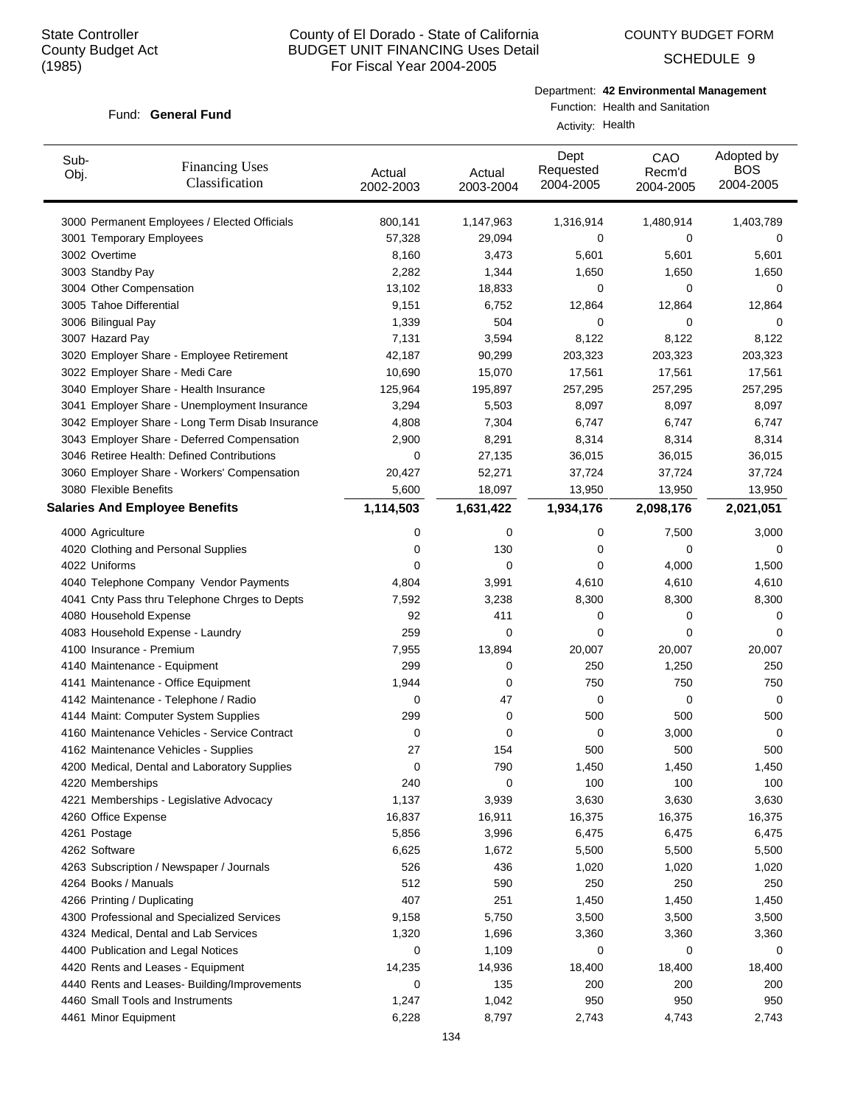COUNTY BUDGET FORM

SCHEDULE 9

## Fund: General Fund

Department: **42 Environmental Management**

Function: Health and Sanitation

Activity: Health

| Sub-<br>Obj.                | <b>Financing Uses</b><br>Classification         | Actual<br>2002-2003 | Actual<br>2003-2004 | Dept<br>Requested<br>2004-2005 | CAO<br>Recm'd<br>2004-2005 | Adopted by<br><b>BOS</b><br>2004-2005 |
|-----------------------------|-------------------------------------------------|---------------------|---------------------|--------------------------------|----------------------------|---------------------------------------|
|                             | 3000 Permanent Employees / Elected Officials    | 800,141             | 1,147,963           | 1,316,914                      | 1,480,914                  | 1,403,789                             |
|                             | 3001 Temporary Employees                        | 57,328              | 29,094              | 0                              | 0                          | 0                                     |
| 3002 Overtime               |                                                 | 8,160               | 3,473               | 5,601                          | 5,601                      | 5,601                                 |
| 3003 Standby Pay            |                                                 | 2,282               | 1,344               | 1,650                          | 1,650                      | 1,650                                 |
| 3004 Other Compensation     |                                                 | 13,102              | 18,833              | 0                              | 0                          | 0                                     |
| 3005 Tahoe Differential     |                                                 | 9,151               | 6,752               | 12,864                         | 12,864                     | 12,864                                |
| 3006 Bilingual Pay          |                                                 | 1,339               | 504                 | 0                              | 0                          | 0                                     |
| 3007 Hazard Pay             |                                                 | 7,131               | 3,594               | 8,122                          | 8,122                      | 8,122                                 |
|                             | 3020 Employer Share - Employee Retirement       | 42,187              | 90,299              | 203,323                        | 203,323                    | 203,323                               |
|                             | 3022 Employer Share - Medi Care                 | 10,690              | 15,070              | 17,561                         | 17,561                     | 17,561                                |
|                             | 3040 Employer Share - Health Insurance          | 125,964             | 195,897             | 257,295                        | 257,295                    | 257,295                               |
|                             | 3041 Employer Share - Unemployment Insurance    | 3,294               | 5,503               | 8,097                          | 8,097                      | 8,097                                 |
|                             | 3042 Employer Share - Long Term Disab Insurance | 4,808               | 7,304               | 6,747                          | 6,747                      | 6,747                                 |
|                             | 3043 Employer Share - Deferred Compensation     | 2,900               | 8,291               | 8,314                          | 8,314                      | 8,314                                 |
|                             | 3046 Retiree Health: Defined Contributions      | 0                   | 27,135              | 36,015                         | 36,015                     | 36,015                                |
|                             | 3060 Employer Share - Workers' Compensation     | 20,427              | 52,271              | 37,724                         | 37,724                     | 37,724                                |
| 3080 Flexible Benefits      |                                                 | 5,600               | 18,097              | 13,950                         | 13,950                     | 13,950                                |
|                             | <b>Salaries And Employee Benefits</b>           | 1,114,503           | 1,631,422           | 1,934,176                      | 2,098,176                  | 2,021,051                             |
| 4000 Agriculture            |                                                 | 0                   | 0                   | 0                              | 7,500                      | 3,000                                 |
|                             | 4020 Clothing and Personal Supplies             | 0                   | 130                 | 0                              | 0                          | 0                                     |
| 4022 Uniforms               |                                                 | 0                   | 0                   | 0                              | 4,000                      | 1,500                                 |
|                             | 4040 Telephone Company Vendor Payments          | 4,804               | 3,991               | 4,610                          | 4,610                      | 4,610                                 |
|                             | 4041 Cnty Pass thru Telephone Chrges to Depts   | 7,592               | 3,238               | 8,300                          | 8,300                      | 8,300                                 |
| 4080 Household Expense      |                                                 | 92                  | 411                 | 0                              | 0                          | 0                                     |
|                             | 4083 Household Expense - Laundry                | 259                 | 0                   | 0                              | 0                          | 0                                     |
| 4100 Insurance - Premium    |                                                 | 7,955               | 13,894              | 20,007                         | 20,007                     | 20,007                                |
|                             | 4140 Maintenance - Equipment                    | 299                 | 0                   | 250                            | 1,250                      | 250                                   |
|                             | 4141 Maintenance - Office Equipment             | 1,944               | 0                   | 750                            | 750                        | 750                                   |
|                             | 4142 Maintenance - Telephone / Radio            | 0                   | 47                  | 0                              | 0                          | 0                                     |
|                             | 4144 Maint: Computer System Supplies            | 299                 | 0                   | 500                            | 500                        | 500                                   |
|                             | 4160 Maintenance Vehicles - Service Contract    | 0                   | 0                   | 0                              | 3,000                      | 0                                     |
|                             | 4162 Maintenance Vehicles - Supplies            | 27                  | 154                 | 500                            | 500                        | 500                                   |
|                             | 4200 Medical, Dental and Laboratory Supplies    | $\mathbf 0$         | 790                 | 1,450                          | 1,450                      | 1,450                                 |
| 4220 Memberships            |                                                 | 240                 | 0                   | 100                            | 100                        | 100                                   |
|                             | 4221 Memberships - Legislative Advocacy         | 1,137               | 3,939               | 3,630                          | 3,630                      | 3,630                                 |
| 4260 Office Expense         |                                                 | 16,837              | 16,911              | 16,375                         | 16,375                     | 16,375                                |
| 4261 Postage                |                                                 | 5,856               | 3,996               | 6,475                          | 6,475                      | 6,475                                 |
| 4262 Software               |                                                 | 6,625               | 1,672               | 5,500                          | 5,500                      | 5,500                                 |
|                             | 4263 Subscription / Newspaper / Journals        | 526                 | 436                 | 1,020                          | 1,020                      | 1,020                                 |
| 4264 Books / Manuals        |                                                 | 512                 | 590                 | 250                            | 250                        | 250                                   |
| 4266 Printing / Duplicating |                                                 | 407                 | 251                 | 1,450                          | 1,450                      | 1,450                                 |
|                             | 4300 Professional and Specialized Services      | 9,158               | 5,750               | 3,500                          | 3,500                      | 3,500                                 |
|                             | 4324 Medical, Dental and Lab Services           | 1,320               | 1,696               | 3,360                          | 3,360                      | 3,360                                 |
|                             | 4400 Publication and Legal Notices              | 0                   | 1,109               | 0                              | 0                          | 0                                     |
|                             | 4420 Rents and Leases - Equipment               | 14,235              | 14,936              | 18,400                         | 18,400                     | 18,400                                |
|                             | 4440 Rents and Leases- Building/Improvements    | 0                   | 135                 | 200                            | 200                        | 200                                   |
|                             | 4460 Small Tools and Instruments                | 1,247               | 1,042               | 950                            | 950                        | 950                                   |
| 4461 Minor Equipment        |                                                 | 6,228               | 8,797               | 2,743                          | 4,743                      | 2,743                                 |
|                             |                                                 |                     |                     |                                |                            |                                       |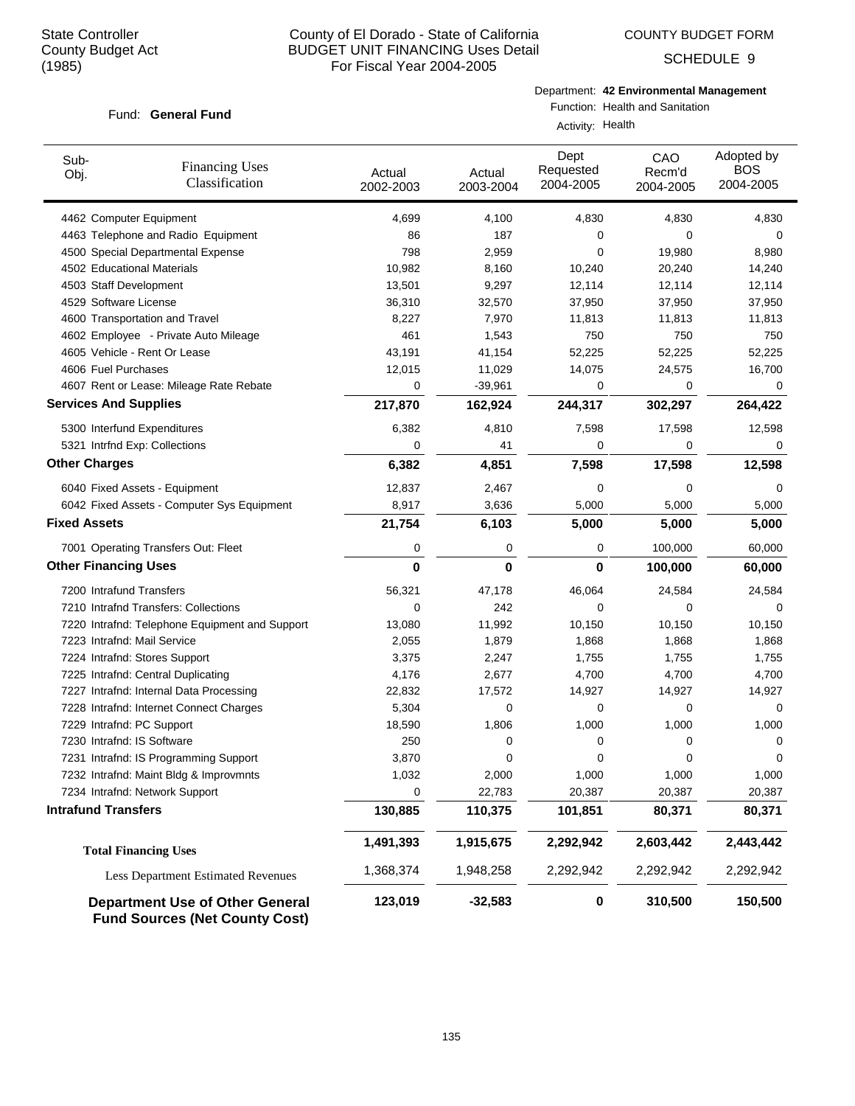COUNTY BUDGET FORM

SCHEDULE 9

## Fund: General Fund

Department: **42 Environmental Management**

Function: Health and Sanitation

Activity: Health

| Sub-<br><b>Financing Uses</b><br>Obj.<br>Classification                         | Actual<br>2002-2003 | Actual<br>2003-2004 | Dept<br>Requested<br>2004-2005 | CAO<br>Recm'd<br>2004-2005 | Adopted by<br><b>BOS</b><br>2004-2005 |
|---------------------------------------------------------------------------------|---------------------|---------------------|--------------------------------|----------------------------|---------------------------------------|
| 4462 Computer Equipment                                                         | 4,699               | 4,100               | 4,830                          | 4,830                      | 4,830                                 |
| 4463 Telephone and Radio Equipment                                              | 86                  | 187                 | 0                              | 0                          | 0                                     |
| 4500 Special Departmental Expense                                               | 798                 | 2,959               | $\mathbf 0$                    | 19,980                     | 8,980                                 |
| 4502 Educational Materials                                                      | 10,982              | 8,160               | 10,240                         | 20,240                     | 14,240                                |
| 4503 Staff Development                                                          | 13,501              | 9,297               | 12,114                         | 12,114                     | 12,114                                |
| 4529 Software License                                                           | 36,310              | 32,570              | 37,950                         | 37,950                     | 37,950                                |
| 4600 Transportation and Travel                                                  | 8,227               | 7,970               | 11,813                         | 11,813                     | 11,813                                |
| 4602 Employee - Private Auto Mileage                                            | 461                 | 1,543               | 750                            | 750                        | 750                                   |
| 4605 Vehicle - Rent Or Lease                                                    | 43,191              | 41,154              | 52,225                         | 52,225                     | 52,225                                |
| 4606 Fuel Purchases                                                             | 12,015              | 11,029              | 14,075                         | 24,575                     | 16,700                                |
| 4607 Rent or Lease: Mileage Rate Rebate                                         | 0                   | $-39,961$           | 0                              | 0                          | 0                                     |
| <b>Services And Supplies</b>                                                    | 217,870             | 162,924             | 244,317                        | 302,297                    | 264,422                               |
| 5300 Interfund Expenditures                                                     | 6,382               | 4,810               | 7,598                          | 17,598                     | 12,598                                |
| 5321 Intrfnd Exp: Collections                                                   | 0                   | 41                  | 0                              | 0                          | $\mathbf 0$                           |
| <b>Other Charges</b>                                                            | 6,382               | 4,851               | 7,598                          | 17,598                     | 12,598                                |
| 6040 Fixed Assets - Equipment                                                   | 12,837              | 2,467               | 0                              | 0                          | 0                                     |
| 6042 Fixed Assets - Computer Sys Equipment                                      | 8,917               | 3,636               | 5,000                          | 5,000                      | 5,000                                 |
| <b>Fixed Assets</b>                                                             | 21,754              | 6,103               | 5,000                          | 5,000                      | 5,000                                 |
| 7001 Operating Transfers Out: Fleet                                             | 0                   | 0                   | 0                              | 100,000                    | 60,000                                |
| <b>Other Financing Uses</b>                                                     | 0                   | 0                   | 0                              | 100,000                    | 60,000                                |
| 7200 Intrafund Transfers                                                        | 56,321              | 47,178              | 46,064                         | 24,584                     | 24,584                                |
| 7210 Intrafnd Transfers: Collections                                            | 0                   | 242                 | 0                              | 0                          | 0                                     |
| 7220 Intrafnd: Telephone Equipment and Support                                  | 13,080              | 11,992              | 10,150                         | 10,150                     | 10,150                                |
| 7223 Intrafnd: Mail Service                                                     | 2,055               | 1,879               | 1,868                          | 1,868                      | 1,868                                 |
| 7224 Intrafnd: Stores Support                                                   | 3,375               | 2,247               | 1,755                          | 1,755                      | 1,755                                 |
| 7225 Intrafnd: Central Duplicating                                              | 4,176               | 2,677               | 4,700                          | 4,700                      | 4,700                                 |
| 7227 Intrafnd: Internal Data Processing                                         | 22,832              | 17,572              | 14,927                         | 14,927                     | 14,927                                |
| 7228 Intrafnd: Internet Connect Charges                                         | 5,304               | 0                   | 0                              | 0                          | 0                                     |
| 7229 Intrafnd: PC Support                                                       | 18,590              | 1,806               | 1,000                          | 1,000                      | 1,000                                 |
| 7230 Intrafnd: IS Software                                                      | 250                 | 0                   | 0                              | 0                          | 0                                     |
| 7231 Intrafnd: IS Programming Support                                           | 3,870               | 0                   | 0                              | $\mathbf 0$                | 0                                     |
| 7232 Intrafnd: Maint Bldg & Improvmnts                                          | 1,032               | 2,000               | 1,000                          | 1,000                      | 1,000                                 |
| 7234 Intrafnd: Network Support                                                  | 0                   | 22,783              | 20,387                         | 20,387                     | 20,387                                |
| <b>Intrafund Transfers</b>                                                      | 130,885             | 110,375             | 101,851                        | 80,371                     | 80,371                                |
| <b>Total Financing Uses</b>                                                     | 1,491,393           | 1,915,675           | 2,292,942                      | 2,603,442                  | 2,443,442                             |
| <b>Less Department Estimated Revenues</b>                                       | 1,368,374           | 1,948,258           | 2,292,942                      | 2,292,942                  | 2,292,942                             |
| <b>Department Use of Other General</b><br><b>Fund Sources (Net County Cost)</b> | 123,019             | $-32,583$           | 0                              | 310,500                    | 150,500                               |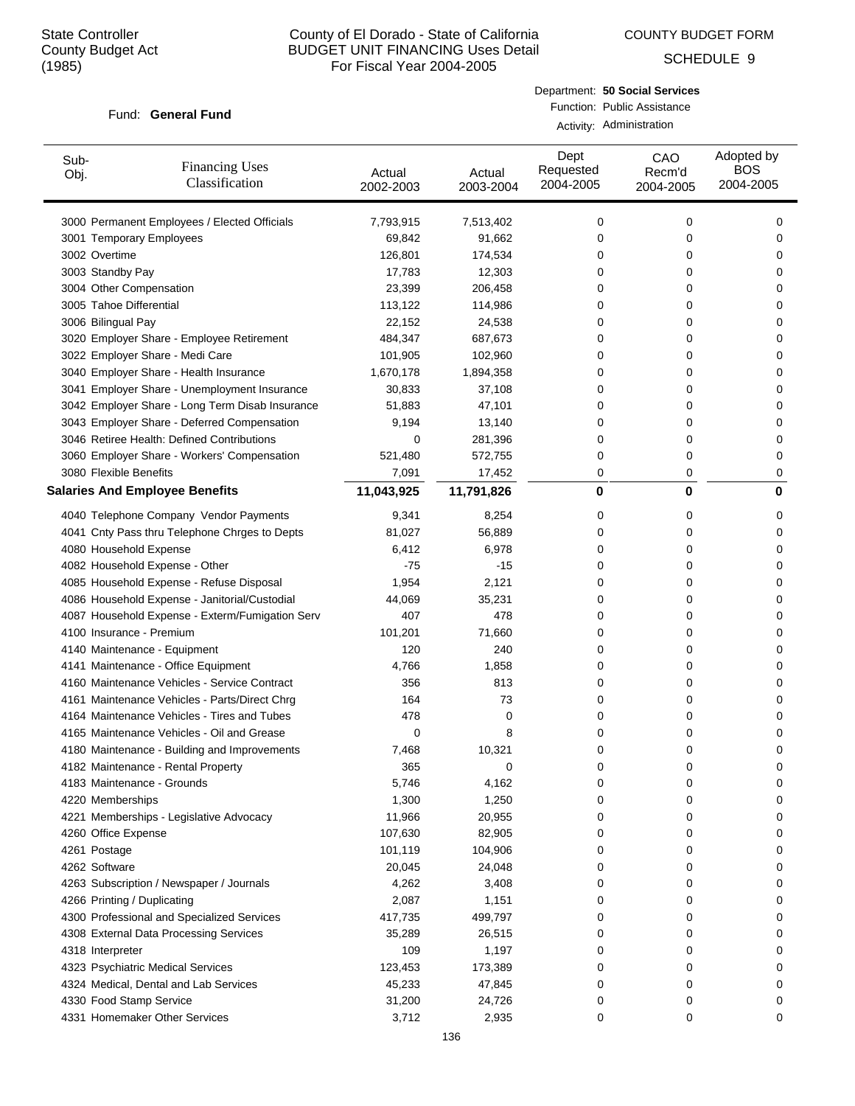COUNTY BUDGET FORM

SCHEDULE 9

#### Fund: General Fund

Department: **50 Social Services** Function: Public Assistance

|  | Activity: Administration |
|--|--------------------------|
|--|--------------------------|

| Sub-<br>Obj. | <b>Financing Uses</b><br>Classification         | Actual<br>2002-2003 | Actual<br>2003-2004 | Dept<br>Requested<br>2004-2005 | CAO<br>Recm'd<br>2004-2005 | Adopted by<br><b>BOS</b><br>2004-2005 |
|--------------|-------------------------------------------------|---------------------|---------------------|--------------------------------|----------------------------|---------------------------------------|
|              | 3000 Permanent Employees / Elected Officials    | 7,793,915           | 7,513,402           | 0                              | 0                          | 0                                     |
|              | 3001 Temporary Employees                        | 69,842              | 91,662              | 0                              | 0                          | 0                                     |
|              | 3002 Overtime                                   | 126,801             | 174,534             | 0                              | 0                          | 0                                     |
|              | 3003 Standby Pay                                | 17,783              | 12,303              | 0                              | 0                          | 0                                     |
|              | 3004 Other Compensation                         | 23,399              | 206,458             | 0                              | 0                          | 0                                     |
|              | 3005 Tahoe Differential                         | 113,122             | 114,986             | 0                              | 0                          | 0                                     |
|              | 3006 Bilingual Pay                              | 22,152              | 24,538              | 0                              | 0                          | 0                                     |
|              | 3020 Employer Share - Employee Retirement       | 484,347             | 687,673             | 0                              | 0                          | 0                                     |
|              | 3022 Employer Share - Medi Care                 | 101,905             | 102,960             | 0                              | 0                          | 0                                     |
|              | 3040 Employer Share - Health Insurance          | 1,670,178           | 1,894,358           | 0                              | 0                          | 0                                     |
|              | 3041 Employer Share - Unemployment Insurance    | 30,833              | 37,108              | 0                              | 0                          | 0                                     |
|              | 3042 Employer Share - Long Term Disab Insurance | 51,883              | 47,101              | 0                              | 0                          | 0                                     |
|              | 3043 Employer Share - Deferred Compensation     | 9,194               | 13,140              | 0                              | 0                          | 0                                     |
|              | 3046 Retiree Health: Defined Contributions      | 0                   | 281,396             | 0                              | 0                          | 0                                     |
|              | 3060 Employer Share - Workers' Compensation     | 521,480             | 572,755             | 0                              | 0                          | 0                                     |
|              | 3080 Flexible Benefits                          | 7,091               | 17,452              | 0                              | 0                          | 0                                     |
|              | <b>Salaries And Employee Benefits</b>           | 11,043,925          | 11,791,826          | 0                              | 0                          | 0                                     |
|              | 4040 Telephone Company Vendor Payments          | 9,341               | 8,254               | 0                              | 0                          | 0                                     |
|              | 4041 Cnty Pass thru Telephone Chrges to Depts   | 81,027              | 56,889              | 0                              | 0                          | 0                                     |
|              | 4080 Household Expense                          | 6,412               | 6,978               | 0                              | 0                          | 0                                     |
|              | 4082 Household Expense - Other                  | $-75$               | $-15$               | 0                              | 0                          | 0                                     |
|              | 4085 Household Expense - Refuse Disposal        | 1,954               | 2,121               | 0                              | 0                          | 0                                     |
|              | 4086 Household Expense - Janitorial/Custodial   | 44,069              | 35,231              | 0                              | 0                          | 0                                     |
|              | 4087 Household Expense - Exterm/Fumigation Serv | 407                 | 478                 | 0                              | 0                          | 0                                     |
|              | 4100 Insurance - Premium                        | 101,201             | 71,660              | 0                              | 0                          | 0                                     |
|              | 4140 Maintenance - Equipment                    | 120                 | 240                 | 0                              | 0                          | 0                                     |
|              | 4141 Maintenance - Office Equipment             | 4,766               | 1,858               | 0                              | 0                          | 0                                     |
|              | 4160 Maintenance Vehicles - Service Contract    | 356                 | 813                 | 0                              | 0                          | 0                                     |
|              | 4161 Maintenance Vehicles - Parts/Direct Chrg   | 164                 | 73                  | 0                              | 0                          | 0                                     |
|              | 4164 Maintenance Vehicles - Tires and Tubes     | 478                 | 0                   | 0                              | 0                          | 0                                     |
|              | 4165 Maintenance Vehicles - Oil and Grease      | 0                   | 8                   | 0                              | 0                          | 0                                     |
|              | 4180 Maintenance - Building and Improvements    | 7,468               | 10,321              | 0                              | 0                          | 0                                     |
|              | 4182 Maintenance - Rental Property              | 365                 | 0                   | 0                              | 0                          | 0                                     |
|              | 4183 Maintenance - Grounds                      | 5,746               | 4,162               | 0                              | 0                          | 0                                     |
|              | 4220 Memberships                                | 1,300               | 1,250               | 0                              | 0                          | 0                                     |
|              | 4221 Memberships - Legislative Advocacy         | 11,966              | 20,955              | 0                              | 0                          | 0                                     |
|              | 4260 Office Expense                             | 107,630             | 82,905              | 0                              | 0                          | 0                                     |
|              | 4261 Postage                                    | 101,119             | 104,906             | 0                              | 0                          | 0                                     |
|              | 4262 Software                                   | 20,045              | 24,048              | 0                              | 0                          | 0                                     |
|              | 4263 Subscription / Newspaper / Journals        | 4,262               | 3,408               | 0                              | 0                          | 0                                     |
|              | 4266 Printing / Duplicating                     | 2,087               | 1,151               | 0                              | 0                          | 0                                     |
|              | 4300 Professional and Specialized Services      | 417,735             | 499,797             | 0                              | 0                          | 0                                     |
|              | 4308 External Data Processing Services          | 35,289              | 26,515              | 0                              | 0                          | 0                                     |
|              | 4318 Interpreter                                | 109                 | 1,197               | 0                              | 0                          | 0                                     |
|              | 4323 Psychiatric Medical Services               | 123,453             | 173,389             | 0                              | 0                          | 0                                     |
|              | 4324 Medical, Dental and Lab Services           | 45,233              | 47,845              | 0                              | 0                          | 0                                     |
|              | 4330 Food Stamp Service                         | 31,200              | 24,726              | 0                              | 0                          | 0                                     |
|              | 4331 Homemaker Other Services                   | 3,712               | 2,935               | 0                              | 0                          | 0                                     |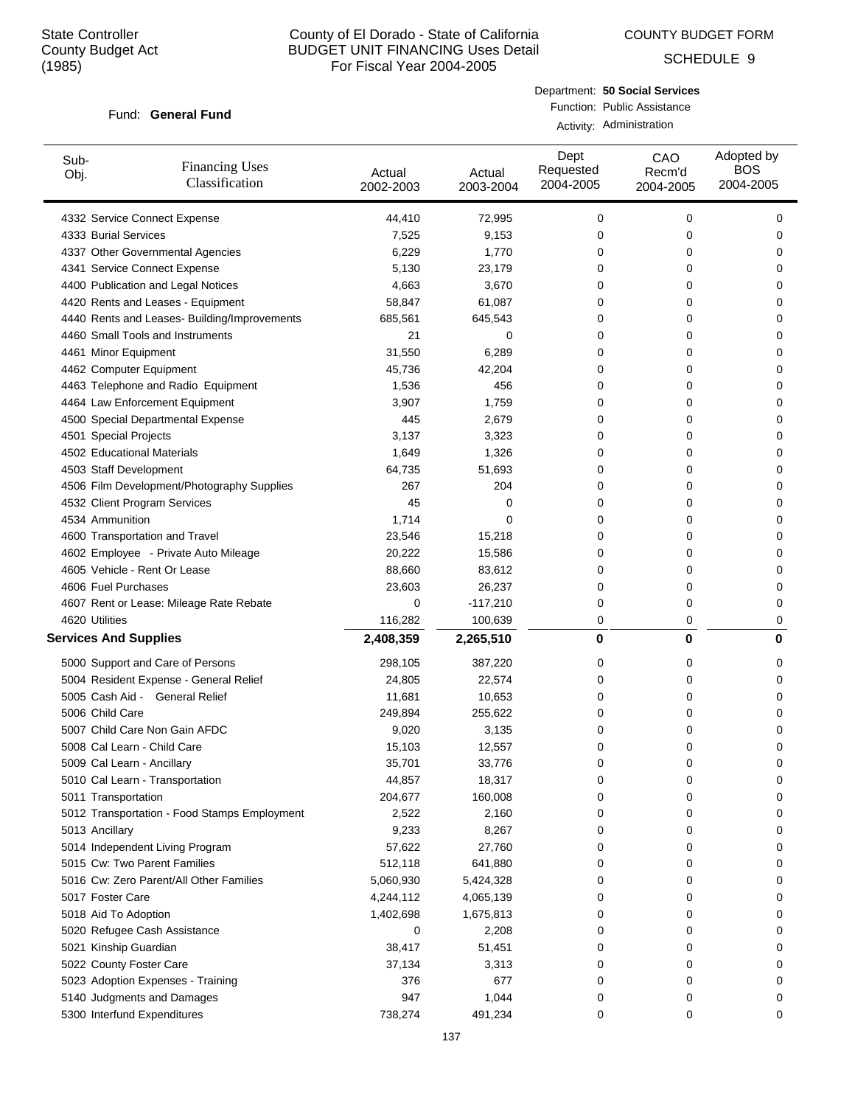COUNTY BUDGET FORM

SCHEDULE 9

#### Fund: General Fund

Department: **50 Social Services** Function: Public Assistance

Activity: Administration

| Sub-<br>Obj. | <b>Financing Uses</b><br>Classification      | Actual<br>2002-2003 | Actual<br>2003-2004 | Dept<br>Requested<br>2004-2005 | CAO<br>Recm'd<br>2004-2005 | Adopted by<br><b>BOS</b><br>2004-2005 |
|--------------|----------------------------------------------|---------------------|---------------------|--------------------------------|----------------------------|---------------------------------------|
|              | 4332 Service Connect Expense                 | 44,410              | 72,995              | 0                              | 0                          | 0                                     |
|              | 4333 Burial Services                         | 7,525               | 9,153               | 0                              | 0                          | 0                                     |
|              | 4337 Other Governmental Agencies             | 6,229               | 1,770               | 0                              | 0                          | 0                                     |
|              | 4341 Service Connect Expense                 | 5,130               | 23,179              | 0                              | 0                          | 0                                     |
|              | 4400 Publication and Legal Notices           | 4,663               | 3,670               | 0                              | 0                          | 0                                     |
|              | 4420 Rents and Leases - Equipment            | 58,847              | 61,087              | 0                              | 0                          | 0                                     |
|              | 4440 Rents and Leases- Building/Improvements | 685,561             | 645,543             | 0                              | 0                          | 0                                     |
|              | 4460 Small Tools and Instruments             | 21                  | 0                   | 0                              | 0                          | 0                                     |
|              | 4461 Minor Equipment                         | 31,550              | 6,289               | 0                              | 0                          | 0                                     |
|              | 4462 Computer Equipment                      | 45,736              | 42,204              | 0                              | 0                          | 0                                     |
|              | 4463 Telephone and Radio Equipment           | 1,536               | 456                 | 0                              | 0                          | 0                                     |
|              | 4464 Law Enforcement Equipment               | 3,907               | 1,759               | 0                              | 0                          | 0                                     |
|              | 4500 Special Departmental Expense            | 445                 | 2,679               | 0                              | 0                          | 0                                     |
|              | 4501 Special Projects                        | 3,137               | 3,323               | 0                              | 0                          | 0                                     |
|              | 4502 Educational Materials                   | 1,649               | 1,326               | 0                              | 0                          | 0                                     |
|              | 4503 Staff Development                       | 64,735              | 51,693              | 0                              | 0                          | 0                                     |
|              | 4506 Film Development/Photography Supplies   | 267                 | 204                 | 0                              | 0                          | 0                                     |
|              | 4532 Client Program Services                 | 45                  | 0                   | 0                              | 0                          | 0                                     |
|              | 4534 Ammunition                              | 1,714               | 0                   | 0                              | 0                          | 0                                     |
|              | 4600 Transportation and Travel               | 23,546              | 15,218              | 0                              | 0                          | 0                                     |
|              | 4602 Employee - Private Auto Mileage         | 20,222              | 15,586              | 0                              | 0                          | 0                                     |
|              | 4605 Vehicle - Rent Or Lease                 | 88,660              | 83,612              | 0                              | 0                          | 0                                     |
|              | 4606 Fuel Purchases                          | 23,603              | 26,237              | 0                              | 0                          | 0                                     |
|              | 4607 Rent or Lease: Mileage Rate Rebate      | 0                   | $-117,210$          | 0                              | 0                          | 0                                     |
|              | 4620 Utilities                               | 116,282             | 100,639             | 0                              | 0                          | 0                                     |
|              | <b>Services And Supplies</b>                 | 2,408,359           | 2,265,510           | 0                              | 0                          | 0                                     |
|              | 5000 Support and Care of Persons             | 298,105             | 387,220             | 0                              | 0                          | 0                                     |
|              | 5004 Resident Expense - General Relief       | 24,805              | 22,574              | 0                              | 0                          | 0                                     |
|              | 5005 Cash Aid - General Relief               | 11,681              | 10,653              | 0                              | 0                          | 0                                     |
|              | 5006 Child Care                              | 249,894             | 255,622             | 0                              | 0                          | 0                                     |
|              | 5007 Child Care Non Gain AFDC                | 9,020               | 3,135               | 0                              | 0                          | 0                                     |
|              | 5008 Cal Learn - Child Care                  | 15,103              | 12,557              | 0                              | 0                          | 0                                     |
|              | 5009 Cal Learn - Ancillary                   | 35,701              | 33,776              | 0                              | 0                          | 0                                     |
|              | 5010 Cal Learn - Transportation              | 44,857              | 18,317              | 0                              | 0                          | 0                                     |
|              | 5011 Transportation                          | 204,677             | 160,008             | 0                              | 0                          | 0                                     |
|              | 5012 Transportation - Food Stamps Employment | 2,522               | 2,160               | 0                              | 0                          | 0                                     |
|              | 5013 Ancillary                               | 9,233               | 8,267               | 0                              | 0                          | 0                                     |
|              | 5014 Independent Living Program              | 57,622              | 27,760              | 0                              | 0                          | 0                                     |
|              | 5015 Cw: Two Parent Families                 | 512,118             | 641,880             | 0                              | 0                          | 0                                     |
|              | 5016 Cw: Zero Parent/All Other Families      | 5,060,930           | 5,424,328           | 0                              | 0                          | 0                                     |
|              | 5017 Foster Care                             | 4,244,112           | 4,065,139           | 0                              | 0                          | 0                                     |
|              | 5018 Aid To Adoption                         | 1,402,698           | 1,675,813           | 0                              | 0                          | 0                                     |
|              | 5020 Refugee Cash Assistance                 | 0                   | 2,208               | 0                              | 0                          | 0                                     |
|              | 5021 Kinship Guardian                        | 38,417              | 51,451              | 0                              | 0                          | 0                                     |
|              | 5022 County Foster Care                      | 37,134              | 3,313               | 0                              | 0                          | 0                                     |
|              | 5023 Adoption Expenses - Training            | 376                 | 677                 | 0                              | 0                          | 0                                     |
|              | 5140 Judgments and Damages                   | 947                 | 1,044               | 0                              | 0                          | 0                                     |
|              | 5300 Interfund Expenditures                  | 738,274             | 491,234             | 0                              | 0                          | 0                                     |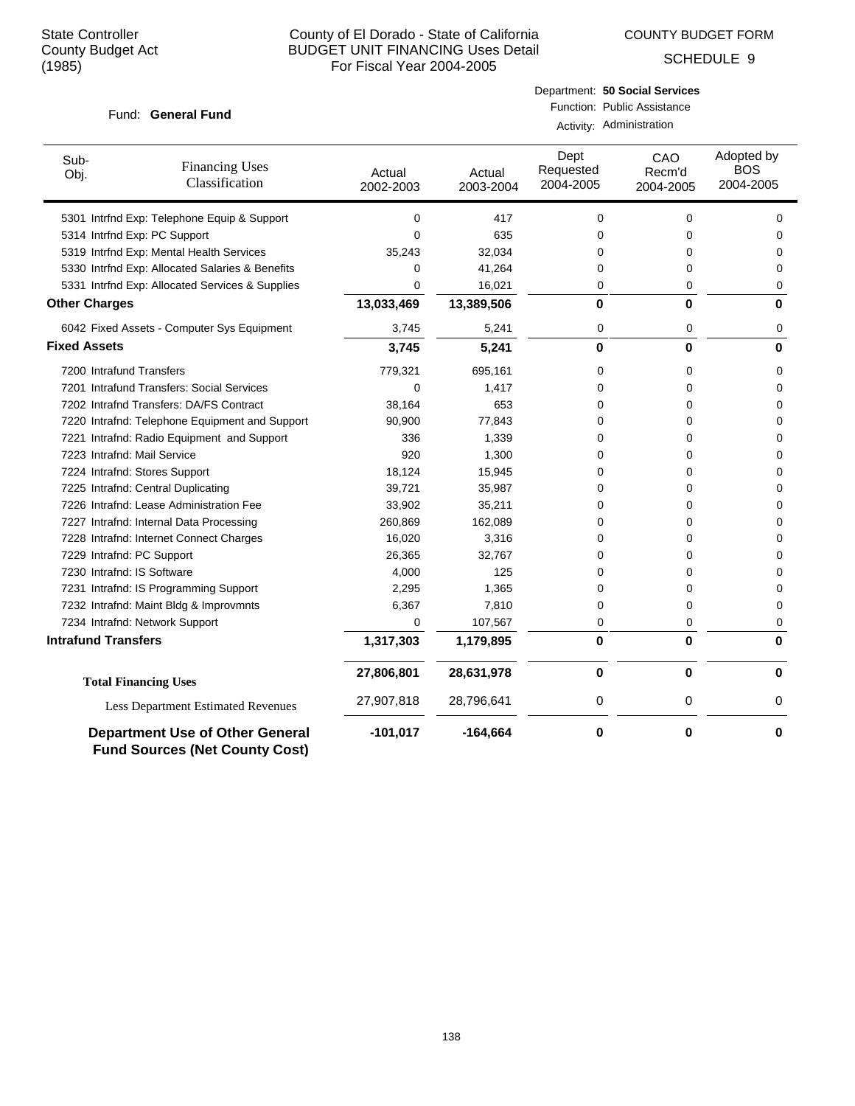COUNTY BUDGET FORM

SCHEDULE 9

| Fund: General Fund          |                                                 |                     | Department: 50 Social Services<br>Function: Public Assistance<br>Activity: Administration |                                |                            |                                       |  |
|-----------------------------|-------------------------------------------------|---------------------|-------------------------------------------------------------------------------------------|--------------------------------|----------------------------|---------------------------------------|--|
| Sub-<br>Obj.                | <b>Financing Uses</b><br>Classification         | Actual<br>2002-2003 | Actual<br>2003-2004                                                                       | Dept<br>Requested<br>2004-2005 | CAO<br>Recm'd<br>2004-2005 | Adopted by<br><b>BOS</b><br>2004-2005 |  |
|                             | 5301 Intrfnd Exp: Telephone Equip & Support     | $\mathbf 0$         | 417                                                                                       | 0                              | 0                          | 0                                     |  |
|                             | 5314 Intrfnd Exp: PC Support                    | $\mathbf 0$         | 635                                                                                       | 0                              | 0                          | 0                                     |  |
|                             | 5319 Intrfnd Exp: Mental Health Services        | 35,243              | 32,034                                                                                    | 0                              | 0                          | 0                                     |  |
|                             | 5330 Intrfnd Exp: Allocated Salaries & Benefits | 0                   | 41,264                                                                                    | 0                              | 0                          | 0                                     |  |
|                             | 5331 Intrfnd Exp: Allocated Services & Supplies | $\mathbf 0$         | 16,021                                                                                    | 0                              | 0                          | 0                                     |  |
| <b>Other Charges</b>        |                                                 | 13,033,469          | 13,389,506                                                                                | 0                              | 0                          | 0                                     |  |
|                             | 6042 Fixed Assets - Computer Sys Equipment      | 3,745               | 5,241                                                                                     | 0                              | 0                          | 0                                     |  |
| <b>Fixed Assets</b>         |                                                 | 3,745               | 5,241                                                                                     | 0                              | 0                          | 0                                     |  |
| 7200 Intrafund Transfers    |                                                 | 779,321             | 695,161                                                                                   | 0                              | 0                          | 0                                     |  |
|                             | 7201 Intrafund Transfers: Social Services       | $\mathbf 0$         | 1,417                                                                                     | 0                              | 0                          | 0                                     |  |
|                             | 7202 Intrafnd Transfers: DA/FS Contract         | 38,164              | 653                                                                                       | 0                              | 0                          | 0                                     |  |
|                             | 7220 Intrafnd: Telephone Equipment and Support  | 90,900              | 77,843                                                                                    | 0                              | 0                          | 0                                     |  |
|                             | 7221 Intrafnd: Radio Equipment and Support      | 336                 | 1,339                                                                                     | 0                              | 0                          | 0                                     |  |
| 7223 Intrafnd: Mail Service |                                                 | 920                 | 1,300                                                                                     | 0                              | 0                          | 0                                     |  |
|                             | 7224 Intrafnd: Stores Support                   | 18,124              | 15,945                                                                                    | 0                              | 0                          | 0                                     |  |
|                             | 7225 Intrafnd: Central Duplicating              | 39,721              | 35,987                                                                                    | 0                              | 0                          | $\Omega$                              |  |
|                             | 7226 Intrafnd: Lease Administration Fee         | 33,902              | 35,211                                                                                    | 0                              | 0                          | 0                                     |  |
|                             | 7227 Intrafnd: Internal Data Processing         | 260,869             | 162,089                                                                                   | 0                              | 0                          | 0                                     |  |
|                             | 7228 Intrafnd: Internet Connect Charges         | 16,020              | 3,316                                                                                     | 0                              | 0                          | 0                                     |  |
| 7229 Intrafnd: PC Support   |                                                 | 26,365              | 32,767                                                                                    | 0                              | 0                          | 0                                     |  |
| 7230 Intrafnd: IS Software  |                                                 | 4,000               | 125                                                                                       | 0                              | 0                          | 0                                     |  |
|                             | 7231 Intrafnd: IS Programming Support           | 2,295               | 1,365                                                                                     | 0                              | 0                          | 0                                     |  |
|                             | 7232 Intrafnd: Maint Bldg & Improvmnts          | 6,367               | 7,810                                                                                     | 0                              | 0                          | 0                                     |  |
|                             | 7234 Intrafnd: Network Support                  | $\Omega$            | 107,567                                                                                   | 0                              | 0                          | 0                                     |  |
| <b>Intrafund Transfers</b>  |                                                 | 1,317,303           | 1,179,895                                                                                 | 0                              | $\bf{0}$                   | $\bf{0}$                              |  |
|                             | <b>Total Financing Uses</b>                     | 27,806,801          | 28,631,978                                                                                | $\pmb{0}$                      | $\bf{0}$                   | $\bf{0}$                              |  |
|                             | <b>Less Department Estimated Revenues</b>       | 27,907,818          | 28,796,641                                                                                | 0                              | 0                          | 0                                     |  |
|                             | <b>Department Use of Other General</b>          | $-101,017$          | -164.664                                                                                  | 0                              | 0                          | 0                                     |  |

**Fund Sources (Net County Cost)**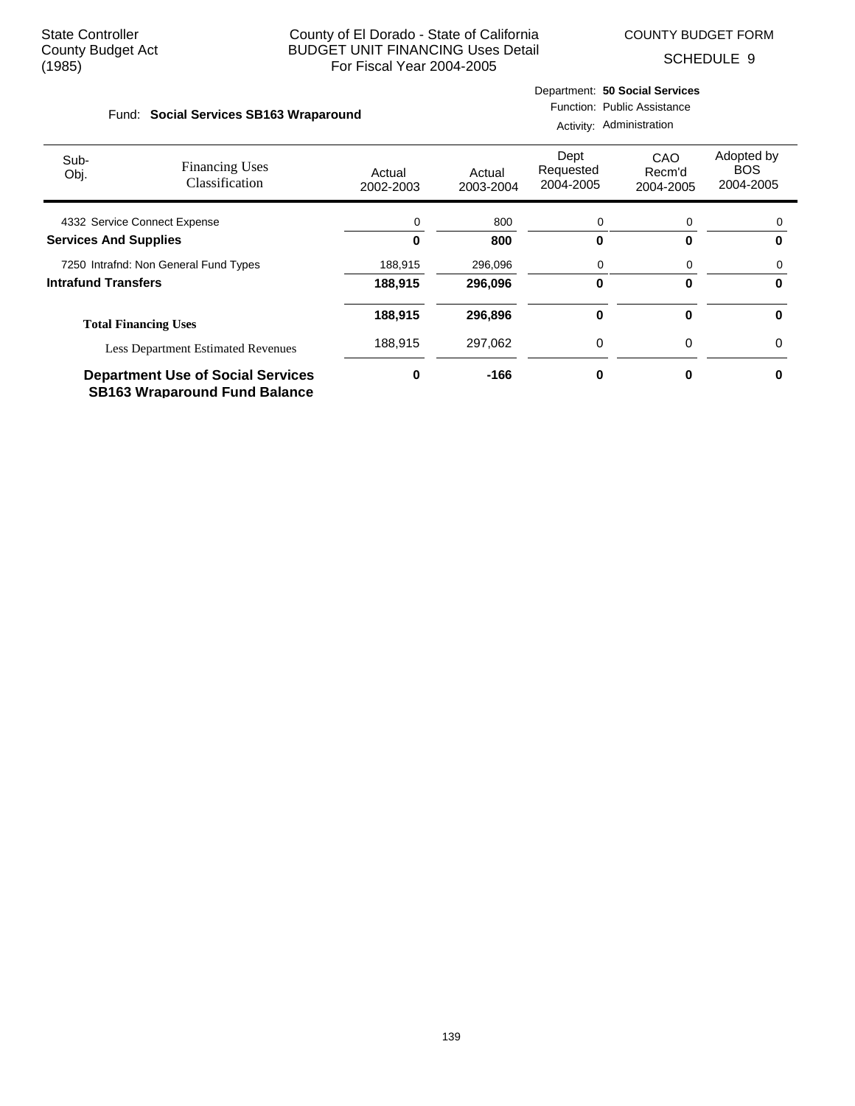COUNTY BUDGET FORM

Department: **50 Social Services**

SCHEDULE 9

| Fund: Social Services SB163 Wraparound |                                                |                     |                     | Activity: Administration       | Function: Public Assistance |                                       |
|----------------------------------------|------------------------------------------------|---------------------|---------------------|--------------------------------|-----------------------------|---------------------------------------|
| Sub-<br>Obj.                           | <b>Financing Uses</b><br><b>Classification</b> | Actual<br>2002-2003 | Actual<br>2003-2004 | Dept<br>Requested<br>2004-2005 | CAO<br>Recm'd<br>2004-2005  | Adopted by<br><b>BOS</b><br>2004-2005 |

| 4332 Service Connect Expense              |         | 800     |   | 0 |
|-------------------------------------------|---------|---------|---|---|
| <b>Services And Supplies</b>              |         | 800     |   | 0 |
| 7250 Intrafnd: Non General Fund Types     | 188.915 | 296.096 |   | 0 |
| Intrafund Transfers                       | 188.915 | 296.096 |   | 0 |
| <b>Total Financing Uses</b>               | 188,915 | 296.896 |   | 0 |
| <b>Less Department Estimated Revenues</b> | 188.915 | 297.062 | 0 | 0 |
| <b>Department Use of Social Services</b>  |         | -166    |   | U |

**SB163 Wraparound Fund Balance**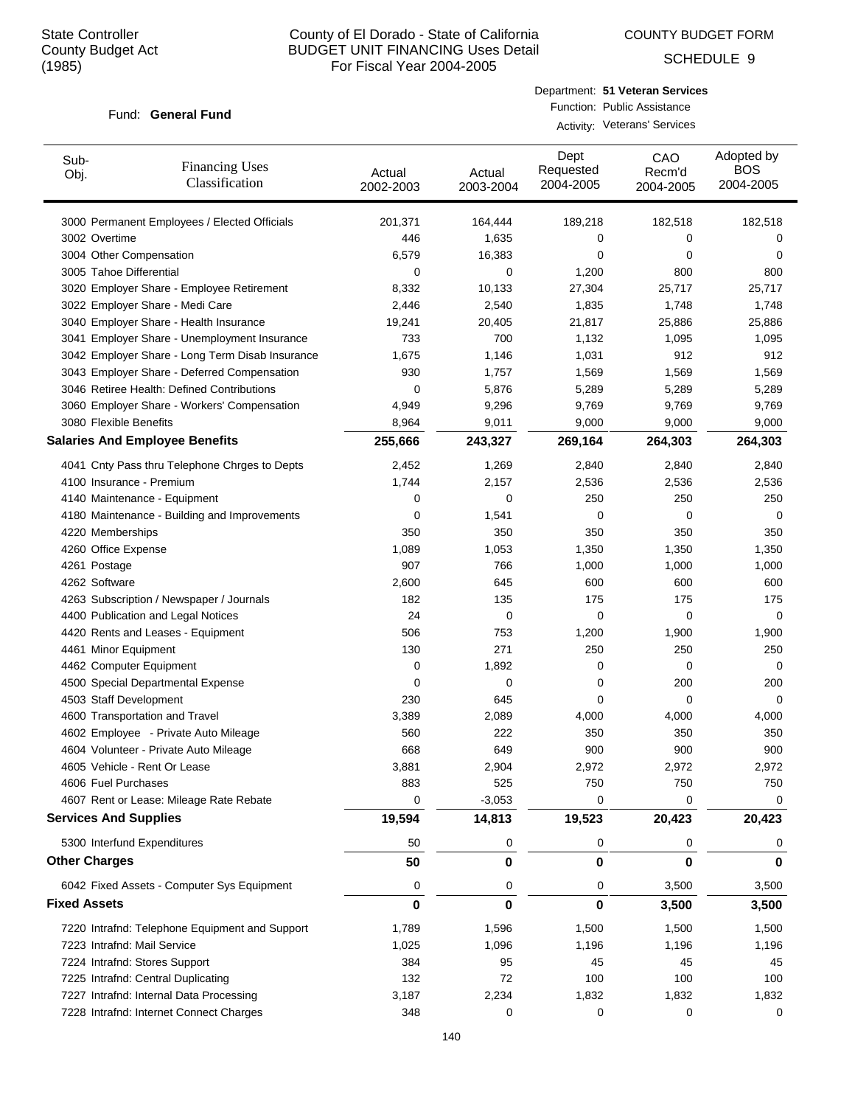COUNTY BUDGET FORM

SCHEDULE 9

#### Fund: General Fund

| Department: 51 Veteran Services |
|---------------------------------|
| Function: Public Assistance     |

Activity: Veterans' Services

| Sub-<br>Obj.                 | <b>Financing Uses</b><br>Classification         | Actual<br>2002-2003 | Actual<br>2003-2004 | Dept<br>Requested<br>2004-2005 | CAO<br>Recm'd<br>2004-2005 | Adopted by<br><b>BOS</b><br>2004-2005 |
|------------------------------|-------------------------------------------------|---------------------|---------------------|--------------------------------|----------------------------|---------------------------------------|
|                              | 3000 Permanent Employees / Elected Officials    | 201,371             | 164,444             | 189,218                        | 182,518                    | 182,518                               |
| 3002 Overtime                |                                                 | 446                 | 1,635               | 0                              | 0                          | 0                                     |
| 3004 Other Compensation      |                                                 | 6,579               | 16,383              | 0                              | 0                          | 0                                     |
| 3005 Tahoe Differential      |                                                 | 0                   | 0                   | 1,200                          | 800                        | 800                                   |
|                              | 3020 Employer Share - Employee Retirement       | 8,332               | 10,133              | 27,304                         | 25,717                     | 25,717                                |
|                              | 3022 Employer Share - Medi Care                 | 2,446               | 2,540               | 1,835                          | 1,748                      | 1,748                                 |
|                              | 3040 Employer Share - Health Insurance          | 19,241              | 20,405              | 21,817                         | 25,886                     | 25,886                                |
|                              | 3041 Employer Share - Unemployment Insurance    | 733                 | 700                 | 1,132                          | 1,095                      | 1,095                                 |
|                              | 3042 Employer Share - Long Term Disab Insurance | 1,675               | 1,146               | 1,031                          | 912                        | 912                                   |
|                              | 3043 Employer Share - Deferred Compensation     | 930                 | 1,757               | 1,569                          | 1,569                      | 1,569                                 |
|                              | 3046 Retiree Health: Defined Contributions      | 0                   | 5,876               | 5,289                          | 5,289                      | 5,289                                 |
|                              | 3060 Employer Share - Workers' Compensation     | 4,949               | 9,296               | 9,769                          | 9,769                      | 9,769                                 |
| 3080 Flexible Benefits       |                                                 | 8,964               | 9,011               | 9,000                          | 9,000                      | 9,000                                 |
|                              | <b>Salaries And Employee Benefits</b>           | 255,666             | 243,327             | 269,164                        | 264,303                    | 264,303                               |
|                              | 4041 Cnty Pass thru Telephone Chrges to Depts   | 2,452               | 1,269               | 2,840                          | 2,840                      | 2,840                                 |
| 4100 Insurance - Premium     |                                                 | 1,744               | 2,157               | 2,536                          | 2,536                      | 2,536                                 |
|                              | 4140 Maintenance - Equipment                    | 0                   | 0                   | 250                            | 250                        | 250                                   |
|                              | 4180 Maintenance - Building and Improvements    | 0                   | 1,541               | 0                              | 0                          | 0                                     |
| 4220 Memberships             |                                                 | 350                 | 350                 | 350                            | 350                        | 350                                   |
| 4260 Office Expense          |                                                 | 1,089               | 1,053               | 1,350                          | 1,350                      | 1,350                                 |
| 4261 Postage                 |                                                 | 907                 | 766                 | 1,000                          | 1,000                      | 1,000                                 |
| 4262 Software                |                                                 | 2,600               | 645                 | 600                            | 600                        | 600                                   |
|                              | 4263 Subscription / Newspaper / Journals        | 182                 | 135                 | 175                            | 175                        | 175                                   |
|                              | 4400 Publication and Legal Notices              | 24                  | 0                   | 0                              | 0                          | 0                                     |
|                              | 4420 Rents and Leases - Equipment               | 506                 | 753                 | 1,200                          | 1,900                      | 1,900                                 |
| 4461 Minor Equipment         |                                                 | 130                 | 271                 | 250                            | 250                        | 250                                   |
| 4462 Computer Equipment      |                                                 | 0                   | 1,892               | 0                              | 0                          | 0                                     |
|                              | 4500 Special Departmental Expense               | 0                   | 0                   | 0                              | 200                        | 200                                   |
| 4503 Staff Development       |                                                 | 230                 | 645                 | 0                              | 0                          | 0                                     |
|                              | 4600 Transportation and Travel                  | 3,389               | 2,089               | 4,000                          | 4,000                      | 4,000                                 |
|                              | 4602 Employee - Private Auto Mileage            | 560                 | 222                 | 350                            | 350                        | 350                                   |
|                              | 4604 Volunteer - Private Auto Mileage           | 668                 | 649                 | 900                            | 900                        | 900                                   |
|                              | 4605 Vehicle - Rent Or Lease                    | 3,881               | 2,904               | 2,972                          | 2.972                      | 2,972                                 |
| 4606 Fuel Purchases          |                                                 | 883                 | 525                 | 750                            | 750                        | 750                                   |
|                              | 4607 Rent or Lease: Mileage Rate Rebate         | 0                   | $-3,053$            | 0                              | 0                          | 0                                     |
| <b>Services And Supplies</b> |                                                 | 19,594              | 14,813              | 19,523                         | 20,423                     | 20,423                                |
|                              | 5300 Interfund Expenditures                     | 50                  | 0                   | 0                              | 0                          | 0                                     |
| <b>Other Charges</b>         |                                                 | 50                  | 0                   | 0                              | 0                          | 0                                     |
|                              |                                                 |                     |                     |                                |                            |                                       |
|                              | 6042 Fixed Assets - Computer Sys Equipment      | 0                   | 0                   | 0                              | 3,500                      | 3,500                                 |
| <b>Fixed Assets</b>          |                                                 | $\bf{0}$            | 0                   | 0                              | 3,500                      | 3,500                                 |
|                              | 7220 Intrafnd: Telephone Equipment and Support  | 1,789               | 1,596               | 1,500                          | 1,500                      | 1,500                                 |
| 7223 Intrafnd: Mail Service  |                                                 | 1,025               | 1,096               | 1,196                          | 1,196                      | 1,196                                 |
|                              | 7224 Intrafnd: Stores Support                   | 384                 | 95                  | 45                             | 45                         | 45                                    |
|                              | 7225 Intrafnd: Central Duplicating              | 132                 | 72                  | 100                            | 100                        | 100                                   |
|                              | 7227 Intrafnd: Internal Data Processing         | 3,187               | 2,234               | 1,832                          | 1,832                      | 1,832                                 |
|                              | 7228 Intrafnd: Internet Connect Charges         | 348                 | 0                   | 0                              | 0                          | 0                                     |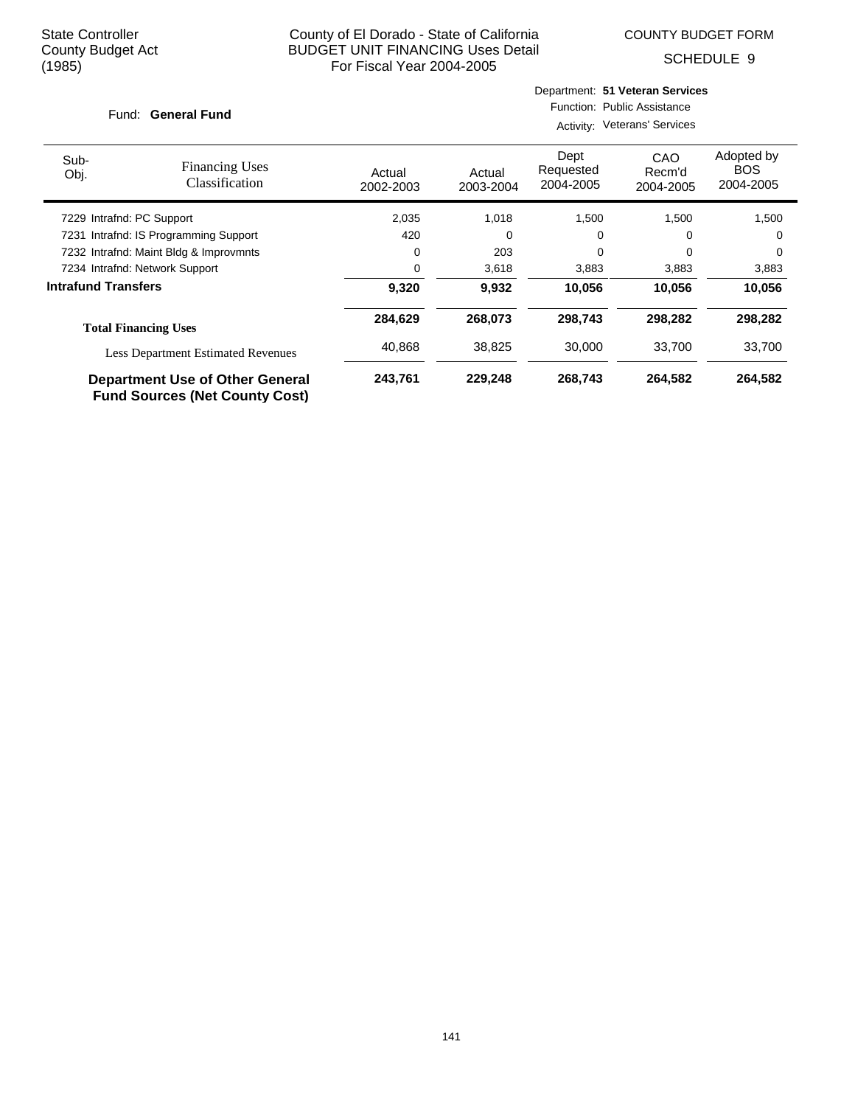COUNTY BUDGET FORM

SCHEDULE 9

| Fund: General Fund |  |
|--------------------|--|
|                    |  |

Activity: Veterans' Services

| Sub-<br>Obj.                   | <b>Financing Uses</b><br>Classification                                  | Actual<br>2002-2003 | Actual<br>2003-2004 | Dept<br>Requested<br>2004-2005 | CAO<br>Recm'd<br>2004-2005 | Adopted by<br><b>BOS</b><br>2004-2005 |
|--------------------------------|--------------------------------------------------------------------------|---------------------|---------------------|--------------------------------|----------------------------|---------------------------------------|
| 7229 Intrafnd: PC Support      |                                                                          | 2,035               | 1,018               | 1,500                          | 1,500                      | 1,500                                 |
|                                | 7231 Intrafnd: IS Programming Support                                    | 420                 | 0                   | 0                              | 0                          | 0                                     |
|                                | 7232 Intrafnd: Maint Bldg & Improvmnts                                   | 0                   | 203                 | 0                              | 0                          | 0                                     |
| 7234 Intrafnd: Network Support |                                                                          | 0                   | 3,618               | 3,883                          | 3,883                      | 3,883                                 |
| <b>Intrafund Transfers</b>     |                                                                          | 9,320               | 9,932               | 10,056                         | 10,056                     | 10,056                                |
|                                | <b>Total Financing Uses</b>                                              | 284,629             | 268.073             | 298.743                        | 298,282                    | 298,282                               |
|                                | <b>Less Department Estimated Revenues</b>                                | 40,868              | 38,825              | 30,000                         | 33,700                     | 33,700                                |
|                                | Department Use of Other General<br><b>Fund Sources (Net County Cost)</b> | 243,761             | 229.248             | 268,743                        | 264,582                    | 264,582                               |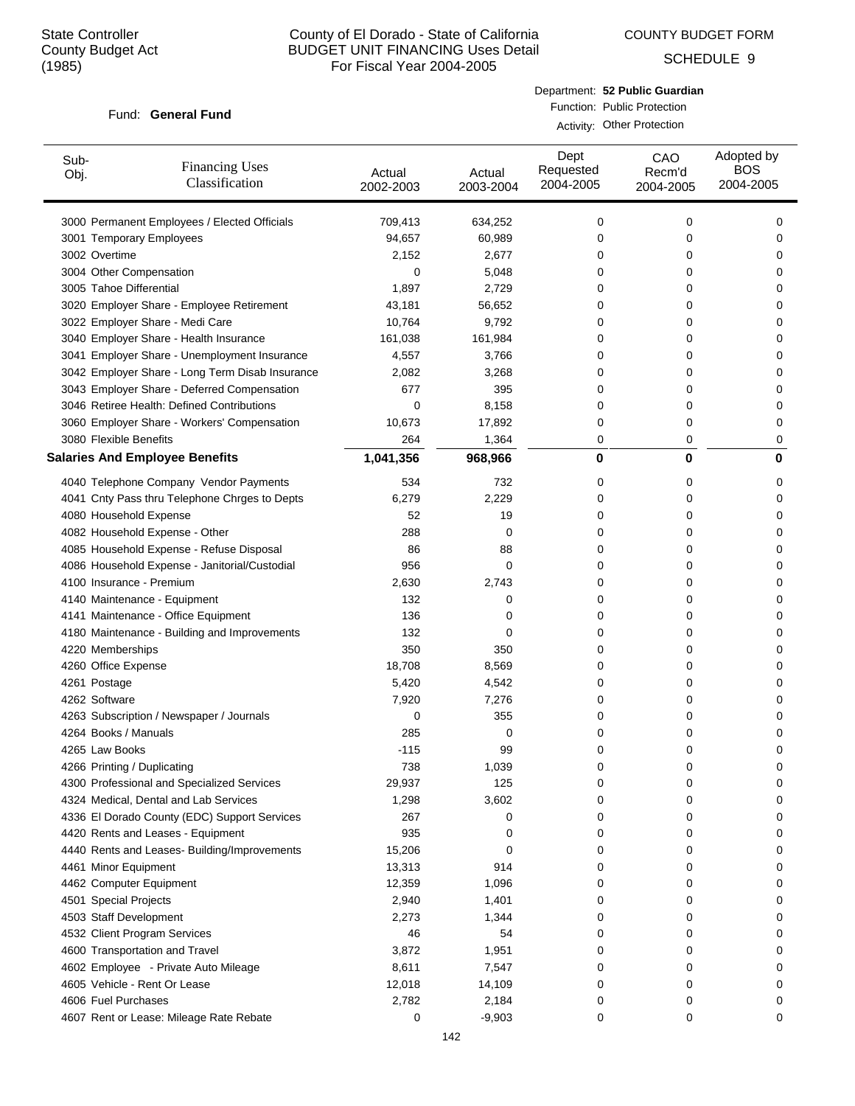COUNTY BUDGET FORM

SCHEDULE 9

#### Fund: General Fund

Department: **52 Public Guardian** Function: Public Protection Activity: Other Protection

| Sub-<br>Obj.           | <b>Financing Uses</b><br>Classification         | Actual<br>2002-2003 | Actual<br>2003-2004 | Dept<br>Requested<br>2004-2005 | CAO<br>Recm'd<br>2004-2005 | Adopted by<br><b>BOS</b><br>2004-2005 |
|------------------------|-------------------------------------------------|---------------------|---------------------|--------------------------------|----------------------------|---------------------------------------|
|                        | 3000 Permanent Employees / Elected Officials    | 709,413             | 634,252             | 0                              | 0                          | 0                                     |
|                        | 3001 Temporary Employees                        | 94,657              | 60,989              | 0                              | 0                          | 0                                     |
| 3002 Overtime          |                                                 | 2,152               | 2,677               | 0                              | 0                          | 0                                     |
|                        | 3004 Other Compensation                         | 0                   | 5,048               | 0                              | 0                          | 0                                     |
|                        | 3005 Tahoe Differential                         | 1,897               | 2,729               | 0                              | 0                          | 0                                     |
|                        | 3020 Employer Share - Employee Retirement       | 43,181              | 56,652              | 0                              | 0                          | 0                                     |
|                        | 3022 Employer Share - Medi Care                 | 10,764              | 9,792               | 0                              | 0                          | 0                                     |
|                        | 3040 Employer Share - Health Insurance          | 161,038             | 161,984             | 0                              | 0                          | 0                                     |
|                        | 3041 Employer Share - Unemployment Insurance    | 4,557               | 3,766               | 0                              | 0                          | 0                                     |
|                        | 3042 Employer Share - Long Term Disab Insurance | 2,082               | 3,268               | 0                              | 0                          | 0                                     |
|                        | 3043 Employer Share - Deferred Compensation     | 677                 | 395                 | 0                              | 0                          | 0                                     |
|                        | 3046 Retiree Health: Defined Contributions      | 0                   | 8,158               | 0                              | 0                          | 0                                     |
|                        | 3060 Employer Share - Workers' Compensation     | 10,673              | 17,892              | 0                              | 0                          | 0                                     |
| 3080 Flexible Benefits |                                                 | 264                 | 1,364               | 0                              | 0                          | 0                                     |
|                        | <b>Salaries And Employee Benefits</b>           | 1,041,356           | 968,966             | 0                              | $\bf{0}$                   | 0                                     |
|                        | 4040 Telephone Company Vendor Payments          | 534                 | 732                 | 0                              | 0                          | 0                                     |
|                        | 4041 Cnty Pass thru Telephone Chrges to Depts   | 6,279               | 2,229               | 0                              | 0                          | 0                                     |
|                        | 4080 Household Expense                          | 52                  | 19                  | 0                              | 0                          | 0                                     |
|                        | 4082 Household Expense - Other                  | 288                 | 0                   | 0                              | 0                          | 0                                     |
|                        | 4085 Household Expense - Refuse Disposal        | 86                  | 88                  | 0                              | 0                          | 0                                     |
|                        | 4086 Household Expense - Janitorial/Custodial   | 956                 | 0                   | 0                              | 0                          | 0                                     |
|                        | 4100 Insurance - Premium                        | 2,630               | 2,743               | 0                              | 0                          | 0                                     |
|                        | 4140 Maintenance - Equipment                    | 132                 | 0                   | 0                              | 0                          | 0                                     |
|                        | 4141 Maintenance - Office Equipment             | 136                 | 0                   | 0                              | 0                          | 0                                     |
|                        | 4180 Maintenance - Building and Improvements    | 132                 | 0                   | 0                              | 0                          | 0                                     |
| 4220 Memberships       |                                                 | 350                 | 350                 | 0                              | 0                          | 0                                     |
| 4260 Office Expense    |                                                 | 18,708              | 8,569               | 0                              | 0                          | 0                                     |
| 4261 Postage           |                                                 | 5,420               | 4,542               | 0                              | 0                          | 0                                     |
| 4262 Software          |                                                 | 7,920               | 7,276               | 0                              | 0                          | 0                                     |
|                        | 4263 Subscription / Newspaper / Journals        | 0                   | 355                 | 0                              | 0                          | 0                                     |
| 4264 Books / Manuals   |                                                 | 285                 | 0                   | 0                              | 0                          | 0                                     |
| 4265 Law Books         |                                                 | $-115$              | 99                  | 0                              | 0                          | 0                                     |
|                        | 4266 Printing / Duplicating                     | 738                 | 1,039               | 0                              | 0                          | 0                                     |
|                        | 4300 Professional and Specialized Services      | 29,937              | 125                 | 0                              | 0                          | 0                                     |
|                        | 4324 Medical, Dental and Lab Services           | 1,298               | 3,602               | 0                              | 0                          | 0                                     |
|                        | 4336 El Dorado County (EDC) Support Services    | 267                 | 0                   | 0                              | 0                          | 0                                     |
|                        | 4420 Rents and Leases - Equipment               | 935                 | 0                   | 0                              | 0                          | 0                                     |
|                        | 4440 Rents and Leases- Building/Improvements    | 15,206              | 0                   | 0                              | 0                          | 0                                     |
|                        | 4461 Minor Equipment                            | 13,313              | 914                 | 0                              | 0                          | 0                                     |
|                        | 4462 Computer Equipment                         | 12,359              | 1,096               | 0                              | 0                          | 0                                     |
| 4501 Special Projects  |                                                 | 2,940               | 1,401               | 0                              | 0                          | 0                                     |
|                        | 4503 Staff Development                          | 2,273               | 1,344               | 0                              | 0                          | 0                                     |
|                        | 4532 Client Program Services                    | 46                  | 54                  | 0                              | 0                          | 0                                     |
|                        | 4600 Transportation and Travel                  | 3,872               | 1,951               | 0                              | 0                          | 0                                     |
|                        | 4602 Employee - Private Auto Mileage            | 8,611               | 7,547               | 0                              | 0                          | 0                                     |
|                        | 4605 Vehicle - Rent Or Lease                    | 12,018              | 14,109              | 0                              | 0                          | 0                                     |
| 4606 Fuel Purchases    |                                                 | 2,782               | 2,184               | 0                              | 0                          | 0                                     |
|                        | 4607 Rent or Lease: Mileage Rate Rebate         | 0                   | $-9,903$            | 0                              | 0                          | 0                                     |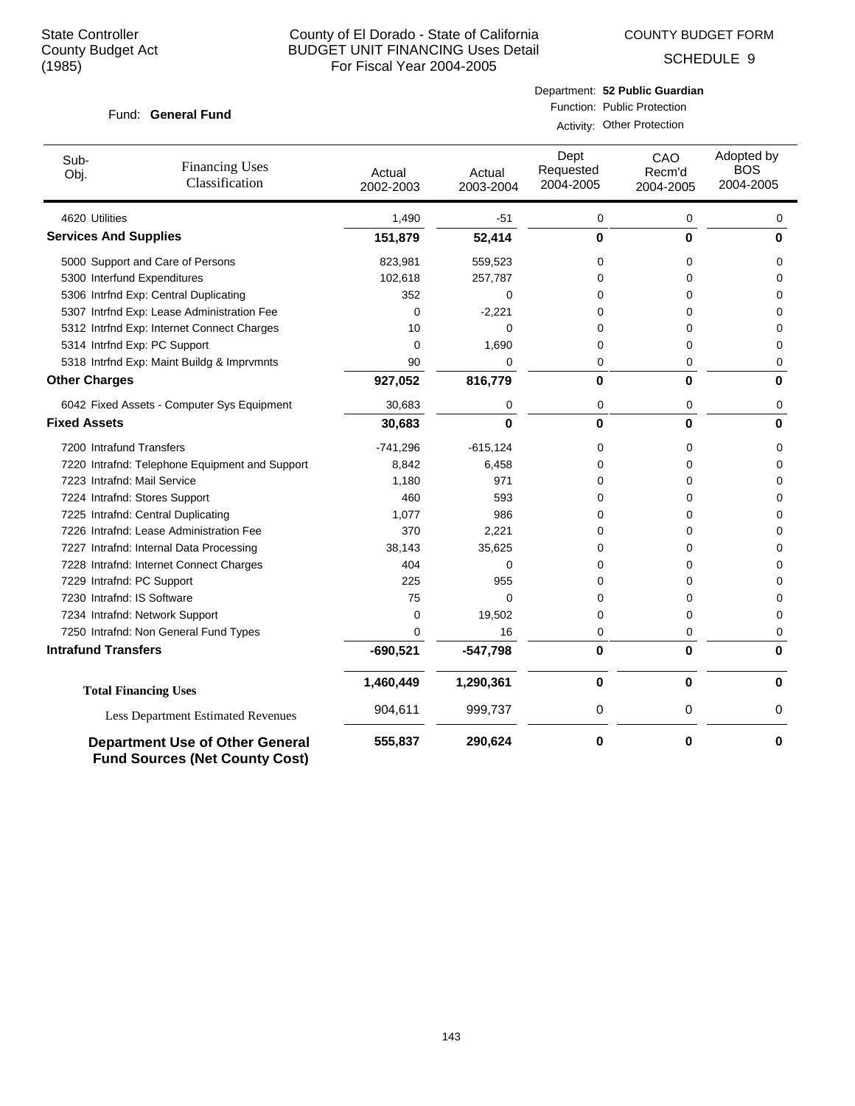COUNTY BUDGET FORM

SCHEDULE 9

#### Fund: General Fund

Department: **52 Public Guardian** Function: Public Protection Activity: Other Protection

| Sub-<br>Obj.                 | <b>Financing Uses</b><br>Classification                                         | Actual<br>2002-2003 | Actual<br>2003-2004 | Dept<br>Requested<br>2004-2005 | CAO<br>Recm'd<br>2004-2005 | Adopted by<br><b>BOS</b><br>2004-2005 |
|------------------------------|---------------------------------------------------------------------------------|---------------------|---------------------|--------------------------------|----------------------------|---------------------------------------|
| 4620 Utilities               |                                                                                 | 1,490               | $-51$               | 0                              | 0                          | 0                                     |
| <b>Services And Supplies</b> |                                                                                 | 151,879             | 52,414              | 0                              | $\bf{0}$                   | 0                                     |
|                              | 5000 Support and Care of Persons                                                | 823,981             | 559,523             | 0                              | 0                          | $\Omega$                              |
|                              | 5300 Interfund Expenditures                                                     | 102,618             | 257,787             | $\Omega$                       | 0                          | $\Omega$                              |
|                              | 5306 Intrfnd Exp: Central Duplicating                                           | 352                 | 0                   | 0                              | 0                          | $\mathbf 0$                           |
|                              | 5307 Intrfnd Exp: Lease Administration Fee                                      | 0                   | $-2,221$            | 0                              | 0                          | 0                                     |
|                              | 5312 Intrfnd Exp: Internet Connect Charges                                      | 10                  | 0                   | 0                              | 0                          | $\mathbf 0$                           |
|                              | 5314 Intrfnd Exp: PC Support                                                    | 0                   | 1,690               | 0                              | 0                          | $\mathbf 0$                           |
|                              | 5318 Intrfnd Exp: Maint Buildg & Imprvmnts                                      | 90                  | $\Omega$            | 0                              | 0                          | 0                                     |
| <b>Other Charges</b>         |                                                                                 | 927,052             | 816,779             | 0                              | $\bf{0}$                   | 0                                     |
|                              | 6042 Fixed Assets - Computer Sys Equipment                                      | 30,683              | 0                   | 0                              | 0                          | 0                                     |
| <b>Fixed Assets</b>          |                                                                                 | 30,683              | $\bf{0}$            | $\mathbf{0}$                   | $\bf{0}$                   | 0                                     |
| 7200 Intrafund Transfers     |                                                                                 | $-741,296$          | $-615, 124$         | 0                              | 0                          | $\Omega$                              |
|                              | 7220 Intrafnd: Telephone Equipment and Support                                  | 8,842               | 6,458               | 0                              | 0                          | 0                                     |
|                              | 7223 Intrafnd: Mail Service                                                     | 1,180               | 971                 | 0                              | 0                          | 0                                     |
|                              | 7224 Intrafnd: Stores Support                                                   | 460                 | 593                 | 0                              | 0                          | 0                                     |
|                              | 7225 Intrafnd: Central Duplicating                                              | 1,077               | 986                 | 0                              | 0                          | 0                                     |
|                              | 7226 Intrafnd: Lease Administration Fee                                         | 370                 | 2,221               | 0                              | 0                          | 0                                     |
|                              | 7227 Intrafnd: Internal Data Processing                                         | 38,143              | 35,625              | 0                              | 0                          | $\mathbf 0$                           |
|                              | 7228 Intrafnd: Internet Connect Charges                                         | 404                 | $\Omega$            | 0                              | 0                          | $\mathbf 0$                           |
| 7229 Intrafnd: PC Support    |                                                                                 | 225                 | 955                 | 0                              | 0                          | $\Omega$                              |
| 7230 Intrafnd: IS Software   |                                                                                 | 75                  | $\Omega$            | 0                              | 0                          | $\Omega$                              |
|                              | 7234 Intrafnd: Network Support                                                  | 0                   | 19,502              | 0                              | 0                          | 0                                     |
|                              | 7250 Intrafnd: Non General Fund Types                                           | 0                   | 16                  | 0                              | 0                          | 0                                     |
| <b>Intrafund Transfers</b>   |                                                                                 | $-690,521$          | $-547,798$          | 0                              | $\bf{0}$                   | 0                                     |
|                              | <b>Total Financing Uses</b>                                                     | 1,460,449           | 1,290,361           | $\bf{0}$                       | $\mathbf 0$                | 0                                     |
|                              | <b>Less Department Estimated Revenues</b>                                       | 904,611             | 999,737             | 0                              | 0                          | 0                                     |
|                              | <b>Department Use of Other General</b><br><b>Fund Sources (Net County Cost)</b> | 555,837             | 290,624             | 0                              | 0                          | 0                                     |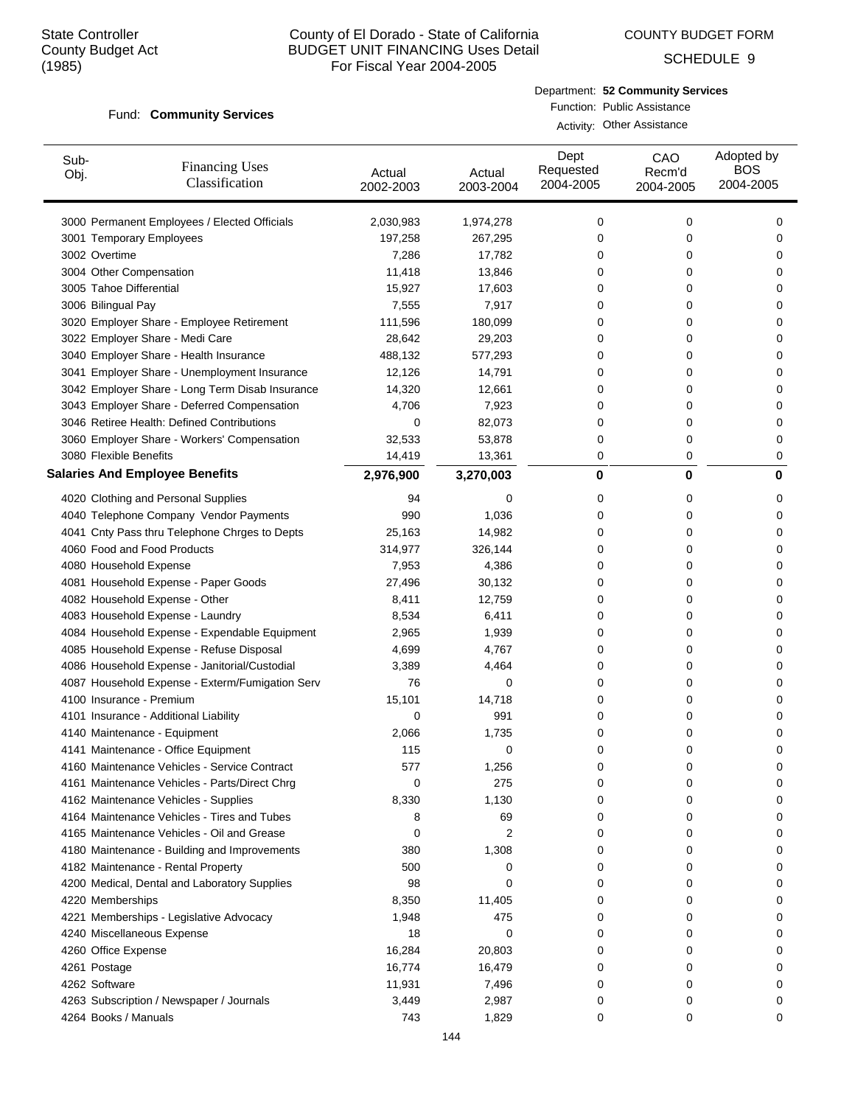COUNTY BUDGET FORM

SCHEDULE 9

#### Fund: Community Services

Department: **52 Community Services** Function: Public Assistance Activity: Other Assistance

| Sub-<br>Obj.             | <b>Financing Uses</b><br>Classification         | Actual<br>2002-2003 | Actual<br>2003-2004 | Dept<br>Requested<br>2004-2005 | CAO<br>Recm'd<br>2004-2005 | Adopted by<br><b>BOS</b><br>2004-2005 |
|--------------------------|-------------------------------------------------|---------------------|---------------------|--------------------------------|----------------------------|---------------------------------------|
|                          | 3000 Permanent Employees / Elected Officials    | 2,030,983           | 1,974,278           | 0                              | 0                          | 0                                     |
|                          | 3001 Temporary Employees                        | 197,258             | 267,295             | 0                              | 0                          | 0                                     |
| 3002 Overtime            |                                                 | 7,286               | 17,782              | 0                              | 0                          | 0                                     |
| 3004 Other Compensation  |                                                 | 11,418              | 13,846              | 0                              | 0                          | 0                                     |
| 3005 Tahoe Differential  |                                                 | 15,927              | 17,603              | 0                              | 0                          | 0                                     |
| 3006 Bilingual Pay       |                                                 | 7,555               | 7,917               | 0                              | 0                          | 0                                     |
|                          | 3020 Employer Share - Employee Retirement       | 111,596             | 180,099             | 0                              | 0                          | 0                                     |
|                          | 3022 Employer Share - Medi Care                 | 28,642              | 29,203              | 0                              | 0                          | 0                                     |
|                          | 3040 Employer Share - Health Insurance          | 488,132             | 577,293             | 0                              | 0                          | 0                                     |
|                          | 3041 Employer Share - Unemployment Insurance    | 12,126              | 14,791              | 0                              | 0                          | 0                                     |
|                          | 3042 Employer Share - Long Term Disab Insurance | 14,320              | 12,661              | 0                              | 0                          | 0                                     |
|                          | 3043 Employer Share - Deferred Compensation     | 4,706               | 7,923               | 0                              | 0                          | 0                                     |
|                          | 3046 Retiree Health: Defined Contributions      | 0                   | 82,073              | 0                              | 0                          | 0                                     |
|                          | 3060 Employer Share - Workers' Compensation     | 32,533              | 53,878              | 0                              | 0                          | 0                                     |
| 3080 Flexible Benefits   |                                                 | 14,419              | 13,361              | 0                              | 0                          | 0                                     |
|                          | <b>Salaries And Employee Benefits</b>           | 2,976,900           | 3,270,003           | 0                              | $\bf{0}$                   | 0                                     |
|                          | 4020 Clothing and Personal Supplies             | 94                  | 0                   | 0                              | 0                          | 0                                     |
|                          | 4040 Telephone Company Vendor Payments          | 990                 | 1,036               | 0                              | 0                          | 0                                     |
|                          | 4041 Cnty Pass thru Telephone Chrges to Depts   | 25,163              | 14,982              | 0                              | 0                          | 0                                     |
|                          | 4060 Food and Food Products                     | 314,977             | 326,144             | 0                              | 0                          | 0                                     |
| 4080 Household Expense   |                                                 | 7,953               | 4,386               | 0                              | 0                          | 0                                     |
|                          | 4081 Household Expense - Paper Goods            | 27,496              | 30,132              | 0                              | 0                          | 0                                     |
|                          | 4082 Household Expense - Other                  | 8,411               | 12,759              | 0                              | 0                          | 0                                     |
|                          | 4083 Household Expense - Laundry                | 8,534               | 6,411               | 0                              | 0                          | 0                                     |
|                          | 4084 Household Expense - Expendable Equipment   | 2,965               | 1,939               | 0                              | 0                          | 0                                     |
|                          | 4085 Household Expense - Refuse Disposal        | 4,699               | 4,767               | 0                              | 0                          | 0                                     |
|                          | 4086 Household Expense - Janitorial/Custodial   | 3,389               | 4,464               | 0                              | 0                          | 0                                     |
|                          | 4087 Household Expense - Exterm/Fumigation Serv | 76                  | 0                   | 0                              | 0                          | 0                                     |
| 4100 Insurance - Premium |                                                 | 15,101              | 14,718              | 0                              | 0                          | 0                                     |
|                          | 4101 Insurance - Additional Liability           | 0                   | 991                 | 0                              | 0                          | 0                                     |
|                          | 4140 Maintenance - Equipment                    | 2,066               | 1,735               | 0                              | 0                          | 0                                     |
|                          | 4141 Maintenance - Office Equipment             | 115                 | 0                   | 0                              | 0                          | $\mathbf 0$                           |
|                          | 4160 Maintenance Vehicles - Service Contract    | 577                 | 1,256               | 0                              | 0                          | 0                                     |
|                          | 4161 Maintenance Vehicles - Parts/Direct Chrg   | 0                   | 275                 | 0                              | 0                          | 0                                     |
|                          | 4162 Maintenance Vehicles - Supplies            | 8,330               | 1,130               | 0                              | 0                          | 0                                     |
|                          | 4164 Maintenance Vehicles - Tires and Tubes     | 8                   | 69                  | 0                              | 0                          | 0                                     |
|                          | 4165 Maintenance Vehicles - Oil and Grease      | 0                   | 2                   | 0                              | 0                          | 0                                     |
|                          | 4180 Maintenance - Building and Improvements    | 380                 | 1,308               | 0                              | 0                          | 0                                     |
|                          | 4182 Maintenance - Rental Property              | 500                 | 0                   | 0                              | 0                          | 0                                     |
|                          | 4200 Medical, Dental and Laboratory Supplies    | 98                  | 0                   | 0                              | 0                          | 0                                     |
| 4220 Memberships         |                                                 | 8,350               | 11,405              | 0                              | 0                          | 0                                     |
|                          | 4221 Memberships - Legislative Advocacy         | 1,948               | 475                 | 0                              | 0                          | 0                                     |
|                          | 4240 Miscellaneous Expense                      | 18                  | 0                   | 0                              | 0                          | 0                                     |
| 4260 Office Expense      |                                                 | 16,284              | 20,803              | 0                              | 0                          | 0                                     |
| 4261 Postage             |                                                 | 16,774              | 16,479              | 0                              | 0                          | 0                                     |
| 4262 Software            |                                                 | 11,931              | 7,496               | 0                              | 0                          | 0                                     |
|                          | 4263 Subscription / Newspaper / Journals        | 3,449               | 2,987               | 0                              | 0                          | 0                                     |
| 4264 Books / Manuals     |                                                 | 743                 | 1,829               | 0                              | 0                          | 0                                     |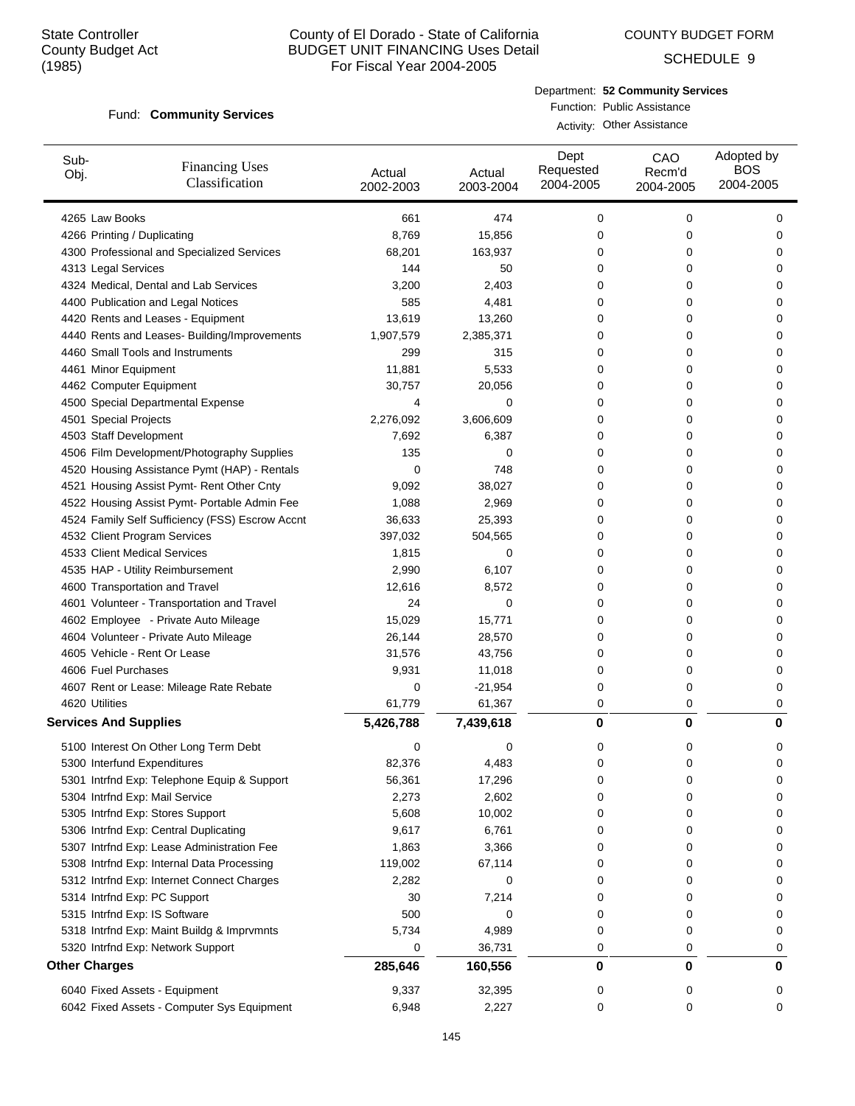COUNTY BUDGET FORM

SCHEDULE 9

#### Fund: Community Services

Department: **52 Community Services** Function: Public Assistance

Activity: Other Assistance

| Sub-<br>Obj.                 | <b>Financing Uses</b><br>Classification         | Actual<br>2002-2003 | Actual<br>2003-2004 | Dept<br>Requested<br>2004-2005 | CAO<br>Recm'd<br>2004-2005 | Adopted by<br><b>BOS</b><br>2004-2005 |
|------------------------------|-------------------------------------------------|---------------------|---------------------|--------------------------------|----------------------------|---------------------------------------|
| 4265 Law Books               |                                                 | 661                 | 474                 | 0                              | 0                          | 0                                     |
|                              | 4266 Printing / Duplicating                     | 8,769               | 15,856              | 0                              | 0                          | 0                                     |
|                              | 4300 Professional and Specialized Services      | 68,201              | 163,937             | 0                              | 0                          | 0                                     |
| 4313 Legal Services          |                                                 | 144                 | 50                  | 0                              | 0                          | 0                                     |
|                              | 4324 Medical, Dental and Lab Services           | 3,200               | 2,403               | 0                              | 0                          | 0                                     |
|                              | 4400 Publication and Legal Notices              | 585                 | 4,481               | 0                              | 0                          | 0                                     |
|                              | 4420 Rents and Leases - Equipment               | 13,619              | 13,260              | 0                              | 0                          | 0                                     |
|                              | 4440 Rents and Leases- Building/Improvements    | 1,907,579           | 2,385,371           | 0                              | 0                          | 0                                     |
|                              | 4460 Small Tools and Instruments                | 299                 | 315                 | 0                              | 0                          | 0                                     |
| 4461 Minor Equipment         |                                                 | 11,881              | 5,533               | 0                              | 0                          | 0                                     |
|                              | 4462 Computer Equipment                         | 30,757              | 20,056              | 0                              | 0                          | 0                                     |
|                              | 4500 Special Departmental Expense               | 4                   | 0                   | 0                              | 0                          | 0                                     |
| 4501 Special Projects        |                                                 | 2,276,092           | 3,606,609           | 0                              | 0                          | 0                                     |
|                              | 4503 Staff Development                          | 7,692               | 6,387               | 0                              | 0                          | 0                                     |
|                              | 4506 Film Development/Photography Supplies      | 135                 | 0                   | 0                              | 0                          | 0                                     |
|                              | 4520 Housing Assistance Pymt (HAP) - Rentals    | 0                   | 748                 | 0                              | 0                          | 0                                     |
|                              | 4521 Housing Assist Pymt- Rent Other Cnty       | 9,092               | 38,027              | 0                              | 0                          | 0                                     |
|                              | 4522 Housing Assist Pymt- Portable Admin Fee    | 1,088               | 2,969               | 0                              | 0                          | 0                                     |
|                              | 4524 Family Self Sufficiency (FSS) Escrow Accnt | 36,633              | 25,393              | 0                              | 0                          | 0                                     |
|                              | 4532 Client Program Services                    | 397,032             | 504,565             | 0                              | 0                          | 0                                     |
|                              | 4533 Client Medical Services                    | 1,815               | 0                   | 0                              | 0                          | 0                                     |
|                              | 4535 HAP - Utility Reimbursement                | 2,990               | 6,107               | 0                              | 0                          | 0                                     |
|                              | 4600 Transportation and Travel                  | 12,616              | 8,572               | 0                              | 0                          | 0                                     |
|                              | 4601 Volunteer - Transportation and Travel      | 24                  | 0                   | 0                              | 0                          | 0                                     |
|                              | 4602 Employee - Private Auto Mileage            | 15,029              | 15,771              | 0                              | 0                          | 0                                     |
|                              | 4604 Volunteer - Private Auto Mileage           | 26,144              | 28,570              | 0                              | 0                          | 0                                     |
|                              | 4605 Vehicle - Rent Or Lease                    | 31,576              | 43,756              | 0                              | 0                          | 0                                     |
| 4606 Fuel Purchases          |                                                 | 9,931               | 11,018              | 0                              | 0                          | 0                                     |
|                              | 4607 Rent or Lease: Mileage Rate Rebate         | 0                   | $-21,954$           | 0                              | 0                          | 0                                     |
| 4620 Utilities               |                                                 | 61,779              | 61,367              | 0                              | 0                          | 0                                     |
| <b>Services And Supplies</b> |                                                 | 5,426,788           | 7,439,618           | 0                              | 0                          | 0                                     |
|                              | 5100 Interest On Other Long Term Debt           | 0                   | 0                   | 0                              | 0                          | 0                                     |
|                              | 5300 Interfund Expenditures                     | 82,376              | 4,483               | 0                              | 0                          | 0                                     |
|                              | 5301 Intrfnd Exp: Telephone Equip & Support     | 56,361              | 17,296              | 0                              | 0                          | 0                                     |
|                              | 5304 Intrfnd Exp: Mail Service                  | 2,273               | 2,602               | 0                              | 0                          | 0                                     |
|                              | 5305 Intrfnd Exp: Stores Support                | 5,608               | 10,002              | 0                              | 0                          | 0                                     |
|                              | 5306 Intrfnd Exp: Central Duplicating           | 9,617               | 6,761               | 0                              | 0                          | 0                                     |
|                              | 5307 Intrfnd Exp: Lease Administration Fee      | 1,863               | 3,366               | 0                              | 0                          | 0                                     |
|                              | 5308 Intrfnd Exp: Internal Data Processing      | 119,002             | 67,114              | 0                              | 0                          | 0                                     |
|                              | 5312 Intrfnd Exp: Internet Connect Charges      | 2,282               | 0                   | 0                              | 0                          | 0                                     |
|                              | 5314 Intrfnd Exp: PC Support                    | 30                  | 7,214               | 0                              | 0                          | 0                                     |
|                              | 5315 Intrfnd Exp: IS Software                   | 500                 | 0                   | 0                              | 0                          | 0                                     |
|                              | 5318 Intrfnd Exp: Maint Buildg & Imprvmnts      | 5,734               | 4,989               | 0                              | 0                          | 0                                     |
|                              | 5320 Intrfnd Exp: Network Support               | 0                   | 36,731              | 0                              | 0                          | 0                                     |
| <b>Other Charges</b>         |                                                 | 285,646             | 160,556             | 0                              | 0                          | 0                                     |
|                              |                                                 | 9,337               |                     |                                |                            |                                       |
|                              | 6040 Fixed Assets - Equipment                   |                     | 32,395              | 0                              | 0                          | 0                                     |
|                              | 6042 Fixed Assets - Computer Sys Equipment      | 6,948               | 2,227               | 0                              | 0                          | 0                                     |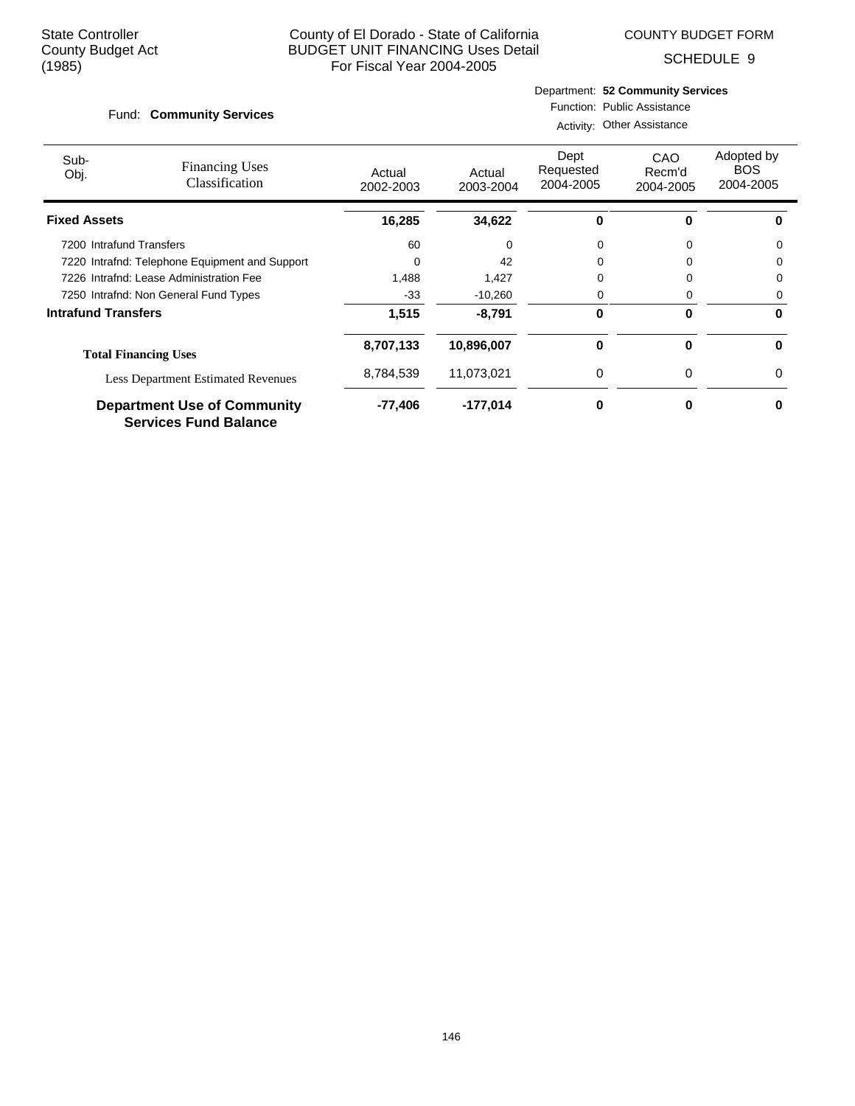COUNTY BUDGET FORM

SCHEDULE 9

#### Fund: Community Services

## Department: **52 Community Services** Function: Public Assistance

Activity: Other Assistance

| Sub-<br>Obj.               | <b>Financing Uses</b><br>Classification                            | Actual<br>2002-2003 | Actual<br>2003-2004 | Dept<br>Requested<br>2004-2005 | CAO<br>Recm'd<br>2004-2005 | Adopted by<br><b>BOS</b><br>2004-2005 |
|----------------------------|--------------------------------------------------------------------|---------------------|---------------------|--------------------------------|----------------------------|---------------------------------------|
| <b>Fixed Assets</b>        |                                                                    | 16,285              | 34,622              | o                              | 0                          |                                       |
| 7200 Intrafund Transfers   |                                                                    | 60                  | 0                   | 0                              | 0                          | 0                                     |
|                            | 7220 Intrafnd: Telephone Equipment and Support                     |                     | 42                  | 0                              |                            | 0                                     |
|                            | 7226 Intrafnd: Lease Administration Fee                            | 1.488               | 1,427               | 0                              |                            | 0                                     |
|                            | 7250 Intrafnd: Non General Fund Types                              | $-33$               | $-10,260$           | 0                              | 0                          | 0                                     |
| <b>Intrafund Transfers</b> |                                                                    | 1,515               | $-8,791$            | 0                              | $\bf{0}$                   | 0                                     |
|                            | <b>Total Financing Uses</b>                                        | 8,707,133           | 10,896,007          | 0                              | $\bf{0}$                   | 0                                     |
|                            | <b>Less Department Estimated Revenues</b>                          | 8,784,539           | 11,073,021          | 0                              | $\Omega$                   | 0                                     |
|                            | <b>Department Use of Community</b><br><b>Services Fund Balance</b> | $-77,406$           | $-177,014$          | 0                              | 0                          | ŋ                                     |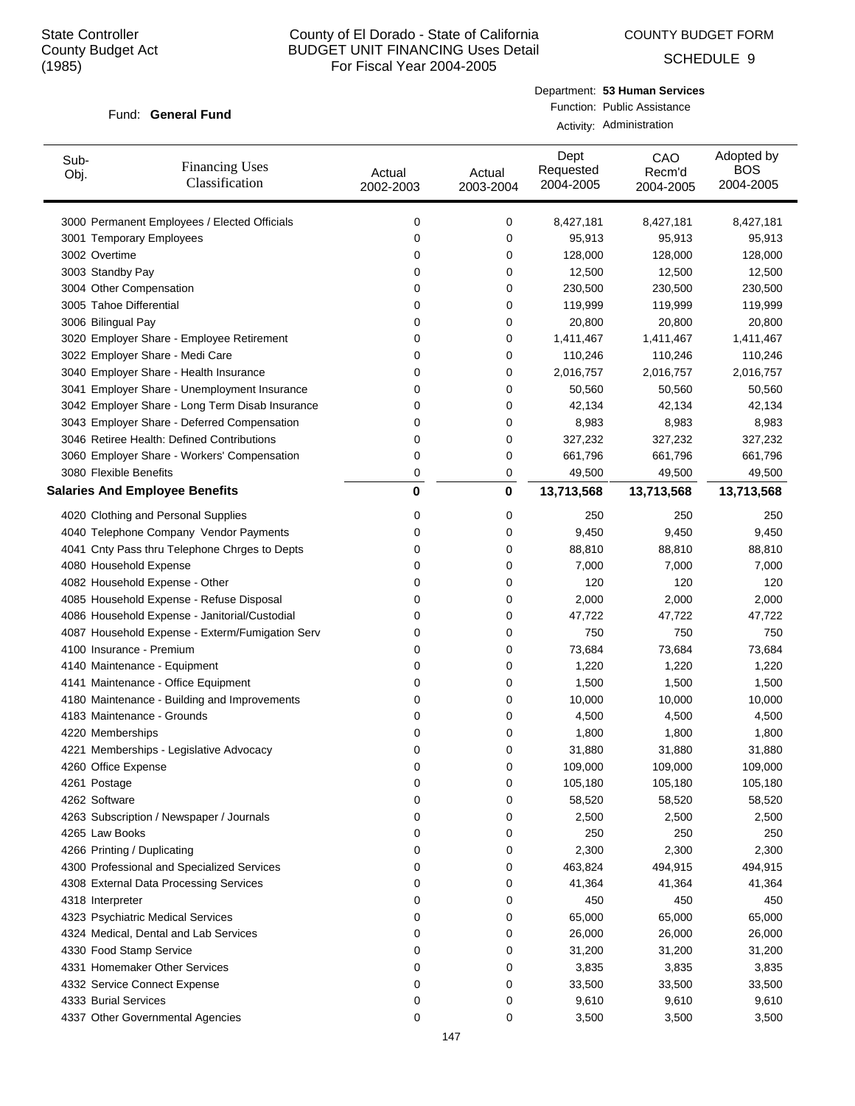COUNTY BUDGET FORM

SCHEDULE 9

#### Fund: General Fund

Department: **53 Human Services** Function: Public Assistance Activity: Administration

| Sub-<br>Obj.                | <b>Financing Uses</b><br>Classification         | Actual<br>2002-2003 | Actual<br>2003-2004 | Dept<br>Requested<br>2004-2005 | CAO<br>Recm'd<br>2004-2005 | Adopted by<br><b>BOS</b><br>2004-2005 |
|-----------------------------|-------------------------------------------------|---------------------|---------------------|--------------------------------|----------------------------|---------------------------------------|
|                             | 3000 Permanent Employees / Elected Officials    | 0                   | 0                   | 8,427,181                      | 8,427,181                  | 8,427,181                             |
|                             | 3001 Temporary Employees                        | 0                   | 0                   | 95,913                         | 95,913                     | 95,913                                |
| 3002 Overtime               |                                                 | 0                   | 0                   | 128,000                        | 128,000                    | 128,000                               |
| 3003 Standby Pay            |                                                 | 0                   | 0                   | 12,500                         | 12,500                     | 12,500                                |
| 3004 Other Compensation     |                                                 | 0                   | 0                   | 230,500                        | 230,500                    | 230,500                               |
| 3005 Tahoe Differential     |                                                 | 0                   | 0                   | 119,999                        | 119,999                    | 119,999                               |
| 3006 Bilingual Pay          |                                                 | 0                   | 0                   | 20,800                         | 20,800                     | 20,800                                |
|                             | 3020 Employer Share - Employee Retirement       | 0                   | 0                   | 1,411,467                      | 1,411,467                  | 1,411,467                             |
|                             | 3022 Employer Share - Medi Care                 | 0                   | 0                   | 110,246                        | 110,246                    | 110,246                               |
|                             | 3040 Employer Share - Health Insurance          | 0                   | 0                   | 2,016,757                      | 2,016,757                  | 2,016,757                             |
|                             | 3041 Employer Share - Unemployment Insurance    | 0                   | 0                   | 50,560                         | 50,560                     | 50,560                                |
|                             | 3042 Employer Share - Long Term Disab Insurance | 0                   | 0                   | 42,134                         | 42,134                     | 42,134                                |
|                             | 3043 Employer Share - Deferred Compensation     | 0                   | 0                   | 8,983                          | 8,983                      | 8,983                                 |
|                             | 3046 Retiree Health: Defined Contributions      | 0                   | 0                   | 327,232                        | 327,232                    | 327,232                               |
|                             | 3060 Employer Share - Workers' Compensation     | 0                   | 0                   | 661,796                        | 661,796                    | 661,796                               |
| 3080 Flexible Benefits      |                                                 | 0                   | 0                   | 49,500                         | 49,500                     | 49,500                                |
|                             | <b>Salaries And Employee Benefits</b>           | 0                   | $\mathbf 0$         | 13,713,568                     | 13,713,568                 | 13,713,568                            |
|                             | 4020 Clothing and Personal Supplies             | 0                   | 0                   | 250                            | 250                        | 250                                   |
|                             | 4040 Telephone Company Vendor Payments          | 0                   | 0                   | 9,450                          | 9,450                      | 9,450                                 |
|                             | 4041 Cnty Pass thru Telephone Chrges to Depts   | 0                   | 0                   | 88,810                         | 88,810                     | 88,810                                |
| 4080 Household Expense      |                                                 | 0                   | 0                   | 7,000                          | 7,000                      | 7,000                                 |
|                             | 4082 Household Expense - Other                  | 0                   | 0                   | 120                            | 120                        | 120                                   |
|                             | 4085 Household Expense - Refuse Disposal        | 0                   | 0                   | 2,000                          | 2,000                      | 2,000                                 |
|                             | 4086 Household Expense - Janitorial/Custodial   | 0                   | 0                   | 47,722                         | 47,722                     | 47,722                                |
|                             | 4087 Household Expense - Exterm/Fumigation Serv | 0                   | 0                   | 750                            | 750                        | 750                                   |
| 4100 Insurance - Premium    |                                                 | 0                   | 0                   | 73,684                         | 73,684                     | 73,684                                |
|                             | 4140 Maintenance - Equipment                    | 0                   | 0                   | 1,220                          | 1,220                      | 1,220                                 |
|                             | 4141 Maintenance - Office Equipment             | 0                   | 0                   | 1,500                          | 1,500                      | 1,500                                 |
|                             | 4180 Maintenance - Building and Improvements    | 0                   | 0                   | 10,000                         | 10,000                     | 10,000                                |
|                             | 4183 Maintenance - Grounds                      | 0                   | 0                   | 4,500                          | 4,500                      | 4,500                                 |
| 4220 Memberships            |                                                 | 0                   | 0                   | 1,800                          | 1,800                      | 1,800                                 |
|                             | 4221 Memberships - Legislative Advocacy         | 0                   | 0                   | 31,880                         | 31,880                     | 31,880                                |
| 4260 Office Expense         |                                                 | O                   | 0                   | 109,000                        | 109,000                    | 109,000                               |
| 4261 Postage                |                                                 | 0                   | 0                   | 105,180                        | 105,180                    | 105,180                               |
| 4262 Software               |                                                 | 0                   | 0                   | 58,520                         | 58,520                     | 58,520                                |
|                             | 4263 Subscription / Newspaper / Journals        | 0                   | 0                   | 2,500                          | 2,500                      | 2,500                                 |
| 4265 Law Books              |                                                 | 0                   | 0                   | 250                            | 250                        | 250                                   |
| 4266 Printing / Duplicating |                                                 | 0                   | 0                   | 2,300                          | 2,300                      | 2,300                                 |
|                             | 4300 Professional and Specialized Services      | 0                   | 0                   | 463,824                        | 494,915                    | 494,915                               |
|                             | 4308 External Data Processing Services          | 0                   | 0                   | 41,364                         | 41,364                     | 41,364                                |
| 4318 Interpreter            |                                                 | 0                   | 0                   | 450                            | 450                        | 450                                   |
|                             | 4323 Psychiatric Medical Services               | 0                   | 0                   | 65,000                         | 65,000                     | 65,000                                |
|                             | 4324 Medical, Dental and Lab Services           | 0                   | 0                   | 26,000                         | 26,000                     | 26,000                                |
| 4330 Food Stamp Service     |                                                 | 0                   | 0                   | 31,200                         | 31,200                     | 31,200                                |
|                             | 4331 Homemaker Other Services                   | 0                   | 0                   | 3,835                          | 3,835                      | 3,835                                 |
|                             | 4332 Service Connect Expense                    | 0                   | 0                   | 33,500                         | 33,500                     | 33,500                                |
| 4333 Burial Services        |                                                 | 0                   | 0                   | 9,610                          | 9,610                      | 9,610                                 |
|                             | 4337 Other Governmental Agencies                | 0                   | 0                   | 3,500                          | 3,500                      | 3,500                                 |
|                             |                                                 |                     |                     |                                |                            |                                       |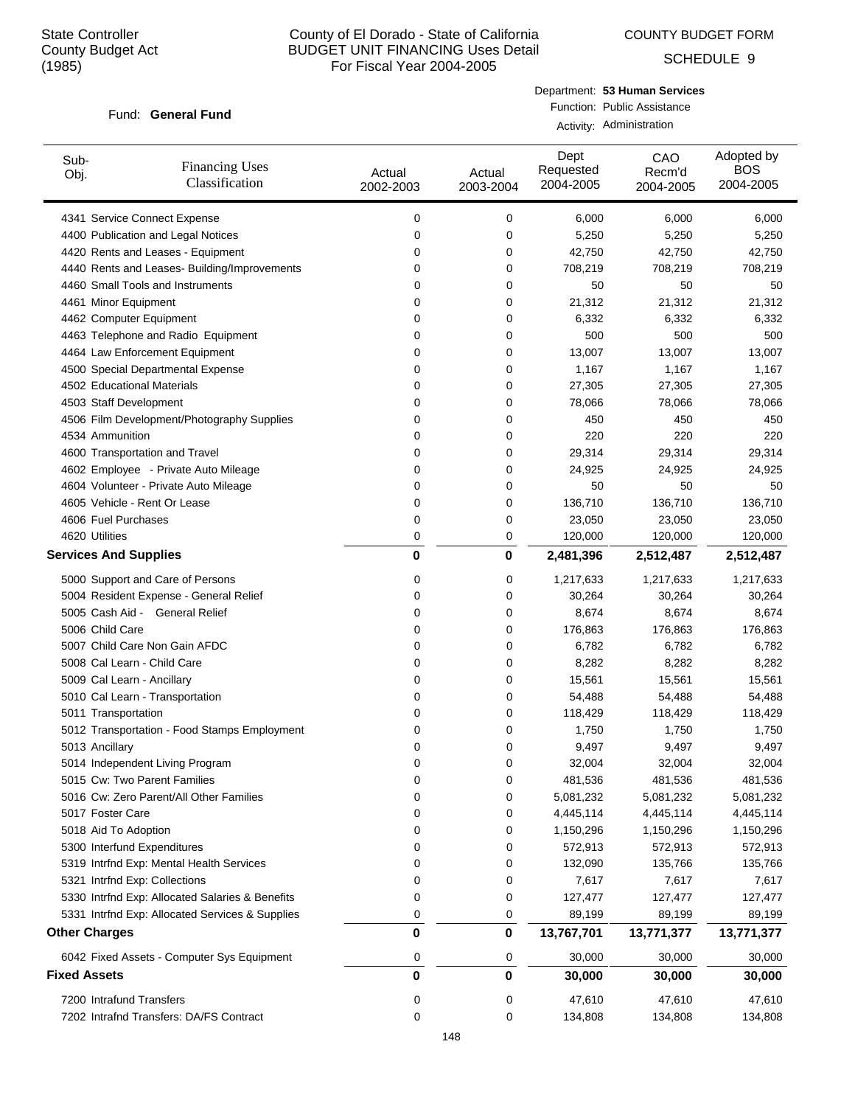COUNTY BUDGET FORM

SCHEDULE 9

#### Fund: General Fund

Department: **53 Human Services** Function: Public Assistance Activity: Administration

| Sub-<br>Obj.        | <b>Financing Uses</b><br>Classification         | Actual<br>2002-2003 | Actual<br>2003-2004 | Dept<br>Requested<br>2004-2005 | CAO<br>Recm'd<br>2004-2005 | Adopted by<br><b>BOS</b><br>2004-2005 |
|---------------------|-------------------------------------------------|---------------------|---------------------|--------------------------------|----------------------------|---------------------------------------|
|                     | 4341 Service Connect Expense                    | 0                   | 0                   | 6,000                          | 6,000                      | 6,000                                 |
|                     | 4400 Publication and Legal Notices              | 0                   | 0                   | 5,250                          | 5,250                      | 5,250                                 |
|                     | 4420 Rents and Leases - Equipment               | 0                   | 0                   | 42,750                         | 42,750                     | 42,750                                |
|                     | 4440 Rents and Leases- Building/Improvements    | 0                   | 0                   | 708,219                        | 708,219                    | 708,219                               |
|                     | 4460 Small Tools and Instruments                | 0                   | 0                   | 50                             | 50                         | 50                                    |
|                     | 4461 Minor Equipment                            | 0                   | 0                   | 21,312                         | 21,312                     | 21,312                                |
|                     | 4462 Computer Equipment                         | 0                   | 0                   | 6,332                          | 6,332                      | 6,332                                 |
|                     | 4463 Telephone and Radio Equipment              | 0                   | 0                   | 500                            | 500                        | 500                                   |
|                     | 4464 Law Enforcement Equipment                  | 0                   | 0                   | 13,007                         | 13,007                     | 13,007                                |
|                     | 4500 Special Departmental Expense               | 0                   | 0                   | 1,167                          | 1,167                      | 1,167                                 |
|                     | 4502 Educational Materials                      | 0                   | 0                   | 27,305                         | 27,305                     | 27,305                                |
|                     | 4503 Staff Development                          | 0                   | 0                   | 78,066                         | 78,066                     | 78,066                                |
|                     | 4506 Film Development/Photography Supplies      | 0                   | 0                   | 450                            | 450                        | 450                                   |
|                     | 4534 Ammunition                                 | 0                   | 0                   | 220                            | 220                        | 220                                   |
|                     | 4600 Transportation and Travel                  | 0                   | 0                   | 29,314                         | 29,314                     | 29,314                                |
|                     | 4602 Employee - Private Auto Mileage            | 0                   | 0                   | 24,925                         | 24,925                     | 24,925                                |
|                     | 4604 Volunteer - Private Auto Mileage           | 0                   | 0                   | 50                             | 50                         | 50                                    |
|                     | 4605 Vehicle - Rent Or Lease                    | 0                   | 0                   | 136,710                        | 136,710                    | 136,710                               |
|                     | 4606 Fuel Purchases                             | 0                   | 0                   | 23,050                         | 23,050                     | 23,050                                |
|                     | 4620 Utilities                                  | 0                   | 0                   | 120,000                        | 120,000                    | 120,000                               |
|                     | <b>Services And Supplies</b>                    | 0                   | 0                   | 2,481,396                      | 2,512,487                  | 2,512,487                             |
|                     | 5000 Support and Care of Persons                | 0                   | 0                   | 1,217,633                      | 1,217,633                  | 1,217,633                             |
|                     | 5004 Resident Expense - General Relief          | 0                   | 0                   | 30,264                         | 30,264                     | 30,264                                |
|                     | 5005 Cash Aid - General Relief                  | 0                   | 0                   | 8,674                          | 8,674                      | 8,674                                 |
|                     | 5006 Child Care                                 | 0                   | 0                   | 176,863                        | 176,863                    | 176,863                               |
|                     | 5007 Child Care Non Gain AFDC                   | 0                   | 0                   | 6,782                          | 6,782                      | 6,782                                 |
|                     | 5008 Cal Learn - Child Care                     | 0                   | 0                   | 8,282                          | 8,282                      | 8,282                                 |
|                     | 5009 Cal Learn - Ancillary                      | 0                   | 0                   | 15,561                         | 15,561                     | 15,561                                |
|                     | 5010 Cal Learn - Transportation                 | 0                   | 0                   | 54,488                         | 54,488                     | 54,488                                |
|                     | 5011 Transportation                             | 0                   | 0                   | 118,429                        | 118,429                    | 118,429                               |
|                     | 5012 Transportation - Food Stamps Employment    | 0                   | 0                   | 1,750                          | 1,750                      | 1,750                                 |
|                     | 5013 Ancillary                                  | 0                   | 0                   | 9,497                          | 9,497                      | 9,497                                 |
|                     | 5014 Independent Living Program                 | 0                   | 0                   | 32,004                         | 32,004                     | 32,004                                |
|                     | 5015 Cw: Two Parent Families                    | 0                   | 0                   | 481,536                        | 481,536                    | 481,536                               |
|                     | 5016 Cw: Zero Parent/All Other Families         | 0                   | 0                   | 5,081,232                      | 5,081,232                  | 5,081,232                             |
|                     | 5017 Foster Care                                | 0                   | 0                   | 4,445,114                      | 4,445,114                  | 4,445,114                             |
|                     | 5018 Aid To Adoption                            | 0                   | 0                   | 1,150,296                      | 1,150,296                  | 1,150,296                             |
|                     | 5300 Interfund Expenditures                     | 0                   | 0                   | 572,913                        | 572,913                    | 572,913                               |
|                     | 5319 Intrfnd Exp: Mental Health Services        | 0                   | 0                   | 132,090                        | 135,766                    | 135,766                               |
|                     | 5321 Intrfnd Exp: Collections                   | 0                   | 0                   | 7,617                          | 7,617                      | 7,617                                 |
|                     | 5330 Intrfnd Exp: Allocated Salaries & Benefits | 0                   | 0                   | 127,477                        | 127,477                    | 127,477                               |
|                     | 5331 Intrfnd Exp: Allocated Services & Supplies | 0                   | 0                   | 89,199                         | 89,199                     | 89,199                                |
|                     | <b>Other Charges</b>                            | $\bf{0}$            | 0                   | 13,767,701                     | 13,771,377                 | 13,771,377                            |
|                     | 6042 Fixed Assets - Computer Sys Equipment      | 0                   | 0                   | 30,000                         | 30,000                     | 30,000                                |
| <b>Fixed Assets</b> |                                                 | $\bf{0}$            | 0                   | 30,000                         | 30,000                     | 30,000                                |
|                     | 7200 Intrafund Transfers                        |                     |                     | 47,610                         | 47,610                     |                                       |
|                     | 7202 Intrafnd Transfers: DA/FS Contract         | 0<br>0              | 0<br>0              |                                |                            | 47,610                                |
|                     |                                                 |                     |                     | 134,808                        | 134,808                    | 134,808                               |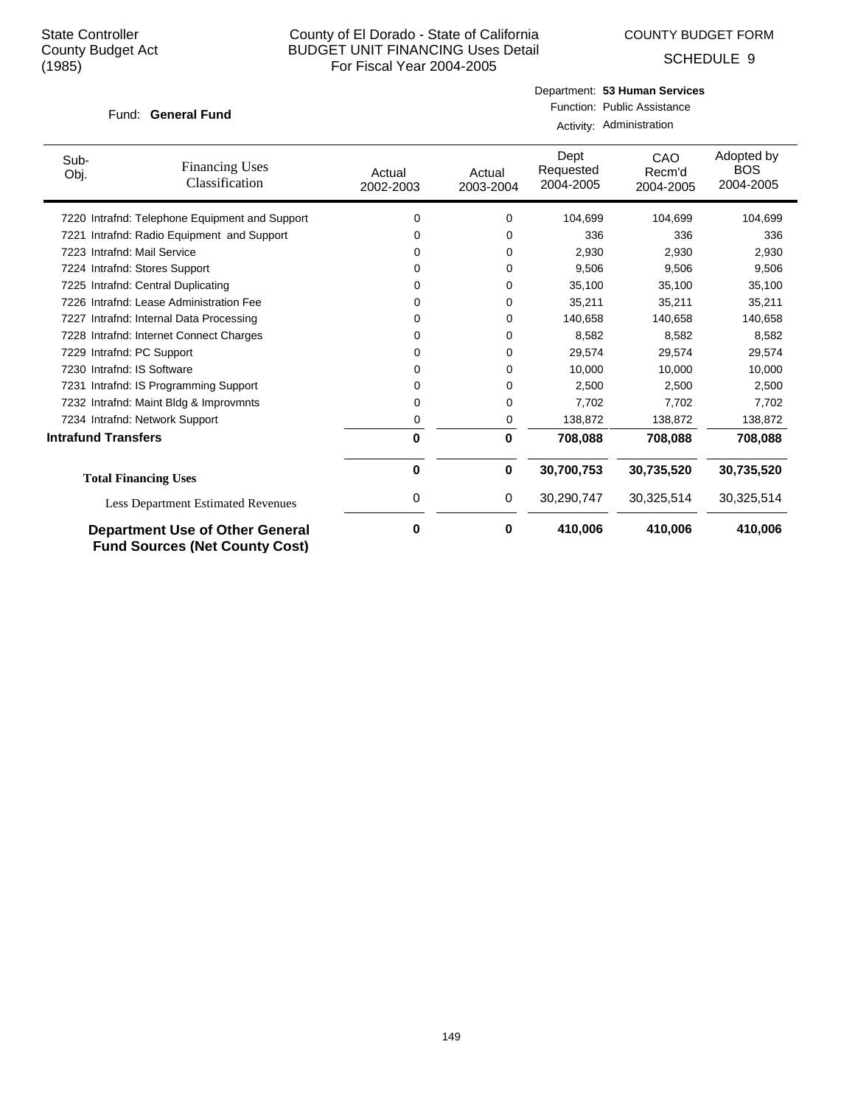COUNTY BUDGET FORM

SCHEDULE 9

## Fund: General Fund

## Department: **53 Human Services** Function: Public Assistance Activity: Administration

| Sub-<br>Obj.               | <b>Financing Uses</b><br>Classification                                         | Actual<br>2002-2003 | Actual<br>2003-2004 | Dept<br>Requested<br>2004-2005 | <b>CAO</b><br>Recm'd<br>2004-2005 | Adopted by<br><b>BOS</b><br>2004-2005 |
|----------------------------|---------------------------------------------------------------------------------|---------------------|---------------------|--------------------------------|-----------------------------------|---------------------------------------|
|                            | 7220 Intrafnd: Telephone Equipment and Support                                  | 0                   | 0                   | 104,699                        | 104,699                           | 104,699                               |
| 7221                       | Intrafnd: Radio Equipment and Support                                           | 0                   | 0                   | 336                            | 336                               | 336                                   |
|                            | 7223 Intrafnd: Mail Service                                                     | 0                   | 0                   | 2,930                          | 2,930                             | 2,930                                 |
|                            | 7224 Intrafnd: Stores Support                                                   | 0                   | 0                   | 9,506                          | 9,506                             | 9,506                                 |
|                            | 7225 Intrafnd: Central Duplicating                                              | 0                   | 0                   | 35,100                         | 35,100                            | 35,100                                |
|                            | 7226 Intrafnd: Lease Administration Fee                                         | 0                   | 0                   | 35,211                         | 35,211                            | 35,211                                |
| 7227                       | Intrafnd: Internal Data Processing                                              | 0                   | 0                   | 140,658                        | 140,658                           | 140,658                               |
|                            | 7228 Intrafnd: Internet Connect Charges                                         | 0                   | 0                   | 8,582                          | 8,582                             | 8,582                                 |
| 7229                       | Intrafnd: PC Support                                                            | 0                   | 0                   | 29,574                         | 29,574                            | 29,574                                |
|                            | 7230 Intrafnd: IS Software                                                      | 0                   | 0                   | 10,000                         | 10,000                            | 10,000                                |
| 7231                       | Intrafnd: IS Programming Support                                                | 0                   | 0                   | 2,500                          | 2,500                             | 2,500                                 |
|                            | 7232 Intrafnd: Maint Bldg & Improvmnts                                          | 0                   | 0                   | 7,702                          | 7,702                             | 7,702                                 |
|                            | 7234 Intrafnd: Network Support                                                  | 0                   | 0                   | 138,872                        | 138,872                           | 138,872                               |
| <b>Intrafund Transfers</b> |                                                                                 | $\bf{0}$            | 0                   | 708,088                        | 708,088                           | 708,088                               |
|                            | <b>Total Financing Uses</b>                                                     | 0                   | 0                   | 30,700,753                     | 30,735,520                        | 30,735,520                            |
|                            | <b>Less Department Estimated Revenues</b>                                       | 0                   | 0                   | 30,290,747                     | 30,325,514                        | 30,325,514                            |
|                            | <b>Department Use of Other General</b><br><b>Fund Sources (Net County Cost)</b> | 0                   | 0                   | 410,006                        | 410,006                           | 410,006                               |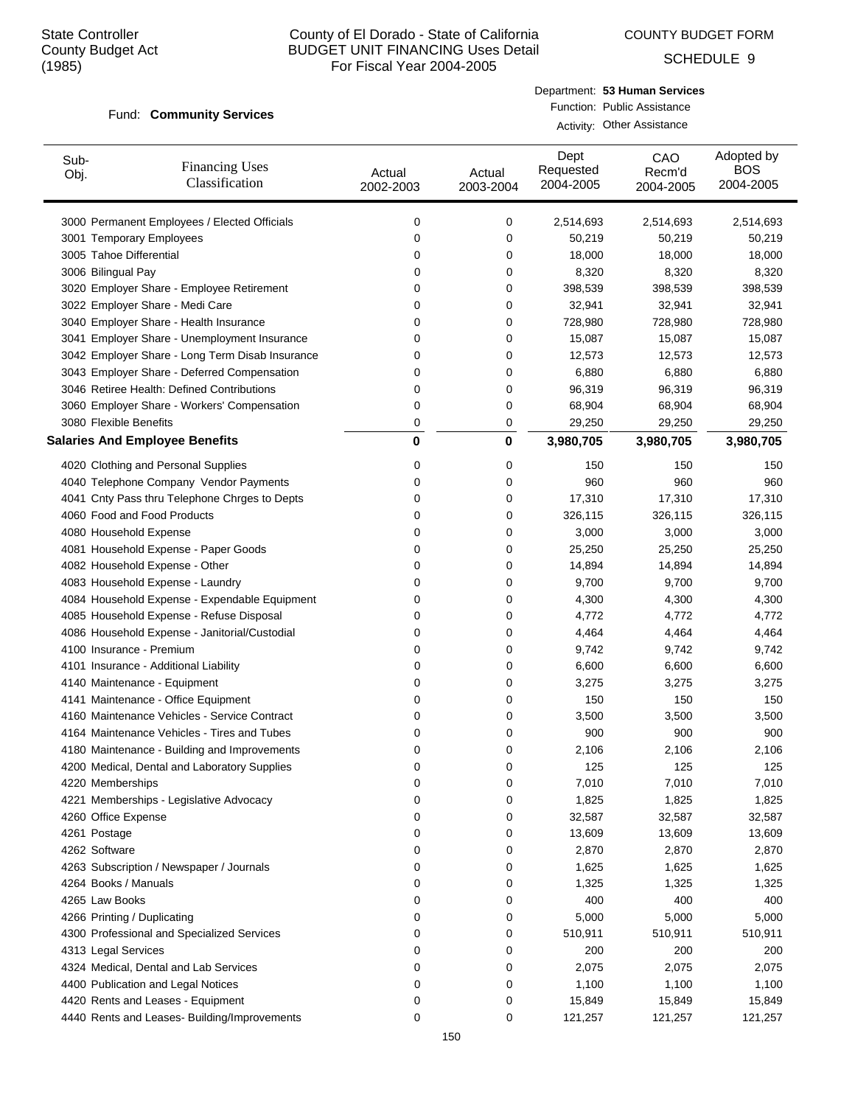COUNTY BUDGET FORM

SCHEDULE 9

#### Fund: Community Services

| Department: 53 Human Services |
|-------------------------------|
| Function: Public Assistance   |
| Activity: Other Assistance    |

| Sub-<br>Obj. | <b>Financing Uses</b><br>Classification         | Actual<br>2002-2003 | Actual<br>2003-2004 | Dept<br>Requested<br>2004-2005 | CAO<br>Recm'd<br>2004-2005 | Adopted by<br><b>BOS</b><br>2004-2005 |
|--------------|-------------------------------------------------|---------------------|---------------------|--------------------------------|----------------------------|---------------------------------------|
|              | 3000 Permanent Employees / Elected Officials    | 0                   | 0                   | 2,514,693                      | 2,514,693                  | 2,514,693                             |
|              | 3001 Temporary Employees                        | 0                   | 0                   | 50,219                         | 50,219                     | 50,219                                |
|              | 3005 Tahoe Differential                         | 0                   | 0                   | 18,000                         | 18,000                     | 18,000                                |
|              | 3006 Bilingual Pay                              | 0                   | 0                   | 8,320                          | 8,320                      | 8,320                                 |
|              | 3020 Employer Share - Employee Retirement       | 0                   | 0                   | 398,539                        | 398,539                    | 398,539                               |
|              | 3022 Employer Share - Medi Care                 | 0                   | 0                   | 32,941                         | 32,941                     | 32,941                                |
|              | 3040 Employer Share - Health Insurance          | 0                   | 0                   | 728,980                        | 728,980                    | 728,980                               |
|              | 3041 Employer Share - Unemployment Insurance    | 0                   | 0                   | 15,087                         | 15,087                     | 15,087                                |
|              | 3042 Employer Share - Long Term Disab Insurance | 0                   | 0                   | 12,573                         | 12,573                     | 12,573                                |
|              | 3043 Employer Share - Deferred Compensation     | 0                   | 0                   | 6,880                          | 6,880                      | 6,880                                 |
|              | 3046 Retiree Health: Defined Contributions      | 0                   | 0                   | 96,319                         | 96,319                     | 96,319                                |
|              | 3060 Employer Share - Workers' Compensation     | 0                   | 0                   | 68,904                         | 68,904                     | 68,904                                |
|              | 3080 Flexible Benefits                          | 0                   | 0                   | 29,250                         | 29,250                     | 29,250                                |
|              | <b>Salaries And Employee Benefits</b>           | $\mathbf 0$         | 0                   | 3,980,705                      | 3,980,705                  | 3,980,705                             |
|              | 4020 Clothing and Personal Supplies             | 0                   | 0                   | 150                            | 150                        | 150                                   |
|              | 4040 Telephone Company Vendor Payments          | 0                   | 0                   | 960                            | 960                        | 960                                   |
|              | 4041 Cnty Pass thru Telephone Chrges to Depts   | 0                   | 0                   | 17,310                         | 17,310                     | 17,310                                |
|              | 4060 Food and Food Products                     | 0                   | 0                   | 326,115                        | 326,115                    | 326,115                               |
|              | 4080 Household Expense                          | 0                   | 0                   | 3,000                          | 3,000                      | 3,000                                 |
|              | 4081 Household Expense - Paper Goods            | 0                   | 0                   | 25,250                         | 25,250                     | 25,250                                |
|              | 4082 Household Expense - Other                  | 0                   | 0                   | 14,894                         | 14,894                     | 14,894                                |
|              | 4083 Household Expense - Laundry                | 0                   | 0                   | 9,700                          | 9,700                      | 9,700                                 |
|              | 4084 Household Expense - Expendable Equipment   | 0                   | 0                   | 4,300                          | 4,300                      | 4,300                                 |
|              | 4085 Household Expense - Refuse Disposal        | 0                   | 0                   | 4,772                          | 4,772                      | 4,772                                 |
|              | 4086 Household Expense - Janitorial/Custodial   | 0                   | 0                   | 4,464                          | 4,464                      | 4,464                                 |
|              | 4100 Insurance - Premium                        | 0                   | 0                   | 9,742                          | 9,742                      | 9,742                                 |
|              | 4101 Insurance - Additional Liability           | 0                   | 0                   | 6,600                          | 6,600                      | 6,600                                 |
|              | 4140 Maintenance - Equipment                    | 0                   | 0                   | 3,275                          | 3,275                      | 3,275                                 |
|              | 4141 Maintenance - Office Equipment             | 0                   | 0                   | 150                            | 150                        | 150                                   |
|              | 4160 Maintenance Vehicles - Service Contract    | 0                   | 0                   | 3,500                          | 3,500                      | 3,500                                 |
|              | 4164 Maintenance Vehicles - Tires and Tubes     | 0                   | 0                   | 900                            | 900                        | 900                                   |
|              | 4180 Maintenance - Building and Improvements    | 0                   | 0                   | 2,106                          | 2,106                      | 2,106                                 |
|              | 4200 Medical, Dental and Laboratory Supplies    | 0                   | 0                   | 125                            | 125                        | 125                                   |
|              | 4220 Memberships                                | 0                   | 0                   | 7,010                          | 7,010                      | 7,010                                 |
|              | 4221 Memberships - Legislative Advocacy         | 0                   | 0                   | 1,825                          | 1,825                      | 1,825                                 |
|              | 4260 Office Expense                             | 0                   | 0                   | 32,587                         | 32,587                     | 32,587                                |
|              | 4261 Postage                                    | 0                   | 0                   | 13,609                         | 13,609                     | 13,609                                |
|              | 4262 Software                                   | 0                   | 0                   | 2,870                          | 2,870                      | 2,870                                 |
|              | 4263 Subscription / Newspaper / Journals        | 0                   | 0                   | 1,625                          | 1,625                      | 1,625                                 |
|              | 4264 Books / Manuals                            | 0                   | 0                   | 1,325                          | 1,325                      | 1,325                                 |
|              | 4265 Law Books                                  | 0                   | 0                   | 400                            | 400                        | 400                                   |
|              | 4266 Printing / Duplicating                     | 0                   | 0                   | 5,000                          | 5,000                      | 5,000                                 |
|              | 4300 Professional and Specialized Services      | 0                   | 0                   | 510,911                        | 510,911                    | 510,911                               |
|              | 4313 Legal Services                             | 0                   | 0                   | 200                            | 200                        | 200                                   |
|              | 4324 Medical, Dental and Lab Services           | 0                   | 0                   | 2,075                          | 2,075                      | 2,075                                 |
|              | 4400 Publication and Legal Notices              | 0                   | 0                   | 1,100                          | 1,100                      | 1,100                                 |
|              | 4420 Rents and Leases - Equipment               | 0                   | 0                   | 15,849                         | 15,849                     | 15,849                                |
|              | 4440 Rents and Leases- Building/Improvements    | 0                   | 0                   | 121,257                        | 121,257                    | 121,257                               |
|              |                                                 |                     |                     |                                |                            |                                       |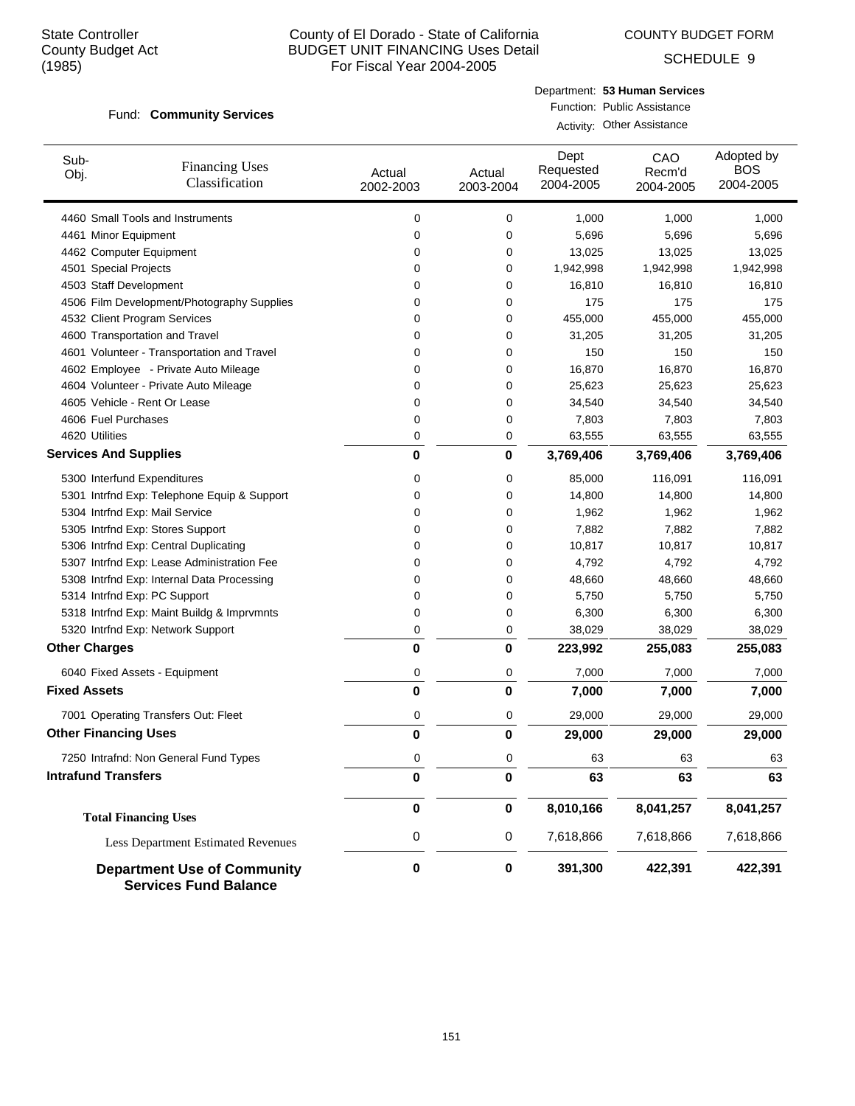COUNTY BUDGET FORM

SCHEDULE 9

#### Fund: Community Services

| Department: 53 Human Services |
|-------------------------------|
| Function: Public Assistance   |

Activity: Other Assistance

| Sub-<br>Obj.                   | <b>Financing Uses</b><br>Classification                            | Actual<br>2002-2003 | Actual<br>2003-2004 | Dept<br>Requested<br>2004-2005 | CAO<br>Recm'd<br>2004-2005 | Adopted by<br><b>BOS</b><br>2004-2005 |
|--------------------------------|--------------------------------------------------------------------|---------------------|---------------------|--------------------------------|----------------------------|---------------------------------------|
|                                | 4460 Small Tools and Instruments                                   | 0                   | 0                   | 1,000                          | 1,000                      | 1,000                                 |
| 4461 Minor Equipment           |                                                                    | 0                   | 0                   | 5,696                          | 5,696                      | 5,696                                 |
| 4462 Computer Equipment        |                                                                    | 0                   | 0                   | 13,025                         | 13,025                     | 13,025                                |
| 4501 Special Projects          |                                                                    | 0                   | 0                   | 1,942,998                      | 1,942,998                  | 1,942,998                             |
| 4503 Staff Development         |                                                                    | 0                   | 0                   | 16,810                         | 16,810                     | 16,810                                |
|                                | 4506 Film Development/Photography Supplies                         | 0                   | 0                   | 175                            | 175                        | 175                                   |
| 4532 Client Program Services   |                                                                    | 0                   | 0                   | 455,000                        | 455,000                    | 455,000                               |
|                                | 4600 Transportation and Travel                                     | 0                   | 0                   | 31,205                         | 31,205                     | 31,205                                |
|                                | 4601 Volunteer - Transportation and Travel                         | 0                   | 0                   | 150                            | 150                        | 150                                   |
|                                | 4602 Employee - Private Auto Mileage                               | 0                   | 0                   | 16,870                         | 16,870                     | 16,870                                |
|                                | 4604 Volunteer - Private Auto Mileage                              | 0                   | 0                   | 25,623                         | 25,623                     | 25,623                                |
| 4605 Vehicle - Rent Or Lease   |                                                                    | 0                   | 0                   | 34,540                         | 34,540                     | 34,540                                |
| 4606 Fuel Purchases            |                                                                    | 0                   | 0                   | 7,803                          | 7,803                      | 7,803                                 |
| 4620 Utilities                 |                                                                    | 0                   | 0                   | 63,555                         | 63,555                     | 63,555                                |
| <b>Services And Supplies</b>   |                                                                    | $\bf{0}$            | 0                   | 3,769,406                      | 3,769,406                  | 3,769,406                             |
| 5300 Interfund Expenditures    |                                                                    | 0                   | 0                   | 85,000                         | 116,091                    | 116,091                               |
|                                | 5301 Intrfnd Exp: Telephone Equip & Support                        | 0                   | 0                   | 14,800                         | 14,800                     | 14,800                                |
| 5304 Intrfnd Exp: Mail Service |                                                                    | 0                   | 0                   | 1,962                          | 1,962                      | 1,962                                 |
|                                | 5305 Intrfnd Exp: Stores Support                                   | 0                   | 0                   | 7,882                          | 7,882                      | 7,882                                 |
|                                | 5306 Intrfnd Exp: Central Duplicating                              | 0                   | 0                   | 10,817                         | 10,817                     | 10,817                                |
|                                | 5307 Intrfnd Exp: Lease Administration Fee                         | 0                   | 0                   | 4,792                          | 4,792                      | 4,792                                 |
|                                | 5308 Intrfnd Exp: Internal Data Processing                         | 0                   | 0                   | 48,660                         | 48,660                     | 48,660                                |
| 5314 Intrfnd Exp: PC Support   |                                                                    | 0                   | 0                   | 5,750                          | 5,750                      | 5,750                                 |
|                                | 5318 Intrfnd Exp: Maint Buildg & Imprvmnts                         | 0                   | 0                   | 6,300                          | 6,300                      | 6,300                                 |
|                                | 5320 Intrfnd Exp: Network Support                                  | 0                   | 0                   | 38,029                         | 38,029                     | 38,029                                |
| <b>Other Charges</b>           |                                                                    | $\bf{0}$            | 0                   | 223,992                        | 255,083                    | 255,083                               |
|                                | 6040 Fixed Assets - Equipment                                      | 0                   | 0                   | 7,000                          | 7,000                      | 7,000                                 |
| <b>Fixed Assets</b>            |                                                                    | $\bf{0}$            | 0                   | 7,000                          | 7,000                      | 7,000                                 |
|                                | 7001 Operating Transfers Out: Fleet                                | 0                   | 0                   | 29,000                         | 29,000                     | 29,000                                |
| <b>Other Financing Uses</b>    |                                                                    | $\bf{0}$            | 0                   | 29,000                         | 29,000                     | 29,000                                |
|                                | 7250 Intrafnd: Non General Fund Types                              | 0                   | 0                   | 63                             | 63                         | 63                                    |
| <b>Intrafund Transfers</b>     |                                                                    | 0                   | 0                   | 63                             | 63                         | 63                                    |
|                                | <b>Total Financing Uses</b>                                        | $\pmb{0}$           | $\mathbf 0$         | 8,010,166                      | 8,041,257                  | 8,041,257                             |
|                                | <b>Less Department Estimated Revenues</b>                          | 0                   | 0                   | 7,618,866                      | 7,618,866                  | 7,618,866                             |
|                                | <b>Department Use of Community</b><br><b>Services Fund Balance</b> | 0                   | 0                   | 391,300                        | 422,391                    | 422,391                               |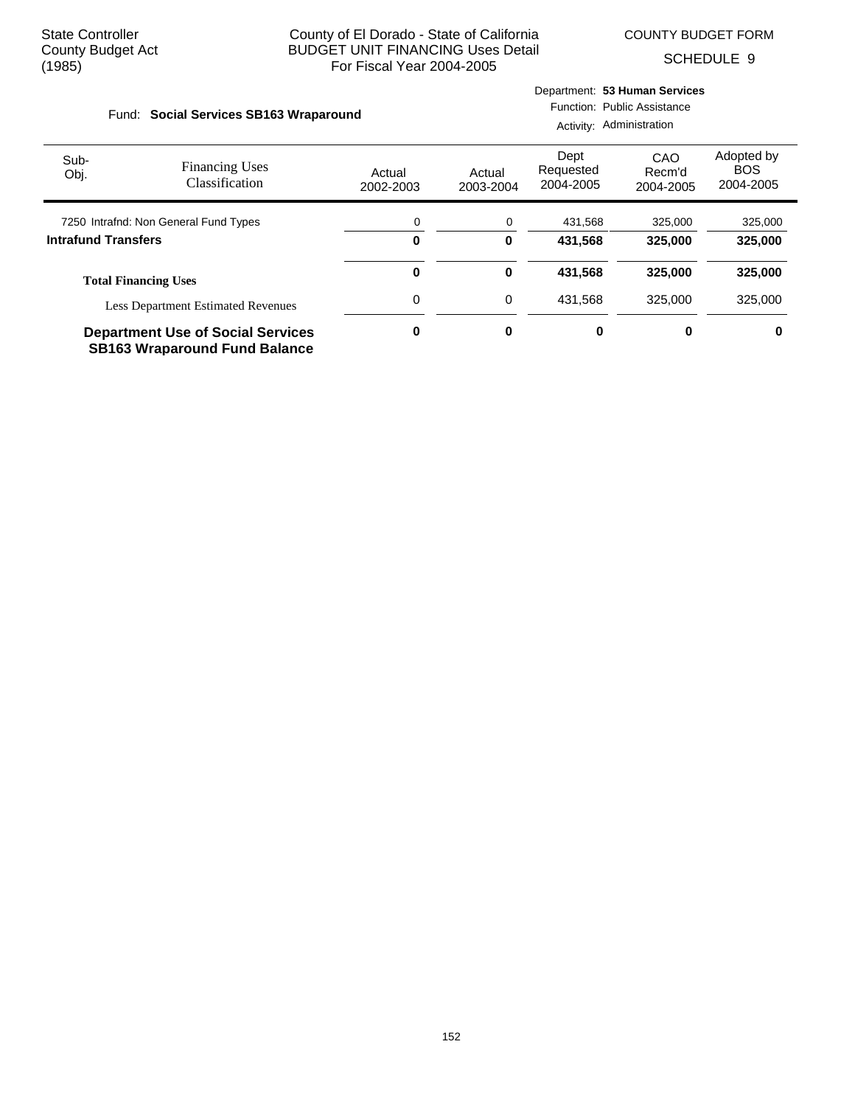Department: **53 Human Services**

SCHEDULE 9

| Social Services SB163 Wraparound<br>Fund: |                                                                                  |                     |                     | Activity: Administration       | Function: Public Assistance |                                       |
|-------------------------------------------|----------------------------------------------------------------------------------|---------------------|---------------------|--------------------------------|-----------------------------|---------------------------------------|
| Sub-<br>Obj.                              | <b>Financing Uses</b><br>Classification                                          | Actual<br>2002-2003 | Actual<br>2003-2004 | Dept<br>Requested<br>2004-2005 | CAO<br>Recm'd<br>2004-2005  | Adopted by<br><b>BOS</b><br>2004-2005 |
|                                           | 7250 Intrafnd: Non General Fund Types                                            | 0                   | 0                   | 431,568                        | 325,000                     | 325,000                               |
| <b>Intrafund Transfers</b>                |                                                                                  | 0                   | 0                   | 431.568                        | 325,000                     | 325,000                               |
|                                           | <b>Total Financing Uses</b>                                                      | 0                   | 0                   | 431,568                        | 325,000                     | 325,000                               |
|                                           | <b>Less Department Estimated Revenues</b>                                        | 0                   | 0                   | 431.568                        | 325,000                     | 325,000                               |
|                                           | <b>Department Use of Social Services</b><br><b>SB163 Wraparound Fund Balance</b> | 0                   | 0                   | 0                              | 0                           | 0                                     |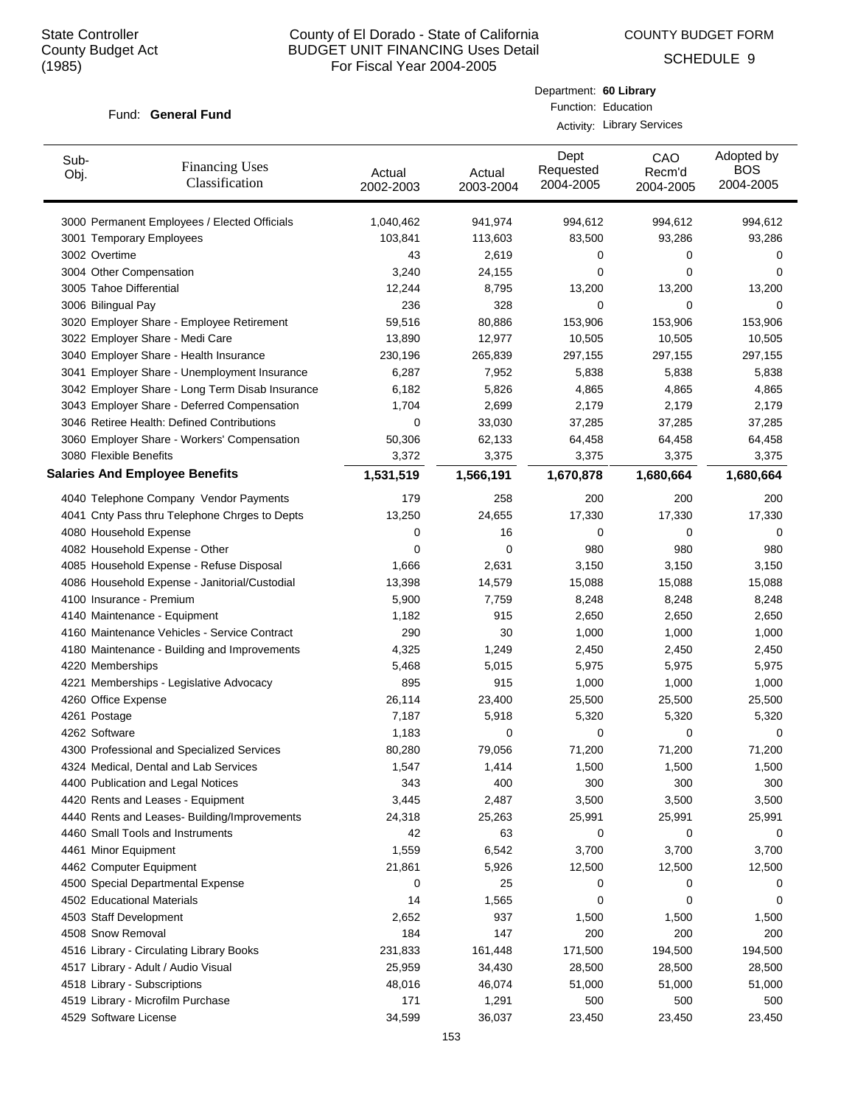COUNTY BUDGET FORM

Department: **60 Library** Function: Education

SCHEDULE 9

#### Fund: General Fund

|                         |                                                 |                     | <b>Activity: Library Services</b> |                                |                            |                                       |  |  |
|-------------------------|-------------------------------------------------|---------------------|-----------------------------------|--------------------------------|----------------------------|---------------------------------------|--|--|
| Sub-<br>Obj.            | <b>Financing Uses</b><br>Classification         | Actual<br>2002-2003 | Actual<br>2003-2004               | Dept<br>Requested<br>2004-2005 | CAO<br>Recm'd<br>2004-2005 | Adopted by<br><b>BOS</b><br>2004-2005 |  |  |
|                         | 3000 Permanent Employees / Elected Officials    | 1,040,462           | 941,974                           | 994,612                        | 994,612                    | 994,612                               |  |  |
|                         | 3001 Temporary Employees                        | 103,841             | 113,603                           | 83,500                         | 93,286                     | 93,286                                |  |  |
| 3002 Overtime           |                                                 | 43                  | 2,619                             | 0                              | 0                          | 0                                     |  |  |
|                         | 3004 Other Compensation                         | 3,240               | 24,155                            | 0                              | 0                          | 0                                     |  |  |
| 3005 Tahoe Differential |                                                 | 12,244              | 8,795                             | 13,200                         | 13,200                     | 13,200                                |  |  |
| 3006 Bilingual Pay      |                                                 | 236                 | 328                               | 0                              | 0                          | 0                                     |  |  |
|                         | 3020 Employer Share - Employee Retirement       | 59,516              | 80,886                            | 153,906                        | 153,906                    | 153,906                               |  |  |
|                         | 3022 Employer Share - Medi Care                 | 13,890              | 12,977                            | 10,505                         | 10,505                     | 10,505                                |  |  |
|                         | 3040 Employer Share - Health Insurance          | 230,196             | 265,839                           | 297,155                        | 297,155                    | 297,155                               |  |  |
|                         | 3041 Employer Share - Unemployment Insurance    | 6,287               | 7,952                             | 5,838                          | 5,838                      | 5,838                                 |  |  |
|                         | 3042 Employer Share - Long Term Disab Insurance | 6,182               | 5,826                             | 4,865                          | 4,865                      | 4,865                                 |  |  |
|                         | 3043 Employer Share - Deferred Compensation     | 1,704               | 2,699                             | 2,179                          | 2,179                      | 2,179                                 |  |  |
|                         | 3046 Retiree Health: Defined Contributions      | 0                   | 33,030                            | 37,285                         | 37,285                     | 37,285                                |  |  |
|                         | 3060 Employer Share - Workers' Compensation     | 50,306              | 62,133                            | 64,458                         | 64,458                     | 64,458                                |  |  |
| 3080 Flexible Benefits  |                                                 | 3,372               | 3,375                             | 3,375                          | 3,375                      | 3,375                                 |  |  |
|                         | <b>Salaries And Employee Benefits</b>           | 1,531,519           | 1,566,191                         | 1,670,878                      | 1,680,664                  | 1,680,664                             |  |  |
|                         | 4040 Telephone Company Vendor Payments          | 179                 | 258                               | 200                            | 200                        | 200                                   |  |  |
|                         | 4041 Cnty Pass thru Telephone Chrges to Depts   | 13,250              | 24,655                            | 17,330                         | 17,330                     | 17,330                                |  |  |
| 4080 Household Expense  |                                                 | 0                   | 16                                | 0                              | 0                          | 0                                     |  |  |
|                         | 4082 Household Expense - Other                  | 0                   | 0                                 | 980                            | 980                        | 980                                   |  |  |
|                         | 4085 Household Expense - Refuse Disposal        | 1,666               | 2,631                             | 3,150                          | 3,150                      | 3,150                                 |  |  |
|                         | 4086 Household Expense - Janitorial/Custodial   | 13,398              | 14,579                            | 15,088                         | 15,088                     | 15,088                                |  |  |
|                         | 4100 Insurance - Premium                        | 5,900               | 7,759                             | 8,248                          | 8,248                      | 8,248                                 |  |  |
|                         | 4140 Maintenance - Equipment                    | 1,182               | 915                               | 2,650                          | 2,650                      | 2,650                                 |  |  |
|                         | 4160 Maintenance Vehicles - Service Contract    | 290                 | 30                                | 1,000                          | 1,000                      | 1,000                                 |  |  |
|                         | 4180 Maintenance - Building and Improvements    | 4,325               | 1,249                             | 2,450                          | 2,450                      | 2,450                                 |  |  |
| 4220 Memberships        |                                                 | 5,468               | 5,015                             | 5,975                          | 5,975                      | 5,975                                 |  |  |
|                         | 4221 Memberships - Legislative Advocacy         | 895                 | 915                               | 1,000                          | 1,000                      | 1,000                                 |  |  |
| 4260 Office Expense     |                                                 | 26,114              | 23,400                            | 25,500                         | 25,500                     | 25,500                                |  |  |
| 4261 Postage            |                                                 | 7,187               | 5,918                             | 5,320                          | 5,320                      | 5,320                                 |  |  |
| 4262 Software           |                                                 | 1,183               | 0                                 | 0                              | 0                          | 0                                     |  |  |
|                         | 4300 Professional and Specialized Services      | 80,280              | 79,056                            | 71,200                         | 71,200                     | 71,200                                |  |  |
|                         | 4324 Medical, Dental and Lab Services           | 1,547               | 1,414                             | 1,500                          | 1,500                      | 1,500                                 |  |  |
|                         | 4400 Publication and Legal Notices              | 343                 | 400                               | 300                            | 300                        | 300                                   |  |  |
|                         | 4420 Rents and Leases - Equipment               | 3,445               | 2,487                             | 3,500                          | 3,500                      | 3,500                                 |  |  |
|                         | 4440 Rents and Leases- Building/Improvements    | 24,318              | 25,263                            | 25,991                         | 25,991                     | 25,991                                |  |  |
|                         | 4460 Small Tools and Instruments                | 42                  | 63                                | 0                              | 0                          | 0                                     |  |  |
| 4461 Minor Equipment    |                                                 | 1,559               | 6,542                             | 3,700                          | 3,700                      | 3,700                                 |  |  |
|                         | 4462 Computer Equipment                         | 21,861              | 5,926                             | 12,500                         | 12,500                     | 12,500                                |  |  |
|                         | 4500 Special Departmental Expense               | 0                   | 25                                | 0                              | 0                          | 0                                     |  |  |
|                         | 4502 Educational Materials                      | 14                  | 1,565                             | 0                              | 0                          | 0                                     |  |  |
| 4503 Staff Development  |                                                 | 2,652               | 937                               | 1,500                          | 1,500                      | 1,500                                 |  |  |
| 4508 Snow Removal       |                                                 | 184                 | 147                               | 200                            | 200                        | 200                                   |  |  |
|                         | 4516 Library - Circulating Library Books        | 231,833             | 161,448                           | 171,500                        | 194,500                    | 194,500                               |  |  |
|                         | 4517 Library - Adult / Audio Visual             | 25,959              | 34,430                            | 28,500                         | 28,500                     | 28,500                                |  |  |
|                         | 4518 Library - Subscriptions                    | 48,016              | 46,074                            | 51,000                         | 51,000                     | 51,000                                |  |  |
|                         | 4519 Library - Microfilm Purchase               | 171                 | 1,291                             | 500                            | 500                        | 500                                   |  |  |
| 4529 Software License   |                                                 | 34,599              | 36,037                            | 23,450                         | 23,450                     | 23,450                                |  |  |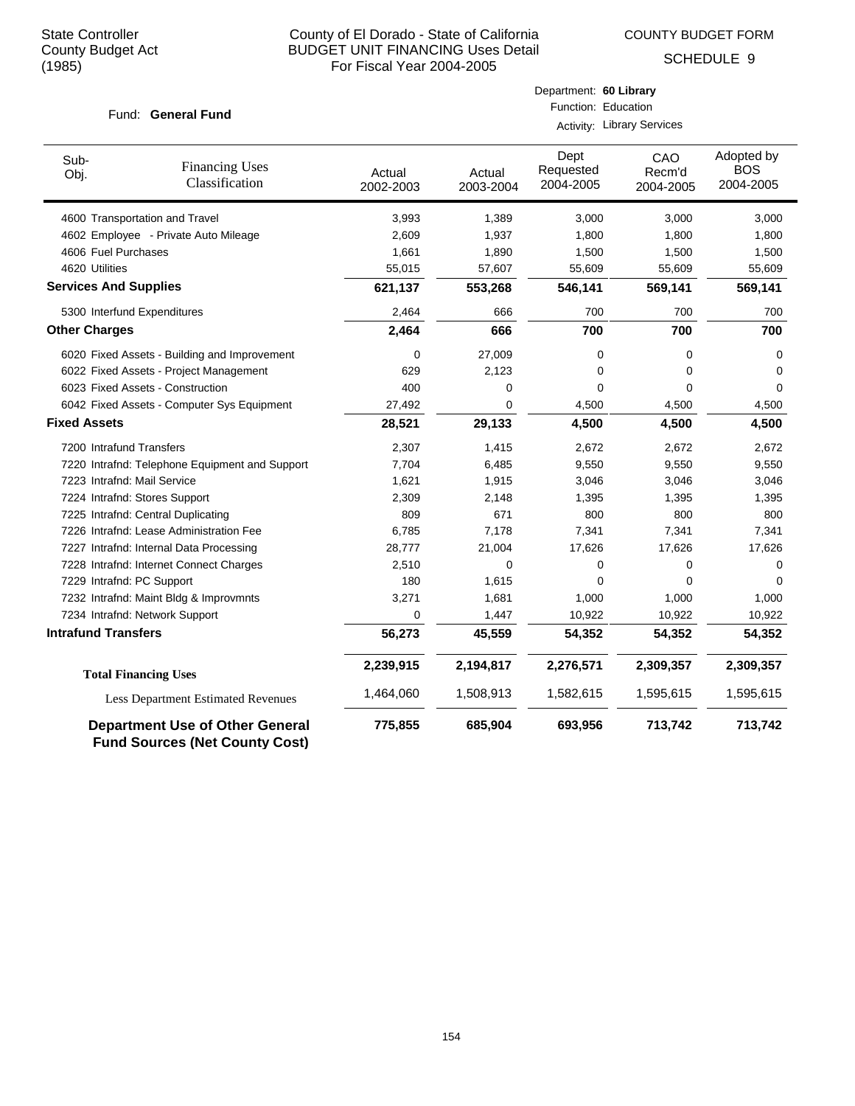COUNTY BUDGET FORM

Department: **60 Library**

SCHEDULE 9

| Fund: General Fund            |                                                                                 | Function: Education |                     |                                   |                            |                                       |
|-------------------------------|---------------------------------------------------------------------------------|---------------------|---------------------|-----------------------------------|----------------------------|---------------------------------------|
|                               |                                                                                 |                     |                     | <b>Activity: Library Services</b> |                            |                                       |
| Sub-<br>Obj.                  | <b>Financing Uses</b><br>Classification                                         | Actual<br>2002-2003 | Actual<br>2003-2004 | Dept<br>Requested<br>2004-2005    | CAO<br>Recm'd<br>2004-2005 | Adopted by<br><b>BOS</b><br>2004-2005 |
|                               | 4600 Transportation and Travel                                                  | 3,993               | 1,389               | 3,000                             | 3,000                      | 3,000                                 |
|                               | 4602 Employee - Private Auto Mileage                                            | 2,609               | 1,937               | 1,800                             | 1,800                      | 1,800                                 |
| 4606 Fuel Purchases           |                                                                                 | 1,661               | 1,890               | 1,500                             | 1,500                      | 1,500                                 |
| 4620 Utilities                |                                                                                 | 55,015              | 57,607              | 55,609                            | 55,609                     | 55,609                                |
| <b>Services And Supplies</b>  |                                                                                 | 621,137             | 553,268             | 546,141                           | 569,141                    | 569,141                               |
| 5300 Interfund Expenditures   |                                                                                 | 2,464               | 666                 | 700                               | 700                        | 700                                   |
| <b>Other Charges</b>          |                                                                                 | 2,464               | 666                 | 700                               | 700                        | 700                                   |
|                               | 6020 Fixed Assets - Building and Improvement                                    | 0                   | 27,009              | 0                                 | 0                          | 0                                     |
|                               | 6022 Fixed Assets - Project Management                                          | 629                 | 2,123               | 0                                 | $\mathbf 0$                | 0                                     |
|                               | 6023 Fixed Assets - Construction                                                | 400                 | 0                   | 0                                 | $\Omega$                   | 0                                     |
|                               | 6042 Fixed Assets - Computer Sys Equipment                                      | 27,492              | 0                   | 4,500                             | 4,500                      | 4,500                                 |
| <b>Fixed Assets</b>           |                                                                                 | 28,521              | 29,133              | 4,500                             | 4,500                      | 4,500                                 |
| 7200 Intrafund Transfers      |                                                                                 | 2,307               | 1,415               | 2,672                             | 2,672                      | 2,672                                 |
|                               | 7220 Intrafnd: Telephone Equipment and Support                                  | 7,704               | 6,485               | 9,550                             | 9,550                      | 9,550                                 |
| 7223 Intrafnd: Mail Service   |                                                                                 | 1,621               | 1,915               | 3,046                             | 3,046                      | 3,046                                 |
| 7224 Intrafnd: Stores Support |                                                                                 | 2,309               | 2,148               | 1,395                             | 1,395                      | 1,395                                 |
|                               | 7225 Intrafnd: Central Duplicating                                              | 809                 | 671                 | 800                               | 800                        | 800                                   |
|                               | 7226 Intrafnd: Lease Administration Fee                                         | 6,785               | 7,178               | 7,341                             | 7,341                      | 7,341                                 |
|                               | 7227 Intrafnd: Internal Data Processing                                         | 28,777              | 21,004              | 17,626                            | 17,626                     | 17,626                                |
|                               | 7228 Intrafnd: Internet Connect Charges                                         | 2,510               | 0                   | 0                                 | 0                          | 0                                     |
| 7229 Intrafnd: PC Support     |                                                                                 | 180                 | 1,615               | 0                                 | $\Omega$                   | $\mathbf 0$                           |
|                               | 7232 Intrafnd: Maint Bldg & Improvmnts                                          | 3,271               | 1,681               | 1,000                             | 1,000                      | 1,000                                 |
|                               | 7234 Intrafnd: Network Support                                                  | 0                   | 1,447               | 10,922                            | 10,922                     | 10,922                                |
| <b>Intrafund Transfers</b>    |                                                                                 | 56,273              | 45,559              | 54,352                            | 54,352                     | 54,352                                |
|                               | <b>Total Financing Uses</b>                                                     | 2,239,915           | 2,194,817           | 2,276,571                         | 2,309,357                  | 2,309,357                             |
|                               | <b>Less Department Estimated Revenues</b>                                       | 1,464,060           | 1,508,913           | 1,582,615                         | 1,595,615                  | 1,595,615                             |
|                               | <b>Department Use of Other General</b><br><b>Fund Sources (Net County Cost)</b> | 775,855             | 685,904             | 693,956                           | 713,742                    | 713,742                               |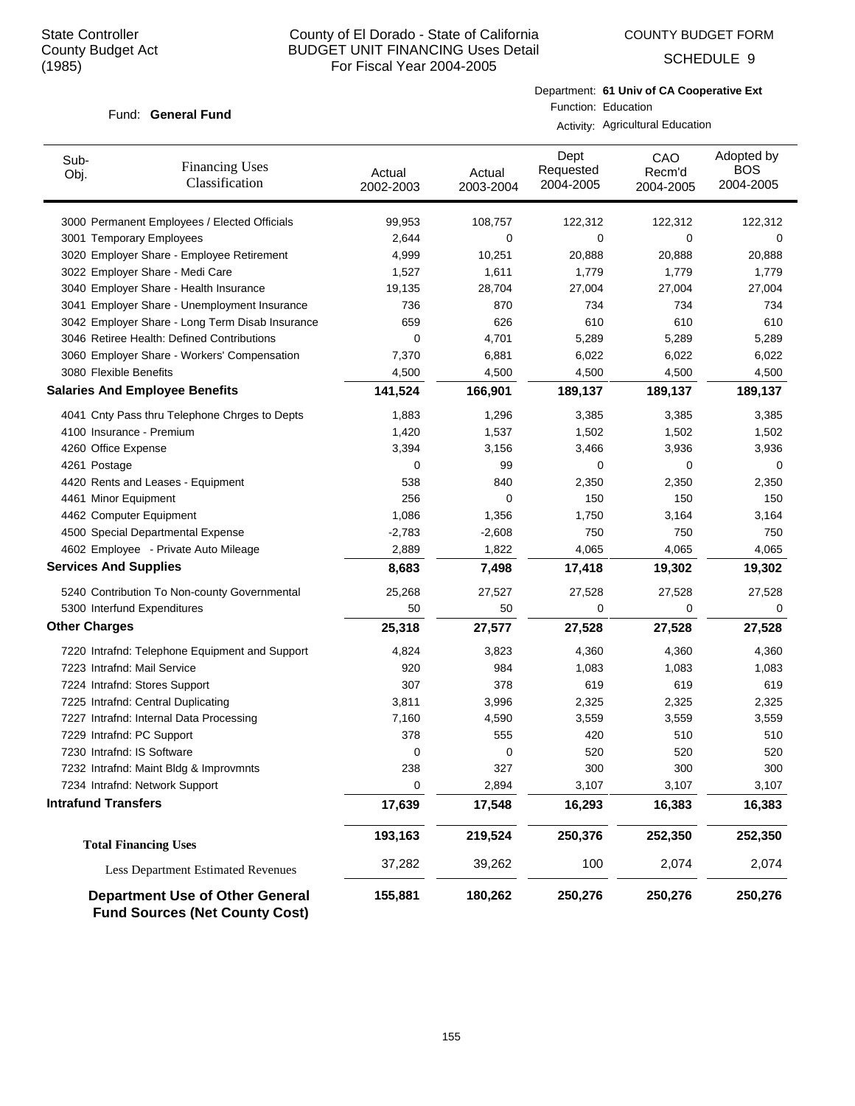SCHEDULE 9

#### Fund: General Fund

Department: **61 Univ of CA Cooperative Ext** Function: Education

Activity: Agricultural Education

| Sub-<br>Obj.                 | <b>Financing Uses</b><br>Classification                                         | Actual<br>2002-2003 | Actual<br>2003-2004 | Dept<br>Requested<br>2004-2005 | CAO<br>Recm'd<br>2004-2005 | Adopted by<br><b>BOS</b><br>2004-2005 |
|------------------------------|---------------------------------------------------------------------------------|---------------------|---------------------|--------------------------------|----------------------------|---------------------------------------|
|                              | 3000 Permanent Employees / Elected Officials                                    | 99,953              | 108,757             | 122,312                        | 122,312                    | 122,312                               |
|                              | 3001 Temporary Employees                                                        | 2,644               | 0                   | 0                              | 0                          | 0                                     |
|                              | 3020 Employer Share - Employee Retirement                                       | 4,999               | 10,251              | 20,888                         | 20,888                     | 20,888                                |
|                              | 3022 Employer Share - Medi Care                                                 | 1,527               | 1,611               | 1,779                          | 1,779                      | 1,779                                 |
|                              | 3040 Employer Share - Health Insurance                                          | 19,135              | 28,704              | 27,004                         | 27,004                     | 27,004                                |
|                              | 3041 Employer Share - Unemployment Insurance                                    | 736                 | 870                 | 734                            | 734                        | 734                                   |
|                              | 3042 Employer Share - Long Term Disab Insurance                                 | 659                 | 626                 | 610                            | 610                        | 610                                   |
|                              | 3046 Retiree Health: Defined Contributions                                      | 0                   | 4,701               | 5,289                          | 5,289                      | 5,289                                 |
|                              | 3060 Employer Share - Workers' Compensation                                     | 7,370               | 6,881               | 6,022                          | 6,022                      | 6,022                                 |
| 3080 Flexible Benefits       |                                                                                 | 4,500               | 4,500               | 4,500                          | 4,500                      | 4,500                                 |
|                              | <b>Salaries And Employee Benefits</b>                                           | 141,524             | 166,901             | 189,137                        | 189,137                    | 189,137                               |
|                              | 4041 Cnty Pass thru Telephone Chrges to Depts                                   | 1,883               | 1,296               | 3,385                          | 3,385                      | 3,385                                 |
| 4100 Insurance - Premium     |                                                                                 | 1,420               | 1,537               | 1,502                          | 1,502                      | 1,502                                 |
| 4260 Office Expense          |                                                                                 | 3,394               | 3,156               | 3,466                          | 3,936                      | 3,936                                 |
| 4261 Postage                 |                                                                                 | 0                   | 99                  | 0                              | 0                          | 0                                     |
|                              | 4420 Rents and Leases - Equipment                                               | 538                 | 840                 | 2,350                          | 2,350                      | 2,350                                 |
| 4461 Minor Equipment         |                                                                                 | 256                 | 0                   | 150                            | 150                        | 150                                   |
| 4462 Computer Equipment      |                                                                                 | 1,086               | 1,356               | 1,750                          | 3,164                      | 3,164                                 |
|                              | 4500 Special Departmental Expense                                               | $-2,783$            | $-2,608$            | 750                            | 750                        | 750                                   |
|                              | 4602 Employee - Private Auto Mileage                                            | 2,889               | 1,822               | 4,065                          | 4,065                      | 4,065                                 |
| <b>Services And Supplies</b> |                                                                                 | 8,683               | 7,498               | 17,418                         | 19,302                     | 19,302                                |
|                              | 5240 Contribution To Non-county Governmental                                    | 25,268              | 27,527              | 27,528                         | 27,528                     | 27,528                                |
|                              | 5300 Interfund Expenditures                                                     | 50                  | 50                  | 0                              | 0                          | 0                                     |
| <b>Other Charges</b>         |                                                                                 | 25,318              | 27,577              | 27,528                         | 27,528                     | 27,528                                |
|                              | 7220 Intrafnd: Telephone Equipment and Support                                  | 4,824               | 3,823               | 4,360                          | 4,360                      | 4,360                                 |
| 7223 Intrafnd: Mail Service  |                                                                                 | 920                 | 984                 | 1,083                          | 1,083                      | 1,083                                 |
|                              | 7224 Intrafnd: Stores Support                                                   | 307                 | 378                 | 619                            | 619                        | 619                                   |
|                              | 7225 Intrafnd: Central Duplicating                                              | 3,811               | 3,996               | 2,325                          | 2,325                      | 2,325                                 |
|                              | 7227 Intrafnd: Internal Data Processing                                         | 7,160               | 4,590               | 3,559                          | 3,559                      | 3,559                                 |
| 7229 Intrafnd: PC Support    |                                                                                 | 378                 | 555                 | 420                            | 510                        | 510                                   |
| 7230 Intrafnd: IS Software   |                                                                                 | 0                   | 0                   | 520                            | 520                        | 520                                   |
|                              | 7232 Intrafnd: Maint Bldg & Improvmnts                                          | 238                 | 327                 | 300                            | 300                        | 300                                   |
|                              | 7234 Intrafnd: Network Support                                                  | 0                   | 2,894               | 3,107                          | 3,107                      | 3,107                                 |
| <b>Intrafund Transfers</b>   |                                                                                 | 17,639              | 17,548              | 16,293                         | 16,383                     | 16,383                                |
|                              | <b>Total Financing Uses</b>                                                     | 193,163             | 219,524             | 250,376                        | 252,350                    | 252,350                               |
|                              | <b>Less Department Estimated Revenues</b>                                       | 37,282              | 39,262              | 100                            | 2,074                      | 2,074                                 |
|                              | <b>Department Use of Other General</b><br><b>Fund Sources (Net County Cost)</b> | 155,881             | 180,262             | 250,276                        | 250,276                    | 250,276                               |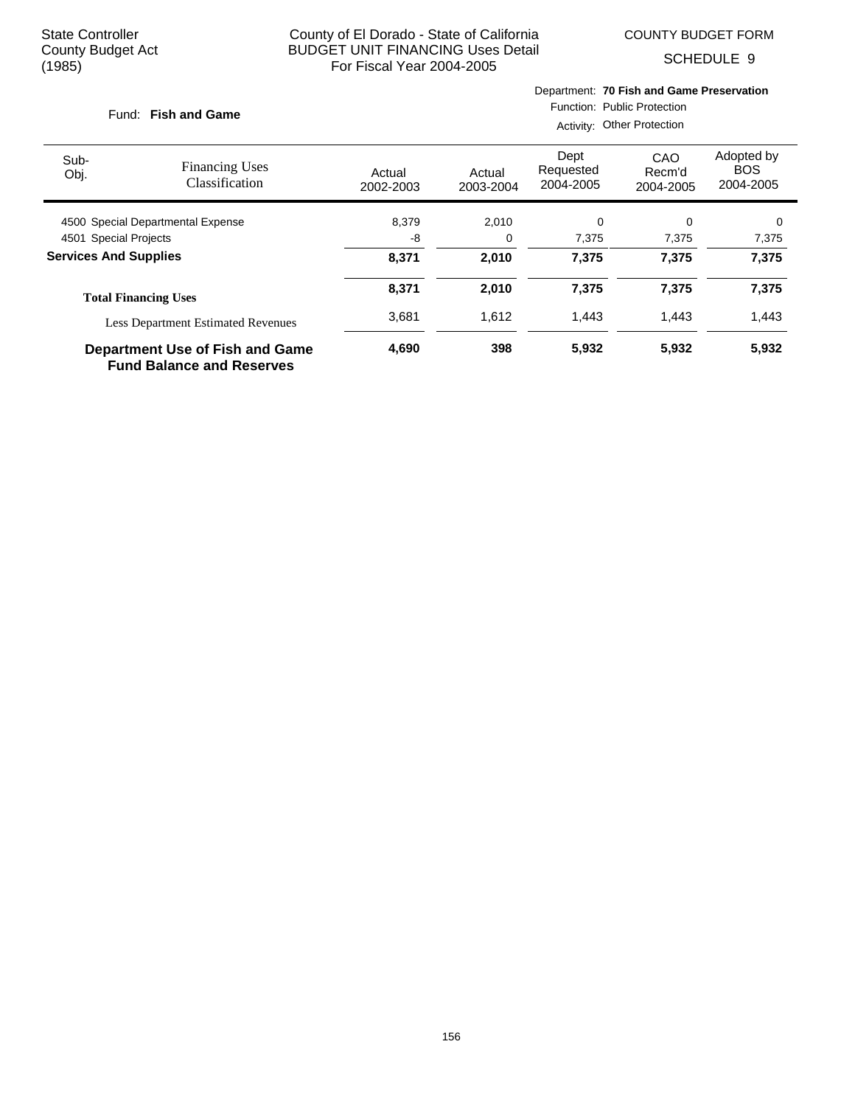COUNTY BUDGET FORM

SCHEDULE 9

# **Fish and Game** Fund:

Department: **70 Fish and Game Preservation**

Function: Public Protection Activity: Other Protection

|                                           |                                                                            | 1.00111177.         |                     |                                |                            |                                       |  |
|-------------------------------------------|----------------------------------------------------------------------------|---------------------|---------------------|--------------------------------|----------------------------|---------------------------------------|--|
| Sub-<br>Obj.                              | <b>Financing Uses</b><br>Classification                                    | Actual<br>2002-2003 | Actual<br>2003-2004 | Dept<br>Requested<br>2004-2005 | CAO<br>Recm'd<br>2004-2005 | Adopted by<br><b>BOS</b><br>2004-2005 |  |
| 4500 Special Departmental Expense         |                                                                            | 8,379               | 2,010               | 0                              | $\Omega$                   | 0                                     |  |
| 4501 Special Projects                     |                                                                            | -8                  | 0                   | 7,375                          | 7,375                      | 7,375                                 |  |
| <b>Services And Supplies</b>              |                                                                            | 8,371               | 2,010               | 7,375                          | 7,375                      | 7,375                                 |  |
|                                           | <b>Total Financing Uses</b>                                                | 8,371               | 2,010               | 7,375                          | 7,375                      | 7,375                                 |  |
| <b>Less Department Estimated Revenues</b> |                                                                            | 3.681               | 1.612               | 1.443                          | 1.443                      | 1,443                                 |  |
|                                           | <b>Department Use of Fish and Game</b><br><b>Fund Balance and Reserves</b> | 4,690               | 398                 | 5,932                          | 5,932                      | 5,932                                 |  |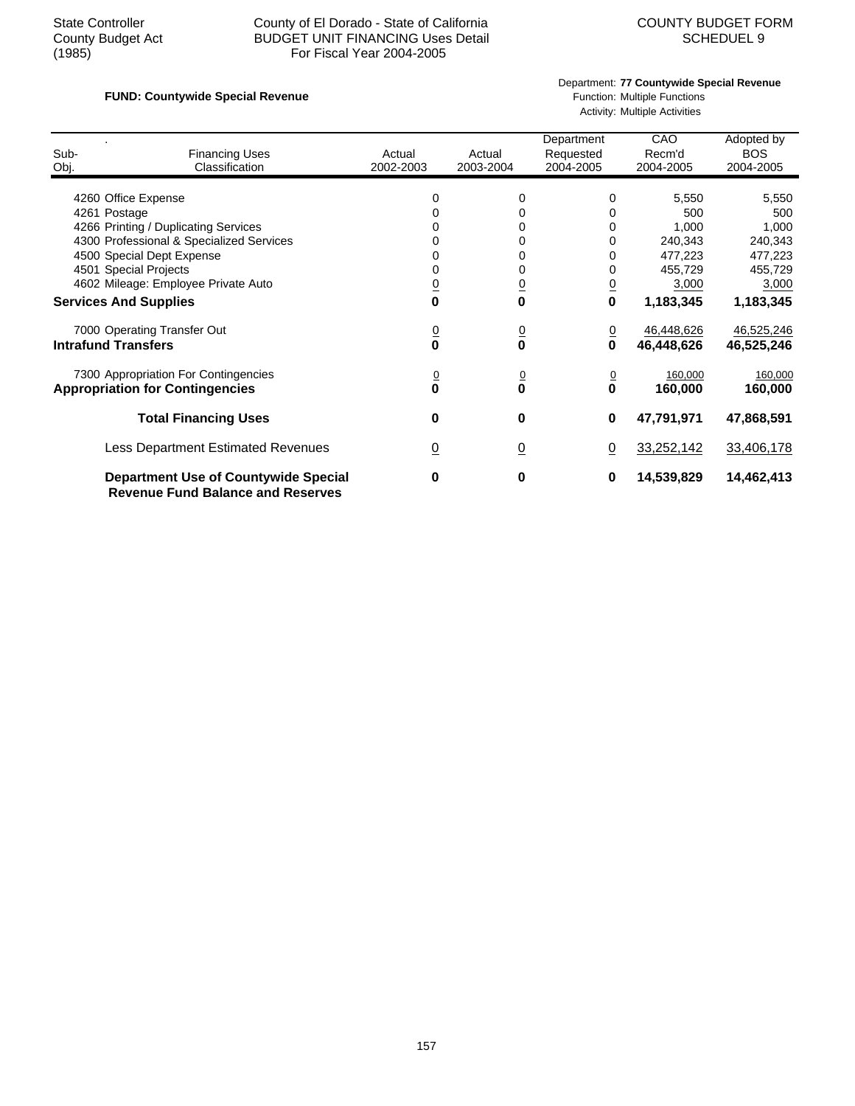## State Controller County of El Dorado - State of California<br>County Budget Act BUDGET UNIT FINANCING Uses Detail<br>SCHEDUEL 9 County Budget Act BUDGET UNIT FINANCING Uses Detail<br>(1985) For Fiscal Year 2004-2005 For Fiscal Year 2004-2005

## **FUND: Countywide Special Revenue FUND: Countywide Special Revenue Function: Multiple Functions**

Department: **77 Countywide Special Revenue**

Activity: Multiple Activities

| Sub-<br>Obj.                                                                                 | <b>Financing Uses</b><br>Classification                                                                                                              | Actual<br>2002-2003                                    | Actual<br>2003-2004                                      | Department<br>Requested<br>2004-2005        | CAO<br>Recm'd<br>2004-2005                                                   | Adopted by<br><b>BOS</b><br>2004-2005                                        |
|----------------------------------------------------------------------------------------------|------------------------------------------------------------------------------------------------------------------------------------------------------|--------------------------------------------------------|----------------------------------------------------------|---------------------------------------------|------------------------------------------------------------------------------|------------------------------------------------------------------------------|
| 4260 Office Expense<br>4261 Postage<br>4501 Special Projects<br><b>Services And Supplies</b> | 4266 Printing / Duplicating Services<br>4300 Professional & Specialized Services<br>4500 Special Dept Expense<br>4602 Mileage: Employee Private Auto | 0<br>0<br>0<br>0<br>0<br>$\overline{0}$<br>$\mathbf 0$ | 0<br>0<br>0<br>0<br>0<br>0<br>$\overline{0}$<br>$\bf{0}$ | 0<br>0<br>0<br>0<br>0<br>0<br>$\frac{0}{0}$ | 5,550<br>500<br>1,000<br>240,343<br>477,223<br>455,729<br>3,000<br>1,183,345 | 5,550<br>500<br>1,000<br>240,343<br>477,223<br>455,729<br>3,000<br>1,183,345 |
| <b>Intrafund Transfers</b>                                                                   | 7000 Operating Transfer Out                                                                                                                          | $\frac{0}{\mathbf{0}}$                                 | $\frac{0}{0}$                                            | <u>0</u><br>0                               | 46,448,626<br>46,448,626                                                     | 46,525,246<br>46,525,246                                                     |
|                                                                                              | 7300 Appropriation For Contingencies<br><b>Appropriation for Contingencies</b>                                                                       | $\overline{0}$<br>0                                    | 0<br>$\bf{0}$                                            | $\overline{0}$<br>$\mathbf 0$               | 160,000<br>160,000                                                           | 160,000<br>160,000                                                           |
|                                                                                              | <b>Total Financing Uses</b>                                                                                                                          | 0                                                      | 0                                                        | 0                                           | 47,791,971                                                                   | 47,868,591                                                                   |
|                                                                                              | <b>Less Department Estimated Revenues</b>                                                                                                            | $\overline{0}$                                         | $\underline{0}$                                          | $\underline{0}$                             | 33,252,142                                                                   | 33,406,178                                                                   |
|                                                                                              | <b>Department Use of Countywide Special</b><br><b>Revenue Fund Balance and Reserves</b>                                                              | 0                                                      | 0                                                        | 0                                           | 14,539,829                                                                   | 14,462,413                                                                   |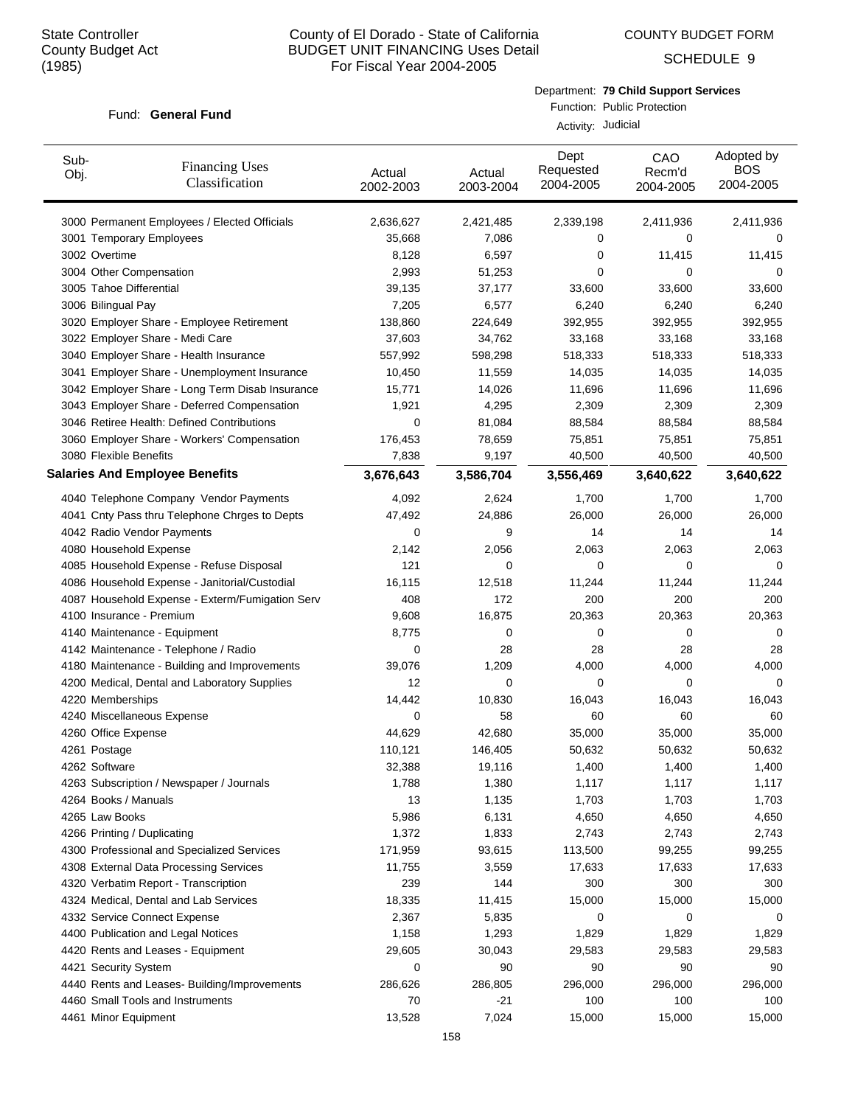COUNTY BUDGET FORM

SCHEDULE 9

#### Fund: General Fund

Department: **79 Child Support Services**

Function: Public Protection Activity: Judicial

| Sub-<br>Obj.                | <b>Financing Uses</b><br>Classification         | Actual<br>2002-2003 | Actual<br>2003-2004 | Dept<br>Requested<br>2004-2005 | CAO<br>Recm'd<br>2004-2005 | Adopted by<br><b>BOS</b><br>2004-2005 |
|-----------------------------|-------------------------------------------------|---------------------|---------------------|--------------------------------|----------------------------|---------------------------------------|
|                             | 3000 Permanent Employees / Elected Officials    | 2,636,627           | 2,421,485           | 2,339,198                      | 2,411,936                  | 2,411,936                             |
|                             | 3001 Temporary Employees                        | 35,668              | 7,086               | 0                              | 0                          | 0                                     |
| 3002 Overtime               |                                                 | 8,128               | 6,597               | 0                              | 11,415                     | 11,415                                |
| 3004 Other Compensation     |                                                 | 2,993               | 51,253              | 0                              | 0                          | 0                                     |
| 3005 Tahoe Differential     |                                                 | 39,135              | 37,177              | 33,600                         | 33,600                     | 33,600                                |
| 3006 Bilingual Pay          |                                                 | 7,205               | 6,577               | 6,240                          | 6,240                      | 6,240                                 |
|                             | 3020 Employer Share - Employee Retirement       | 138,860             | 224,649             | 392,955                        | 392,955                    | 392,955                               |
|                             | 3022 Employer Share - Medi Care                 | 37,603              | 34,762              | 33,168                         | 33,168                     | 33,168                                |
|                             | 3040 Employer Share - Health Insurance          | 557,992             | 598,298             | 518,333                        | 518,333                    | 518,333                               |
|                             | 3041 Employer Share - Unemployment Insurance    | 10,450              | 11,559              | 14,035                         | 14,035                     | 14,035                                |
|                             | 3042 Employer Share - Long Term Disab Insurance | 15,771              | 14,026              | 11,696                         | 11,696                     | 11,696                                |
|                             | 3043 Employer Share - Deferred Compensation     | 1,921               | 4,295               | 2,309                          | 2,309                      | 2,309                                 |
|                             | 3046 Retiree Health: Defined Contributions      | 0                   | 81,084              | 88,584                         | 88,584                     | 88,584                                |
|                             | 3060 Employer Share - Workers' Compensation     | 176,453             | 78,659              | 75,851                         | 75,851                     | 75,851                                |
| 3080 Flexible Benefits      |                                                 | 7,838               | 9,197               | 40,500                         | 40,500                     | 40,500                                |
|                             | <b>Salaries And Employee Benefits</b>           | 3,676,643           | 3,586,704           | 3,556,469                      | 3,640,622                  | 3,640,622                             |
|                             | 4040 Telephone Company Vendor Payments          | 4,092               | 2,624               | 1,700                          | 1,700                      | 1,700                                 |
|                             | 4041 Cnty Pass thru Telephone Chrges to Depts   | 47,492              | 24,886              | 26,000                         | 26,000                     | 26,000                                |
|                             | 4042 Radio Vendor Payments                      | 0                   | 9                   | 14                             | 14                         | 14                                    |
| 4080 Household Expense      |                                                 | 2,142               | 2,056               | 2,063                          | 2,063                      | 2,063                                 |
|                             | 4085 Household Expense - Refuse Disposal        | 121                 | 0                   | 0                              | 0                          | 0                                     |
|                             | 4086 Household Expense - Janitorial/Custodial   | 16,115              | 12,518              | 11,244                         | 11,244                     | 11,244                                |
|                             | 4087 Household Expense - Exterm/Fumigation Serv | 408                 | 172                 | 200                            | 200                        | 200                                   |
|                             | 4100 Insurance - Premium                        | 9,608               | 16,875              | 20,363                         | 20,363                     | 20,363                                |
|                             | 4140 Maintenance - Equipment                    | 8,775               | 0                   | 0                              | 0                          | 0                                     |
|                             | 4142 Maintenance - Telephone / Radio            | 0                   | 28                  | 28                             | 28                         | 28                                    |
|                             | 4180 Maintenance - Building and Improvements    | 39,076              | 1,209               | 4,000                          | 4,000                      | 4,000                                 |
|                             | 4200 Medical, Dental and Laboratory Supplies    | 12                  | 0                   | 0                              | 0                          | 0                                     |
| 4220 Memberships            |                                                 | 14,442              | 10,830              | 16,043                         | 16,043                     | 16,043                                |
|                             | 4240 Miscellaneous Expense                      | 0                   | 58                  | 60                             | 60                         | 60                                    |
| 4260 Office Expense         |                                                 | 44,629              | 42,680              | 35,000                         | 35,000                     | 35,000                                |
| 4261 Postage                |                                                 | 110,121             | 146,405             | 50,632                         | 50,632                     | 50,632                                |
| 4262 Software               |                                                 | 32,388              | 19,116              | 1,400                          | 1,400                      | 1,400                                 |
|                             | 4263 Subscription / Newspaper / Journals        | 1,788               | 1,380               | 1,117                          | 1,117                      | 1,117                                 |
| 4264 Books / Manuals        |                                                 | 13                  | 1,135               | 1,703                          | 1,703                      | 1,703                                 |
| 4265 Law Books              |                                                 | 5,986               | 6,131               | 4,650                          | 4,650                      | 4,650                                 |
| 4266 Printing / Duplicating |                                                 | 1,372               | 1,833               | 2,743                          | 2,743                      | 2,743                                 |
|                             | 4300 Professional and Specialized Services      | 171,959             | 93,615              | 113,500                        | 99,255                     | 99,255                                |
|                             | 4308 External Data Processing Services          | 11,755              | 3,559               | 17,633                         | 17,633                     | 17,633                                |
|                             | 4320 Verbatim Report - Transcription            | 239                 | 144                 | 300                            | 300                        | 300                                   |
|                             | 4324 Medical, Dental and Lab Services           | 18,335              | 11,415              | 15,000                         | 15,000                     | 15,000                                |
|                             | 4332 Service Connect Expense                    | 2,367               | 5,835               | 0                              | 0                          | 0                                     |
|                             | 4400 Publication and Legal Notices              | 1,158               | 1,293               | 1,829                          | 1,829                      | 1,829                                 |
|                             | 4420 Rents and Leases - Equipment               | 29,605              | 30,043              | 29,583                         | 29,583                     | 29,583                                |
| 4421 Security System        |                                                 | 0                   | 90                  | 90                             | 90                         | 90                                    |
|                             | 4440 Rents and Leases- Building/Improvements    | 286,626             | 286,805             | 296,000                        | 296,000                    | 296,000                               |
|                             | 4460 Small Tools and Instruments                | 70                  | -21                 | 100                            | 100                        | 100                                   |
| 4461 Minor Equipment        |                                                 | 13,528              | 7,024               | 15,000                         | 15,000                     | 15,000                                |
|                             |                                                 |                     |                     |                                |                            |                                       |